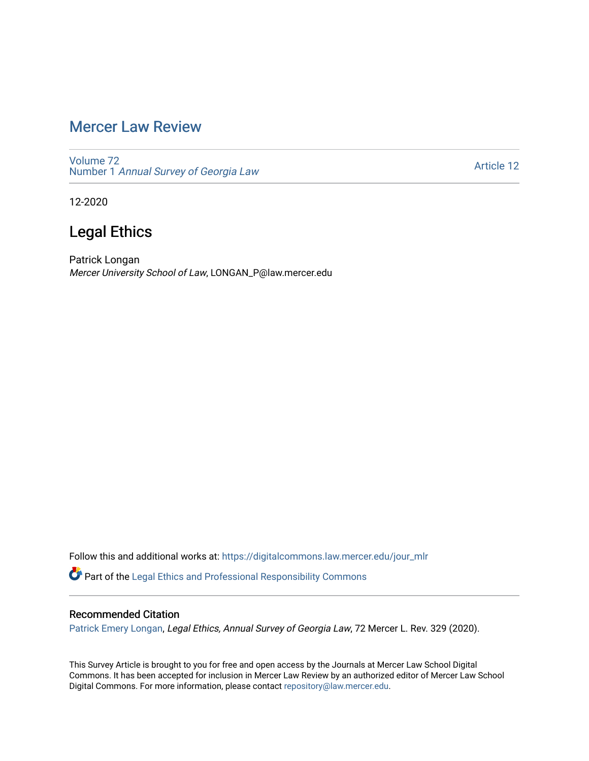## [Mercer Law Review](https://digitalcommons.law.mercer.edu/jour_mlr)

[Volume 72](https://digitalcommons.law.mercer.edu/jour_mlr/vol72) Number 1 [Annual Survey of Georgia Law](https://digitalcommons.law.mercer.edu/jour_mlr/vol72/iss1) 

[Article 12](https://digitalcommons.law.mercer.edu/jour_mlr/vol72/iss1/12) 

12-2020

## Legal Ethics

Patrick Longan Mercer University School of Law, LONGAN\_P@law.mercer.edu

Follow this and additional works at: [https://digitalcommons.law.mercer.edu/jour\\_mlr](https://digitalcommons.law.mercer.edu/jour_mlr?utm_source=digitalcommons.law.mercer.edu%2Fjour_mlr%2Fvol72%2Fiss1%2F12&utm_medium=PDF&utm_campaign=PDFCoverPages) Part of the [Legal Ethics and Professional Responsibility Commons](http://network.bepress.com/hgg/discipline/895?utm_source=digitalcommons.law.mercer.edu%2Fjour_mlr%2Fvol72%2Fiss1%2F12&utm_medium=PDF&utm_campaign=PDFCoverPages)

## Recommended Citation

[Patrick Emery Longan](https://guides.law.mercer.edu/longan), Legal Ethics, Annual Survey of Georgia Law, 72 Mercer L. Rev. 329 (2020).

This Survey Article is brought to you for free and open access by the Journals at Mercer Law School Digital Commons. It has been accepted for inclusion in Mercer Law Review by an authorized editor of Mercer Law School Digital Commons. For more information, please contact [repository@law.mercer.edu](mailto:repository@law.mercer.edu).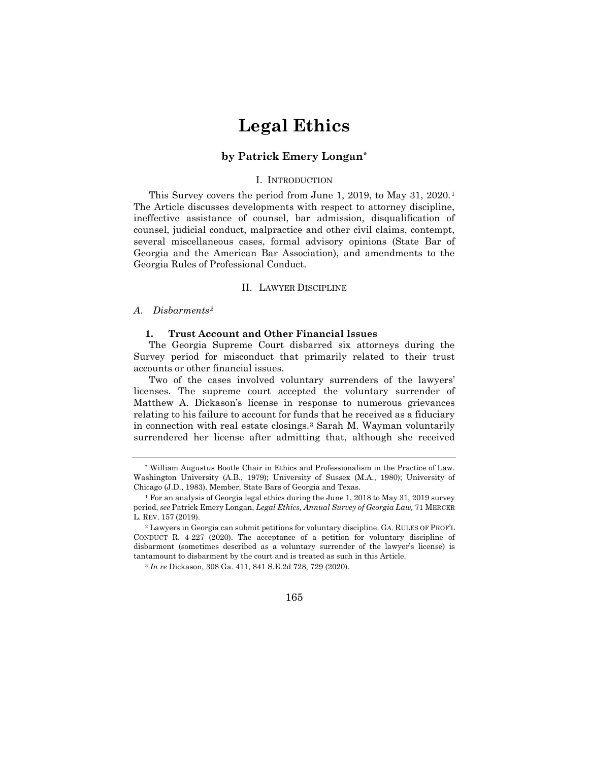# **Legal Ethics**

## **by Patrick Emery Longan[\\*](#page-1-0)**

## I. INTRODUCTION

This Survey covers the period from June [1](#page-1-1), 2019, to May 31, 2020.<sup>1</sup> The Article discusses developments with respect to attorney discipline, ineffective assistance of counsel, bar admission, disqualification of counsel, judicial conduct, malpractice and other civil claims, contempt, several miscellaneous cases, formal advisory opinions (State Bar of Georgia and the American Bar Association), and amendments to the Georgia Rules of Professional Conduct.

## II. LAWYER DISCIPLINE

## *A. Disbarments[2](#page-1-2)*

### **1. Trust Account and Other Financial Issues**

The Georgia Supreme Court disbarred six attorneys during the Survey period for misconduct that primarily related to their trust accounts or other financial issues.

Two of the cases involved voluntary surrenders of the lawyers' licenses. The supreme court accepted the voluntary surrender of Matthew A. Dickason's license in response to numerous grievances relating to his failure to account for funds that he received as a fiduciary in connection with real estate closings.[3](#page-1-3) Sarah M. Wayman voluntarily surrendered her license after admitting that, although she received

<sup>3</sup> *In re* Dickason, 308 Ga. 411, 841 S.E.2d 728, 729 (2020).



<span id="page-1-0"></span><sup>\*</sup> William Augustus Bootle Chair in Ethics and Professionalism in the Practice of Law. Washington University (A.B., 1979); University of Sussex (M.A., 1980); University of Chicago (J.D., 1983). Member, State Bars of Georgia and Texas.

<span id="page-1-1"></span><sup>&</sup>lt;sup>1</sup> For an analysis of Georgia legal ethics during the June 1, 2018 to May 31, 2019 survey period, *see* Patrick Emery Longan, *Legal Ethics, Annual Survey of Georgia Law,* 71 MERCER L. REV. 157 (2019).

<span id="page-1-3"></span><span id="page-1-2"></span><sup>2</sup> Lawyers in Georgia can submit petitions for voluntary discipline. GA. RULES OF PROF'L CONDUCT R. 4-227 (2020). The acceptance of a petition for voluntary discipline of disbarment (sometimes described as a voluntary surrender of the lawyer's license) is tantamount to disbarment by the court and is treated as such in this Article.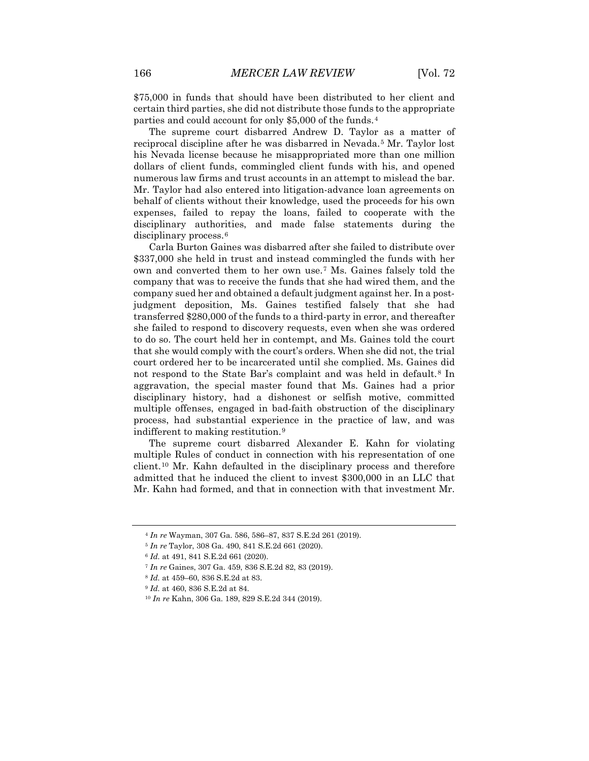\$75,000 in funds that should have been distributed to her client and certain third parties, she did not distribute those funds to the appropriate parties and could account for only \$5,000 of the funds.[4](#page-2-0)

The supreme court disbarred Andrew D. Taylor as a matter of reciprocal discipline after he was disbarred in Nevada.<sup>[5](#page-2-1)</sup> Mr. Taylor lost his Nevada license because he misappropriated more than one million dollars of client funds, commingled client funds with his, and opened numerous law firms and trust accounts in an attempt to mislead the bar. Mr. Taylor had also entered into litigation-advance loan agreements on behalf of clients without their knowledge, used the proceeds for his own expenses, failed to repay the loans, failed to cooperate with the disciplinary authorities, and made false statements during the disciplinary process.<sup>[6](#page-2-2)</sup>

Carla Burton Gaines was disbarred after she failed to distribute over \$337,000 she held in trust and instead commingled the funds with her own and converted them to her own use.[7](#page-2-3) Ms. Gaines falsely told the company that was to receive the funds that she had wired them, and the company sued her and obtained a default judgment against her. In a postjudgment deposition, Ms. Gaines testified falsely that she had transferred \$280,000 of the funds to a third-party in error, and thereafter she failed to respond to discovery requests, even when she was ordered to do so. The court held her in contempt, and Ms. Gaines told the court that she would comply with the court's orders. When she did not, the trial court ordered her to be incarcerated until she complied. Ms. Gaines did not respond to the State Bar's complaint and was held in default.<sup>[8](#page-2-4)</sup> In aggravation, the special master found that Ms. Gaines had a prior disciplinary history, had a dishonest or selfish motive, committed multiple offenses, engaged in bad-faith obstruction of the disciplinary process, had substantial experience in the practice of law, and was indifferent to making restitution.[9](#page-2-5)

The supreme court disbarred Alexander E. Kahn for violating multiple Rules of conduct in connection with his representation of one client.[10](#page-2-6) Mr. Kahn defaulted in the disciplinary process and therefore admitted that he induced the client to invest \$300,000 in an LLC that Mr. Kahn had formed, and that in connection with that investment Mr.

<span id="page-2-0"></span><sup>4</sup> *In re* Wayman, 307 Ga. 586, 586–87, 837 S.E.2d 261 (2019).

<span id="page-2-1"></span><sup>5</sup> *In re* Taylor, 308 Ga. 490, 841 S.E.2d 661 (2020).

<span id="page-2-2"></span><sup>6</sup> *Id.* at 491, 841 S.E.2d 661 (2020).

<span id="page-2-3"></span><sup>7</sup> *In re* Gaines, 307 Ga. 459, 836 S.E.2d 82, 83 (2019).

<sup>8</sup> *Id.* at 459–60, 836 S.E.2d at 83.

<span id="page-2-6"></span><span id="page-2-5"></span><span id="page-2-4"></span><sup>9</sup> *Id.* at 460, 836 S.E.2d at 84.

<sup>10</sup> *In re* Kahn, 306 Ga. 189, 829 S.E.2d 344 (2019).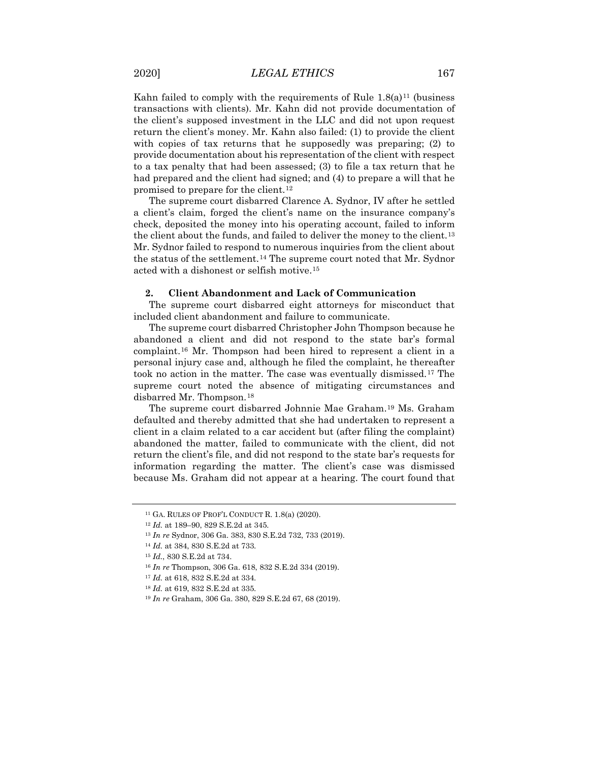Kahn failed to comply with the requirements of Rule  $1.8(a)^{11}$  $1.8(a)^{11}$  $1.8(a)^{11}$  (business transactions with clients). Mr. Kahn did not provide documentation of the client's supposed investment in the LLC and did not upon request return the client's money. Mr. Kahn also failed: (1) to provide the client with copies of tax returns that he supposedly was preparing; (2) to provide documentation about his representation of the client with respect to a tax penalty that had been assessed; (3) to file a tax return that he had prepared and the client had signed; and (4) to prepare a will that he promised to prepare for the client.[12](#page-3-1)

The supreme court disbarred Clarence A. Sydnor, IV after he settled a client's claim, forged the client's name on the insurance company's check, deposited the money into his operating account, failed to inform the client about the funds, and failed to deliver the money to the client.<sup>[13](#page-3-2)</sup> Mr. Sydnor failed to respond to numerous inquiries from the client about the status of the settlement.[14](#page-3-3) The supreme court noted that Mr. Sydnor acted with a dishonest or selfish motive.[15](#page-3-4)

## **2. Client Abandonment and Lack of Communication**

The supreme court disbarred eight attorneys for misconduct that included client abandonment and failure to communicate.

The supreme court disbarred Christopher John Thompson because he abandoned a client and did not respond to the state bar's formal complaint.[16](#page-3-5) Mr. Thompson had been hired to represent a client in a personal injury case and, although he filed the complaint, he thereafter took no action in the matter. The case was eventually dismissed.[17](#page-3-6) The supreme court noted the absence of mitigating circumstances and disbarred Mr. Thompson.[18](#page-3-7)

The supreme court disbarred Johnnie Mae Graham.[19](#page-3-8) Ms. Graham defaulted and thereby admitted that she had undertaken to represent a client in a claim related to a car accident but (after filing the complaint) abandoned the matter, failed to communicate with the client, did not return the client's file, and did not respond to the state bar's requests for information regarding the matter. The client's case was dismissed because Ms. Graham did not appear at a hearing. The court found that

<span id="page-3-0"></span><sup>&</sup>lt;sup>11</sup> GA. RULES OF PROF'L CONDUCT R.  $1.8(a)$  (2020).

<span id="page-3-2"></span><span id="page-3-1"></span><sup>12</sup> *Id.* at 189–90, 829 S.E.2d at 345.

<sup>13</sup> *In re* Sydnor, 306 Ga. 383, 830 S.E.2d 732, 733 (2019).

<span id="page-3-3"></span><sup>14</sup> *Id.* at 384, 830 S.E.2d at 733.

<span id="page-3-4"></span><sup>15</sup> *Id.*, 830 S.E.2d at 734.

<span id="page-3-5"></span><sup>16</sup> *In re* Thompson, 306 Ga. 618, 832 S.E.2d 334 (2019).

<span id="page-3-6"></span><sup>17</sup> *Id.* at 618, 832 S.E.2d at 334.

<span id="page-3-7"></span><sup>18</sup> *Id.* at 619, 832 S.E.2d at 335.

<span id="page-3-8"></span><sup>19</sup> *In re* Graham, 306 Ga. 380, 829 S.E.2d 67, 68 (2019).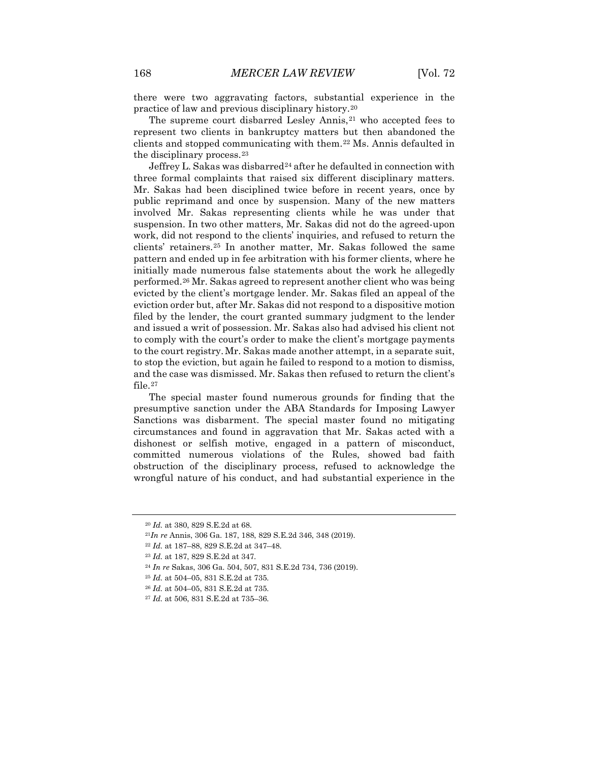there were two aggravating factors, substantial experience in the practice of law and previous disciplinary history.[20](#page-4-0)

The supreme court disbarred Lesley Annis,<sup>[21](#page-4-1)</sup> who accepted fees to represent two clients in bankruptcy matters but then abandoned the clients and stopped communicating with them.[22](#page-4-2) Ms. Annis defaulted in the disciplinary process.[23](#page-4-3)

Jeffrey L. Sakas was disbarred<sup>[24](#page-4-4)</sup> after he defaulted in connection with three formal complaints that raised six different disciplinary matters. Mr. Sakas had been disciplined twice before in recent years, once by public reprimand and once by suspension. Many of the new matters involved Mr. Sakas representing clients while he was under that suspension. In two other matters, Mr. Sakas did not do the agreed-upon work, did not respond to the clients' inquiries, and refused to return the clients' retainers.[25](#page-4-5) In another matter, Mr. Sakas followed the same pattern and ended up in fee arbitration with his former clients, where he initially made numerous false statements about the work he allegedly performed.[26](#page-4-6) Mr. Sakas agreed to represent another client who was being evicted by the client's mortgage lender. Mr. Sakas filed an appeal of the eviction order but, after Mr. Sakas did not respond to a dispositive motion filed by the lender, the court granted summary judgment to the lender and issued a writ of possession. Mr. Sakas also had advised his client not to comply with the court's order to make the client's mortgage payments to the court registry.Mr. Sakas made another attempt, in a separate suit, to stop the eviction, but again he failed to respond to a motion to dismiss, and the case was dismissed. Mr. Sakas then refused to return the client's file.[27](#page-4-7)

The special master found numerous grounds for finding that the presumptive sanction under the ABA Standards for Imposing Lawyer Sanctions was disbarment. The special master found no mitigating circumstances and found in aggravation that Mr. Sakas acted with a dishonest or selfish motive, engaged in a pattern of misconduct, committed numerous violations of the Rules, showed bad faith obstruction of the disciplinary process, refused to acknowledge the wrongful nature of his conduct, and had substantial experience in the

<span id="page-4-6"></span><sup>26</sup> *Id.* at 504–05, 831 S.E.2d at 735.

<span id="page-4-0"></span><sup>20</sup> *Id.* at 380, 829 S.E.2d at 68.

<span id="page-4-1"></span><sup>21</sup>*In re* Annis, 306 Ga. 187, 188, 829 S.E.2d 346, 348 (2019).

<span id="page-4-2"></span><sup>22</sup> *Id.* at 187–88, 829 S.E.2d at 347–48.

<span id="page-4-3"></span><sup>23</sup> *Id.* at 187, 829 S.E.2d at 347.

<span id="page-4-4"></span><sup>24</sup> *In re* Sakas, 306 Ga. 504, 507, 831 S.E.2d 734, 736 (2019).

<span id="page-4-5"></span><sup>25</sup> *Id.* at 504–05, 831 S.E.2d at 735.

<span id="page-4-7"></span><sup>27</sup> *Id.* at 506, 831 S.E.2d at 735–36.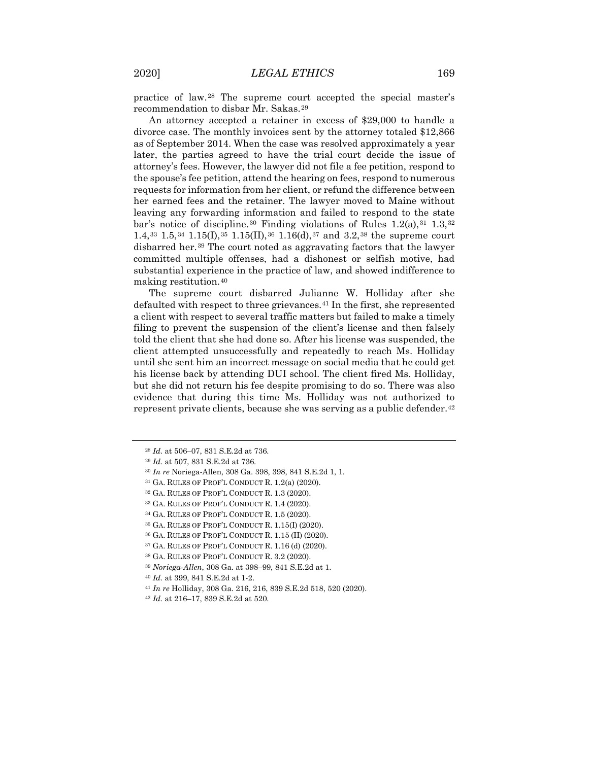practice of law.[28](#page-5-0) The supreme court accepted the special master's recommendation to disbar Mr. Sakas.[29](#page-5-1)

An attorney accepted a retainer in excess of \$29,000 to handle a divorce case. The monthly invoices sent by the attorney totaled \$12,866 as of September 2014. When the case was resolved approximately a year later, the parties agreed to have the trial court decide the issue of attorney's fees. However, the lawyer did not file a fee petition, respond to the spouse's fee petition, attend the hearing on fees, respond to numerous requests for information from her client, or refund the difference between her earned fees and the retainer. The lawyer moved to Maine without leaving any forwarding information and failed to respond to the state bar's notice of discipline.<sup>[30](#page-5-2)</sup> Finding violations of Rules  $1.2(a)$ ,  $31$   $1.3$ ,  $32$ 1.4,<sup>[33](#page-5-5)</sup> 1.5,<sup>[34](#page-5-6)</sup> 1.15(I),<sup>[35](#page-5-7)</sup> 1.15(II),<sup>[36](#page-5-8)</sup> 1.16(d),<sup>[37](#page-5-9)</sup> and 3.2,<sup>[38](#page-5-10)</sup> the supreme court disbarred her.[39](#page-5-11) The court noted as aggravating factors that the lawyer committed multiple offenses, had a dishonest or selfish motive, had substantial experience in the practice of law, and showed indifference to making restitution.[40](#page-5-12)

The supreme court disbarred Julianne W. Holliday after she defaulted with respect to three grievances.<sup>[41](#page-5-13)</sup> In the first, she represented a client with respect to several traffic matters but failed to make a timely filing to prevent the suspension of the client's license and then falsely told the client that she had done so. After his license was suspended, the client attempted unsuccessfully and repeatedly to reach Ms. Holliday until she sent him an incorrect message on social media that he could get his license back by attending DUI school. The client fired Ms. Holliday, but she did not return his fee despite promising to do so. There was also evidence that during this time Ms. Holliday was not authorized to represent private clients, because she was serving as a public defender.<sup>[42](#page-5-14)</sup>

<span id="page-5-0"></span><sup>28</sup> *Id.* at 506–07, 831 S.E.2d at 736.

<span id="page-5-2"></span><span id="page-5-1"></span><sup>29</sup> *Id.* at 507, 831 S.E.2d at 736.

<sup>30</sup> *In re* Noriega-Allen, 308 Ga. 398, 398, 841 S.E.2d 1, 1.

<span id="page-5-3"></span><sup>31</sup> GA. RULES OF PROF'L CONDUCT R. 1.2(a) (2020).

<span id="page-5-4"></span><sup>32</sup> GA. RULES OF PROF'L CONDUCT R. 1.3 (2020).

<span id="page-5-5"></span><sup>33</sup> GA. RULES OF PROF'L CONDUCT R. 1.4 (2020).

<span id="page-5-6"></span><sup>34</sup> GA. RULES OF PROF'L CONDUCT R. 1.5 (2020).

<span id="page-5-8"></span><span id="page-5-7"></span><sup>35</sup> GA. RULES OF PROF'L CONDUCT R. 1.15(I) (2020).

<sup>36</sup> GA. RULES OF PROF'L CONDUCT R. 1.15 (II) (2020).

<span id="page-5-10"></span><span id="page-5-9"></span><sup>37</sup> GA. RULES OF PROF'L CONDUCT R. 1.16 (d) (2020).

<sup>38</sup> GA. RULES OF PROF'L CONDUCT R. 3.2 (2020).

<span id="page-5-11"></span><sup>39</sup> *Noriega-Allen*, 308 Ga. at 398–99, 841 S.E.2d at 1.

<span id="page-5-12"></span><sup>40</sup> *Id.* at 399, 841 S.E.2d at 1-2.

<span id="page-5-13"></span><sup>41</sup> *In re* Holliday, 308 Ga. 216, 216, 839 S.E.2d 518, 520 (2020).

<span id="page-5-14"></span><sup>42</sup> *Id.* at 216–17, 839 S.E.2d at 520.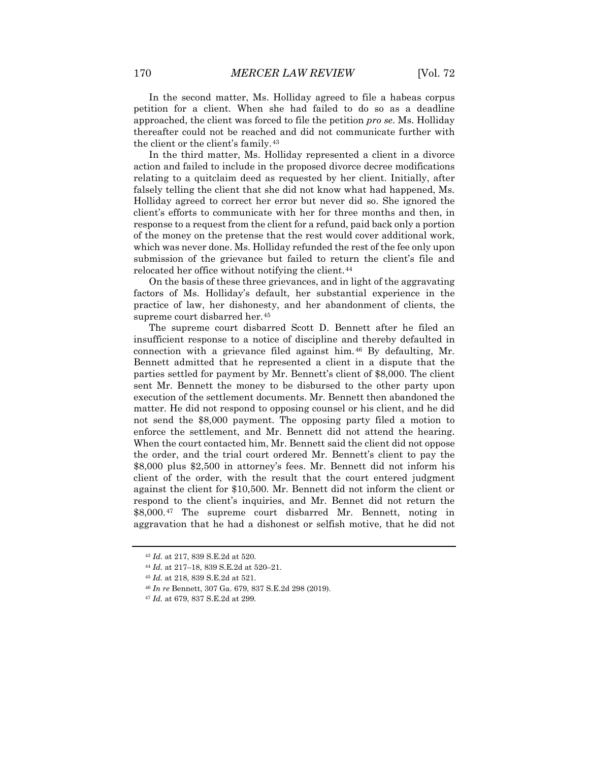In the second matter, Ms. Holliday agreed to file a habeas corpus petition for a client. When she had failed to do so as a deadline approached, the client was forced to file the petition *pro se*. Ms. Holliday thereafter could not be reached and did not communicate further with the client or the client's family.[43](#page-6-0)

In the third matter, Ms. Holliday represented a client in a divorce action and failed to include in the proposed divorce decree modifications relating to a quitclaim deed as requested by her client. Initially, after falsely telling the client that she did not know what had happened, Ms. Holliday agreed to correct her error but never did so. She ignored the client's efforts to communicate with her for three months and then, in response to a request from the client for a refund, paid back only a portion of the money on the pretense that the rest would cover additional work, which was never done. Ms. Holliday refunded the rest of the fee only upon submission of the grievance but failed to return the client's file and relocated her office without notifying the client.<sup>[44](#page-6-1)</sup>

On the basis of these three grievances, and in light of the aggravating factors of Ms. Holliday's default, her substantial experience in the practice of law, her dishonesty, and her abandonment of clients, the supreme court disbarred her.<sup>[45](#page-6-2)</sup>

The supreme court disbarred Scott D. Bennett after he filed an insufficient response to a notice of discipline and thereby defaulted in connection with a grievance filed against him.[46](#page-6-3) By defaulting, Mr. Bennett admitted that he represented a client in a dispute that the parties settled for payment by Mr. Bennett's client of \$8,000. The client sent Mr. Bennett the money to be disbursed to the other party upon execution of the settlement documents. Mr. Bennett then abandoned the matter. He did not respond to opposing counsel or his client, and he did not send the \$8,000 payment. The opposing party filed a motion to enforce the settlement, and Mr. Bennett did not attend the hearing. When the court contacted him, Mr. Bennett said the client did not oppose the order, and the trial court ordered Mr. Bennett's client to pay the \$8,000 plus \$2,500 in attorney's fees. Mr. Bennett did not inform his client of the order, with the result that the court entered judgment against the client for \$10,500. Mr. Bennett did not inform the client or respond to the client's inquiries, and Mr. Bennet did not return the \$8,000.[47](#page-6-4) The supreme court disbarred Mr. Bennett, noting in aggravation that he had a dishonest or selfish motive, that he did not

<span id="page-6-1"></span><span id="page-6-0"></span><sup>43</sup> *Id.* at 217, 839 S.E.2d at 520.

<sup>44</sup> *Id.* at 217–18, 839 S.E.2d at 520–21.

<span id="page-6-2"></span><sup>45</sup> *Id.* at 218, 839 S.E.2d at 521.

<span id="page-6-3"></span><sup>46</sup> *In re* Bennett, 307 Ga. 679, 837 S.E.2d 298 (2019).

<span id="page-6-4"></span><sup>47</sup> *Id.* at 679, 837 S.E.2d at 299.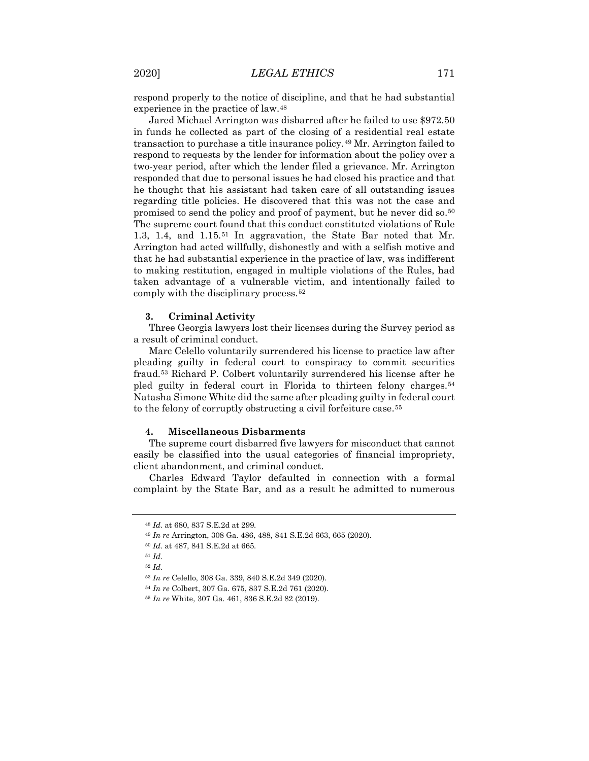respond properly to the notice of discipline, and that he had substantial experience in the practice of law.[48](#page-7-0)

Jared Michael Arrington was disbarred after he failed to use \$972.50 in funds he collected as part of the closing of a residential real estate transaction to purchase a title insurance policy.[49](#page-7-1) Mr. Arrington failed to respond to requests by the lender for information about the policy over a two-year period, after which the lender filed a grievance. Mr. Arrington responded that due to personal issues he had closed his practice and that he thought that his assistant had taken care of all outstanding issues regarding title policies. He discovered that this was not the case and promised to send the policy and proof of payment, but he never did so.[50](#page-7-2) The supreme court found that this conduct constituted violations of Rule 1.3, 1.4, and 1.15.[51](#page-7-3) In aggravation, the State Bar noted that Mr. Arrington had acted willfully, dishonestly and with a selfish motive and that he had substantial experience in the practice of law, was indifferent to making restitution, engaged in multiple violations of the Rules, had taken advantage of a vulnerable victim, and intentionally failed to comply with the disciplinary process.[52](#page-7-4)

### **3. Criminal Activity**

Three Georgia lawyers lost their licenses during the Survey period as a result of criminal conduct.

Marc Celello voluntarily surrendered his license to practice law after pleading guilty in federal court to conspiracy to commit securities fraud.[53](#page-7-5) Richard P. Colbert voluntarily surrendered his license after he pled guilty in federal court in Florida to thirteen felony charges.<sup>[54](#page-7-6)</sup> Natasha Simone White did the same after pleading guilty in federal court to the felony of corruptly obstructing a civil forfeiture case.[55](#page-7-7)

#### **4. Miscellaneous Disbarments**

The supreme court disbarred five lawyers for misconduct that cannot easily be classified into the usual categories of financial impropriety, client abandonment, and criminal conduct.

<span id="page-7-0"></span>Charles Edward Taylor defaulted in connection with a formal complaint by the State Bar, and as a result he admitted to numerous

<sup>48</sup> *Id.* at 680, 837 S.E.2d at 299.

<sup>49</sup> *In re* Arrington, 308 Ga. 486, 488, 841 S.E.2d 663, 665 (2020).

<span id="page-7-1"></span><sup>50</sup> *Id.* at 487, 841 S.E.2d at 665.

<span id="page-7-4"></span><span id="page-7-3"></span><span id="page-7-2"></span><sup>51</sup> *Id.* 

<sup>52</sup> *Id.* 

<span id="page-7-5"></span><sup>53</sup> *In re* Celello, 308 Ga. 339, 840 S.E.2d 349 (2020).

<span id="page-7-6"></span><sup>54</sup> *In re* Colbert, 307 Ga. 675, 837 S.E.2d 761 (2020).

<span id="page-7-7"></span><sup>55</sup> *In re* White, 307 Ga. 461, 836 S.E.2d 82 (2019).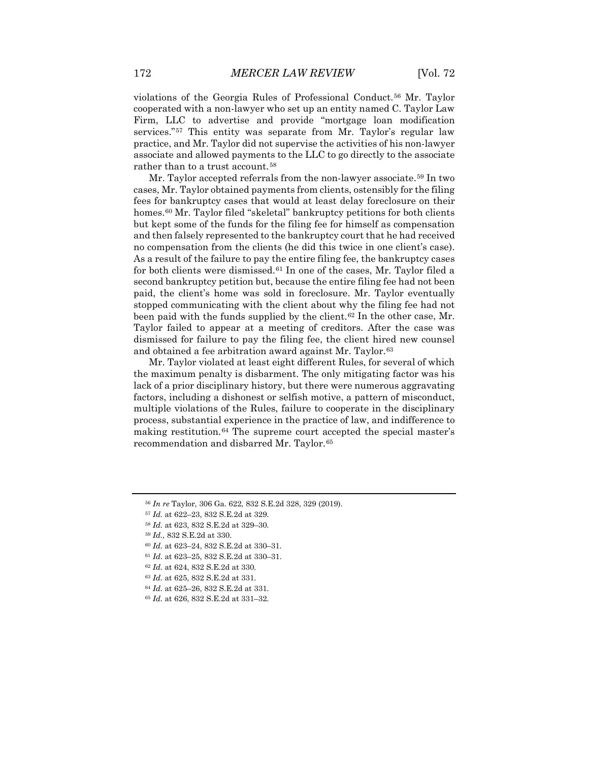violations of the Georgia Rules of Professional Conduct.[56](#page-8-0) Mr. Taylor cooperated with a non-lawyer who set up an entity named C. Taylor Law Firm, LLC to advertise and provide "mortgage loan modification services."[57](#page-8-1) This entity was separate from Mr. Taylor's regular law practice, and Mr. Taylor did not supervise the activities of his non-lawyer associate and allowed payments to the LLC to go directly to the associate rather than to a trust account.<sup>[58](#page-8-2)</sup>

Mr. Taylor accepted referrals from the non-lawyer associate.<sup>[59](#page-8-3)</sup> In two cases, Mr. Taylor obtained payments from clients, ostensibly for the filing fees for bankruptcy cases that would at least delay foreclosure on their homes.<sup>[60](#page-8-4)</sup> Mr. Taylor filed "skeletal" bankruptcy petitions for both clients but kept some of the funds for the filing fee for himself as compensation and then falsely represented to the bankruptcy court that he had received no compensation from the clients (he did this twice in one client's case). As a result of the failure to pay the entire filing fee, the bankruptcy cases for both clients were dismissed.[61](#page-8-5) In one of the cases, Mr. Taylor filed a second bankruptcy petition but, because the entire filing fee had not been paid, the client's home was sold in foreclosure. Mr. Taylor eventually stopped communicating with the client about why the filing fee had not been paid with the funds supplied by the client.<sup>[62](#page-8-6)</sup> In the other case, Mr. Taylor failed to appear at a meeting of creditors. After the case was dismissed for failure to pay the filing fee, the client hired new counsel and obtained a fee arbitration award against Mr. Taylor.<sup>[63](#page-8-7)</sup>

Mr. Taylor violated at least eight different Rules, for several of which the maximum penalty is disbarment. The only mitigating factor was his lack of a prior disciplinary history, but there were numerous aggravating factors, including a dishonest or selfish motive, a pattern of misconduct, multiple violations of the Rules, failure to cooperate in the disciplinary process, substantial experience in the practice of law, and indifference to making restitution.<sup>[64](#page-8-8)</sup> The supreme court accepted the special master's recommendation and disbarred Mr. Taylor.[65](#page-8-9)

<span id="page-8-0"></span><sup>56</sup> *In re* Taylor, 306 Ga. 622, 832 S.E.2d 328, 329 (2019).

<span id="page-8-1"></span><sup>57</sup> *Id.* at 622–23, 832 S.E.2d at 329.

<span id="page-8-3"></span><span id="page-8-2"></span><sup>58</sup> *Id.* at 623, 832 S.E.2d at 329–30.

<sup>59</sup> *Id.*, 832 S.E.2d at 330.

<sup>60</sup> *Id.* at 623–24, 832 S.E.2d at 330–31.

<span id="page-8-6"></span><span id="page-8-5"></span><span id="page-8-4"></span><sup>61</sup> *Id*. at 623–25, 832 S.E.2d at 330–31.

<sup>62</sup> *Id.* at 624, 832 S.E.2d at 330.

<span id="page-8-7"></span><sup>63</sup> *Id.* at 625, 832 S.E.2d at 331.

<span id="page-8-8"></span><sup>64</sup> *Id.* at 625–26, 832 S.E.2d at 331.

<span id="page-8-9"></span><sup>65</sup> *Id.* at 626, 832 S.E.2d at 331–32.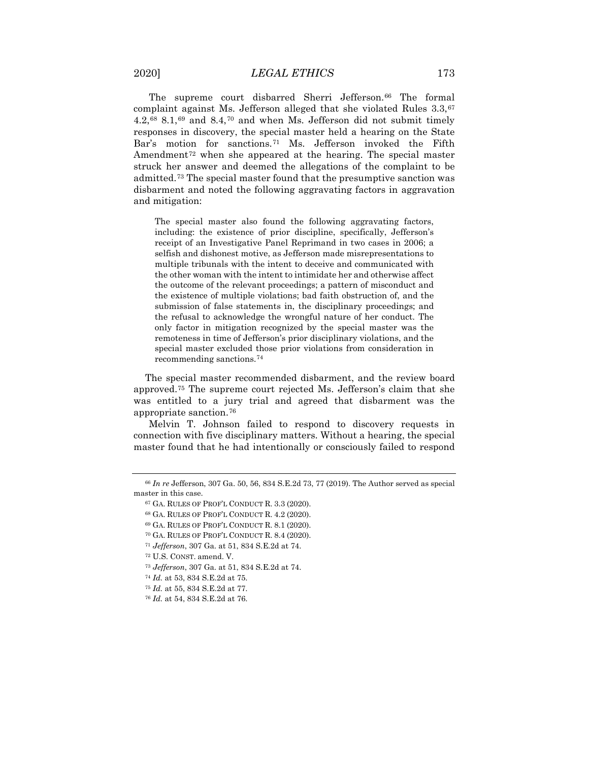The supreme court disbarred Sherri Jefferson.<sup>[66](#page-9-0)</sup> The formal complaint against Ms. Jefferson alleged that she violated Rules 3.3,[67](#page-9-1)  $4.2,$ <sup>[68](#page-9-2)</sup> 8.1,<sup>[69](#page-9-3)</sup> and 8.4,<sup>[70](#page-9-4)</sup> and when Ms. Jefferson did not submit timely responses in discovery, the special master held a hearing on the State Bar's motion for sanctions.[71](#page-9-5) Ms. Jefferson invoked the Fifth Amendment<sup>[72](#page-9-6)</sup> when she appeared at the hearing. The special master struck her answer and deemed the allegations of the complaint to be admitted.[73](#page-9-7) The special master found that the presumptive sanction was disbarment and noted the following aggravating factors in aggravation and mitigation:

The special master also found the following aggravating factors, including: the existence of prior discipline, specifically, Jefferson's receipt of an Investigative Panel Reprimand in two cases in 2006; a selfish and dishonest motive, as Jefferson made misrepresentations to multiple tribunals with the intent to deceive and communicated with the other woman with the intent to intimidate her and otherwise affect the outcome of the relevant proceedings; a pattern of misconduct and the existence of multiple violations; bad faith obstruction of, and the submission of false statements in, the disciplinary proceedings; and the refusal to acknowledge the wrongful nature of her conduct. The only factor in mitigation recognized by the special master was the remoteness in time of Jefferson's prior disciplinary violations, and the special master excluded those prior violations from consideration in recommending sanctions.[74](#page-9-8)

The special master recommended disbarment, and the review board approved.[75](#page-9-9) The supreme court rejected Ms. Jefferson's claim that she was entitled to a jury trial and agreed that disbarment was the appropriate sanction.[76](#page-9-10)

Melvin T. Johnson failed to respond to discovery requests in connection with five disciplinary matters. Without a hearing, the special master found that he had intentionally or consciously failed to respond

<sup>75</sup> *Id.* at 55, 834 S.E.2d at 77.

<span id="page-9-4"></span><span id="page-9-3"></span><span id="page-9-2"></span><span id="page-9-1"></span><span id="page-9-0"></span><sup>66</sup> *In re* Jefferson, 307 Ga. 50, 56, 834 S.E.2d 73, 77 (2019). The Author served as special master in this case.

<sup>67</sup> GA. RULES OF PROF'L CONDUCT R. 3.3 (2020).

<sup>68</sup> GA. RULES OF PROF'L CONDUCT R. 4.2 (2020).

<sup>69</sup> GA. RULES OF PROF'L CONDUCT R. 8.1 (2020).

<sup>70</sup> GA. RULES OF PROF'L CONDUCT R. 8.4 (2020).

<sup>71</sup> *Jefferson*, 307 Ga. at 51, 834 S.E.2d at 74.

<span id="page-9-6"></span><span id="page-9-5"></span><sup>72</sup> U.S. CONST. amend. V.

<span id="page-9-7"></span><sup>73</sup> *Jefferson*, 307 Ga. at 51, 834 S.E.2d at 74.

<span id="page-9-8"></span><sup>74</sup> *Id.* at 53, 834 S.E.2d at 75.

<span id="page-9-10"></span><span id="page-9-9"></span><sup>76</sup> *Id.* at 54, 834 S.E.2d at 76.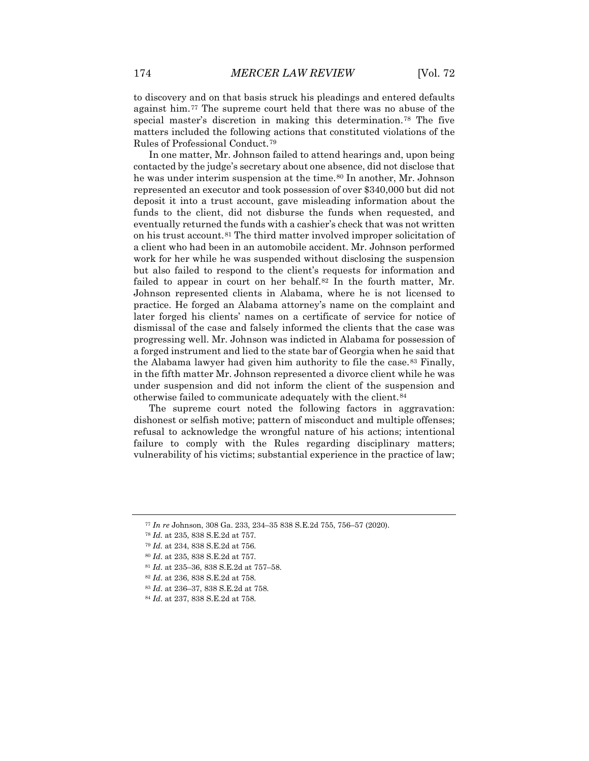to discovery and on that basis struck his pleadings and entered defaults against him.[77](#page-10-0) The supreme court held that there was no abuse of the special master's discretion in making this determination.[78](#page-10-1) The five matters included the following actions that constituted violations of the Rules of Professional Conduct.[79](#page-10-2)

In one matter, Mr. Johnson failed to attend hearings and, upon being contacted by the judge's secretary about one absence, did not disclose that he was under interim suspension at the time.<sup>[80](#page-10-3)</sup> In another, Mr. Johnson represented an executor and took possession of over \$340,000 but did not deposit it into a trust account, gave misleading information about the funds to the client, did not disburse the funds when requested, and eventually returned the funds with a cashier's check that was not written on his trust account.[81](#page-10-4) The third matter involved improper solicitation of a client who had been in an automobile accident. Mr. Johnson performed work for her while he was suspended without disclosing the suspension but also failed to respond to the client's requests for information and failed to appear in court on her behalf.<sup>[82](#page-10-5)</sup> In the fourth matter, Mr. Johnson represented clients in Alabama, where he is not licensed to practice. He forged an Alabama attorney's name on the complaint and later forged his clients' names on a certificate of service for notice of dismissal of the case and falsely informed the clients that the case was progressing well. Mr. Johnson was indicted in Alabama for possession of a forged instrument and lied to the state bar of Georgia when he said that the Alabama lawyer had given him authority to file the case.<sup>[83](#page-10-6)</sup> Finally, in the fifth matter Mr. Johnson represented a divorce client while he was under suspension and did not inform the client of the suspension and otherwise failed to communicate adequately with the client.[84](#page-10-7)

The supreme court noted the following factors in aggravation: dishonest or selfish motive; pattern of misconduct and multiple offenses; refusal to acknowledge the wrongful nature of his actions; intentional failure to comply with the Rules regarding disciplinary matters; vulnerability of his victims; substantial experience in the practice of law;

<span id="page-10-0"></span><sup>77</sup> *In re* Johnson, 308 Ga. 233, 234–35 838 S.E.2d 755, 756–57 (2020).

<span id="page-10-1"></span><sup>78</sup> *Id.* at 235, 838 S.E.2d at 757.

<span id="page-10-3"></span><span id="page-10-2"></span><sup>79</sup> *Id.* at 234, 838 S.E.2d at 756.

<sup>80</sup> *Id*. at 235, 838 S.E.2d at 757.

<span id="page-10-5"></span><span id="page-10-4"></span><sup>81</sup> *Id*. at 235–36, 838 S.E.2d at 757–58.

<sup>82</sup> *Id*. at 236, 838 S.E.2d at 758.

<span id="page-10-6"></span><sup>83</sup> *Id*. at 236–37, 838 S.E.2d at 758.

<span id="page-10-7"></span><sup>84</sup> *Id*. at 237, 838 S.E.2d at 758.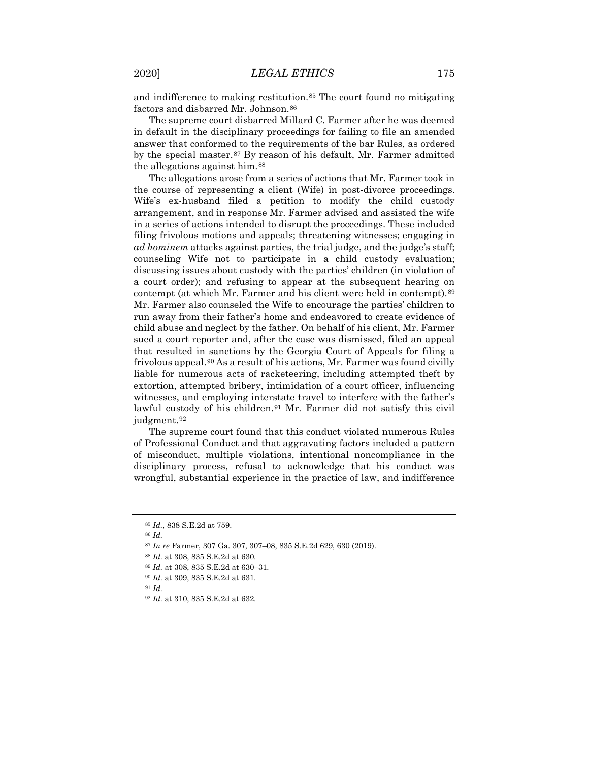and indifference to making restitution.[85](#page-11-0) The court found no mitigating factors and disbarred Mr. Johnson.<sup>[86](#page-11-1)</sup>

The supreme court disbarred Millard C. Farmer after he was deemed in default in the disciplinary proceedings for failing to file an amended answer that conformed to the requirements of the bar Rules, as ordered by the special master.[87](#page-11-2) By reason of his default, Mr. Farmer admitted the allegations against him.[88](#page-11-3)

The allegations arose from a series of actions that Mr. Farmer took in the course of representing a client (Wife) in post-divorce proceedings. Wife's ex-husband filed a petition to modify the child custody arrangement, and in response Mr. Farmer advised and assisted the wife in a series of actions intended to disrupt the proceedings. These included filing frivolous motions and appeals; threatening witnesses; engaging in *ad hominem* attacks against parties, the trial judge, and the judge's staff; counseling Wife not to participate in a child custody evaluation; discussing issues about custody with the parties' children (in violation of a court order); and refusing to appear at the subsequent hearing on contempt (at which Mr. Farmer and his client were held in contempt).<sup>[89](#page-11-4)</sup> Mr. Farmer also counseled the Wife to encourage the parties' children to run away from their father's home and endeavored to create evidence of child abuse and neglect by the father. On behalf of his client, Mr. Farmer sued a court reporter and, after the case was dismissed, filed an appeal that resulted in sanctions by the Georgia Court of Appeals for filing a frivolous appeal.<sup>[90](#page-11-5)</sup> As a result of his actions, Mr. Farmer was found civilly liable for numerous acts of racketeering, including attempted theft by extortion, attempted bribery, intimidation of a court officer, influencing witnesses, and employing interstate travel to interfere with the father's lawful custody of his children.<sup>[91](#page-11-6)</sup> Mr. Farmer did not satisfy this civil judgment.[92](#page-11-7)

The supreme court found that this conduct violated numerous Rules of Professional Conduct and that aggravating factors included a pattern of misconduct, multiple violations, intentional noncompliance in the disciplinary process, refusal to acknowledge that his conduct was wrongful, substantial experience in the practice of law, and indifference

<span id="page-11-6"></span><sup>90</sup> *Id.* at 309, 835 S.E.2d at 631.

<span id="page-11-0"></span><sup>85</sup> *Id.*, 838 S.E.2d at 759.

<sup>86</sup> *Id.*

<span id="page-11-3"></span><span id="page-11-2"></span><span id="page-11-1"></span><sup>87</sup> *In re* Farmer, 307 Ga. 307, 307–08, 835 S.E.2d 629, 630 (2019).

<sup>88</sup> *Id.* at 308, 835 S.E.2d at 630.

<span id="page-11-5"></span><span id="page-11-4"></span><sup>89</sup> *Id.* at 308, 835 S.E.2d at 630–31.

<span id="page-11-7"></span><sup>92</sup> *Id.* at 310, 835 S.E.2d at 632.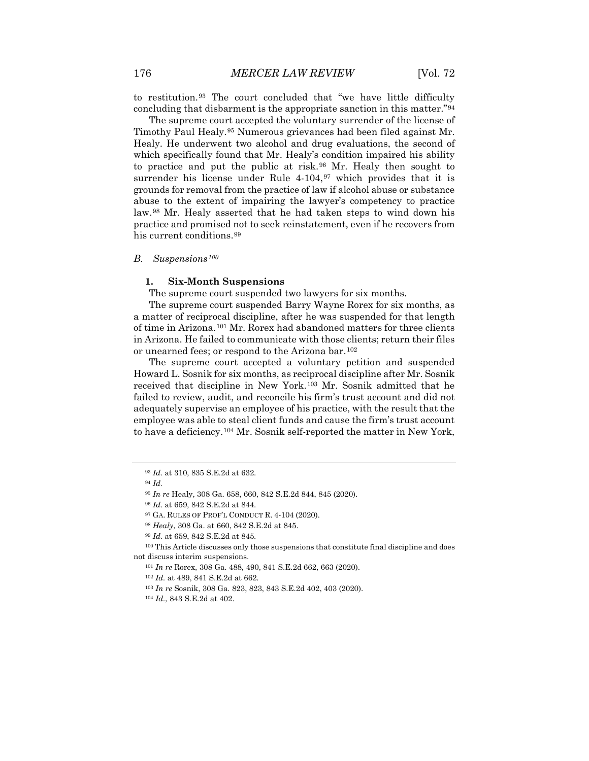to restitution.[93](#page-12-0) The court concluded that "we have little difficulty concluding that disbarment is the appropriate sanction in this matter."[94](#page-12-1)

The supreme court accepted the voluntary surrender of the license of Timothy Paul Healy.[95](#page-12-2) Numerous grievances had been filed against Mr. Healy. He underwent two alcohol and drug evaluations, the second of which specifically found that Mr. Healy's condition impaired his ability to practice and put the public at risk.[96](#page-12-3) Mr. Healy then sought to surrender his license under Rule  $4-104$ ,  $97$  which provides that it is grounds for removal from the practice of law if alcohol abuse or substance abuse to the extent of impairing the lawyer's competency to practice law.[98](#page-12-5) Mr. Healy asserted that he had taken steps to wind down his practice and promised not to seek reinstatement, even if he recovers from his current conditions.<sup>[99](#page-12-6)</sup>

## *B. Suspensions[100](#page-12-7)*

## **1. Six-Month Suspensions**

The supreme court suspended two lawyers for six months.

The supreme court suspended Barry Wayne Rorex for six months, as a matter of reciprocal discipline, after he was suspended for that length of time in Arizona.[101](#page-12-8) Mr. Rorex had abandoned matters for three clients in Arizona. He failed to communicate with those clients; return their files or unearned fees; or respond to the Arizona bar.[102](#page-12-9)

The supreme court accepted a voluntary petition and suspended Howard L. Sosnik for six months, as reciprocal discipline after Mr. Sosnik received that discipline in New York.[103](#page-12-10) Mr. Sosnik admitted that he failed to review, audit, and reconcile his firm's trust account and did not adequately supervise an employee of his practice, with the result that the employee was able to steal client funds and cause the firm's trust account to have a deficiency.[104](#page-12-11) Mr. Sosnik self-reported the matter in New York,

<span id="page-12-0"></span><sup>93</sup> *Id.* at 310, 835 S.E.2d at 632.

<span id="page-12-1"></span><sup>94</sup> *Id.*

<sup>95</sup> *In re* Healy, 308 Ga. 658, 660, 842 S.E.2d 844, 845 (2020).

<sup>96</sup> *Id.* at 659, 842 S.E.2d at 844.

<sup>97</sup> GA. RULES OF PROF'L CONDUCT R. 4-104 (2020).

<sup>98</sup> *Healy*, 308 Ga. at 660, 842 S.E.2d at 845.

<sup>99</sup> *Id.* at 659, 842 S.E.2d at 845.

<span id="page-12-11"></span><span id="page-12-10"></span><span id="page-12-9"></span><span id="page-12-8"></span><span id="page-12-7"></span><span id="page-12-6"></span><span id="page-12-5"></span><span id="page-12-4"></span><span id="page-12-3"></span><span id="page-12-2"></span><sup>100</sup> This Article discusses only those suspensions that constitute final discipline and does not discuss interim suspensions.

<sup>101</sup> *In re* Rorex, 308 Ga. 488, 490, 841 S.E.2d 662, 663 (2020).

<sup>102</sup> *Id.* at 489, 841 S.E.2d at 662.

<sup>103</sup> *In re* Sosnik, 308 Ga. 823, 823, 843 S.E.2d 402, 403 (2020).

<sup>104</sup> *Id.*, 843 S.E.2d at 402.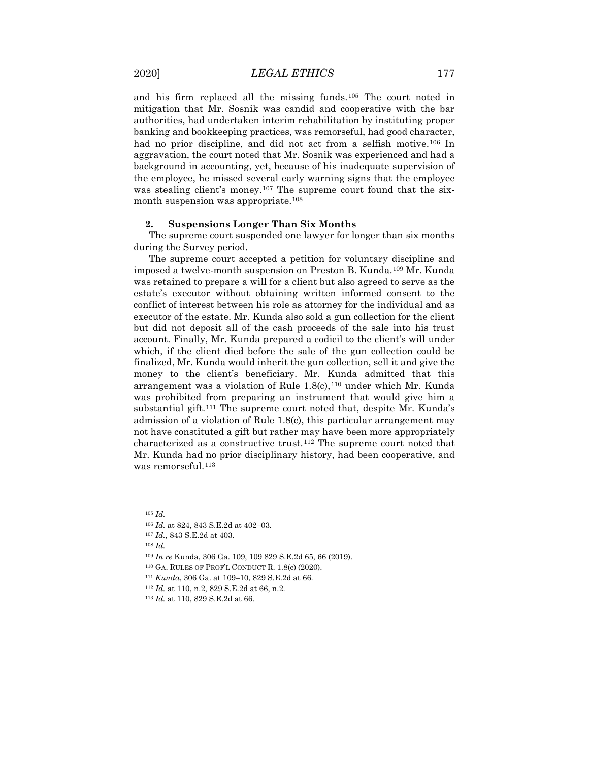and his firm replaced all the missing funds.[105](#page-13-0) The court noted in mitigation that Mr. Sosnik was candid and cooperative with the bar authorities, had undertaken interim rehabilitation by instituting proper banking and bookkeeping practices, was remorseful, had good character, had no prior discipline, and did not act from a selfish motive.<sup>[106](#page-13-1)</sup> In aggravation, the court noted that Mr. Sosnik was experienced and had a background in accounting, yet, because of his inadequate supervision of the employee, he missed several early warning signs that the employee was stealing client's money.<sup>[107](#page-13-2)</sup> The supreme court found that the sixmonth suspension was appropriate.[108](#page-13-3)

## **2. Suspensions Longer Than Six Months**

The supreme court suspended one lawyer for longer than six months during the Survey period.

The supreme court accepted a petition for voluntary discipline and imposed a twelve-month suspension on Preston B. Kunda[.109](#page-13-4) Mr. Kunda was retained to prepare a will for a client but also agreed to serve as the estate's executor without obtaining written informed consent to the conflict of interest between his role as attorney for the individual and as executor of the estate. Mr. Kunda also sold a gun collection for the client but did not deposit all of the cash proceeds of the sale into his trust account. Finally, Mr. Kunda prepared a codicil to the client's will under which, if the client died before the sale of the gun collection could be finalized, Mr. Kunda would inherit the gun collection, sell it and give the money to the client's beneficiary. Mr. Kunda admitted that this arrangement was a violation of Rule  $1.8(c)$ ,  $110$  under which Mr. Kunda was prohibited from preparing an instrument that would give him a substantial gift.<sup>[111](#page-13-6)</sup> The supreme court noted that, despite Mr. Kunda's admission of a violation of Rule 1.8(c), this particular arrangement may not have constituted a gift but rather may have been more appropriately characterized as a constructive trust.[112](#page-13-7) The supreme court noted that Mr. Kunda had no prior disciplinary history, had been cooperative, and was remorseful.<sup>[113](#page-13-8)</sup>

<span id="page-13-0"></span><sup>105</sup> *Id.*

<span id="page-13-1"></span><sup>106</sup> *Id.* at 824, 843 S.E.2d at 402–03.

<span id="page-13-2"></span><sup>107</sup> *Id.*, 843 S.E.2d at 403.

<span id="page-13-3"></span><sup>108</sup> *Id.*

<span id="page-13-4"></span><sup>109</sup> *In re* Kunda, 306 Ga. 109, 109 829 S.E.2d 65, 66 (2019).

<span id="page-13-6"></span><span id="page-13-5"></span><sup>110</sup> GA. RULES OF PROF'L CONDUCT R. 1.8(c) (2020).

<sup>111</sup> *Kunda*, 306 Ga. at 109–10, 829 S.E.2d at 66.

<span id="page-13-7"></span><sup>112</sup> *Id.* at 110, n.2, 829 S.E.2d at 66, n.2.

<span id="page-13-8"></span><sup>113</sup> *Id.* at 110, 829 S.E.2d at 66.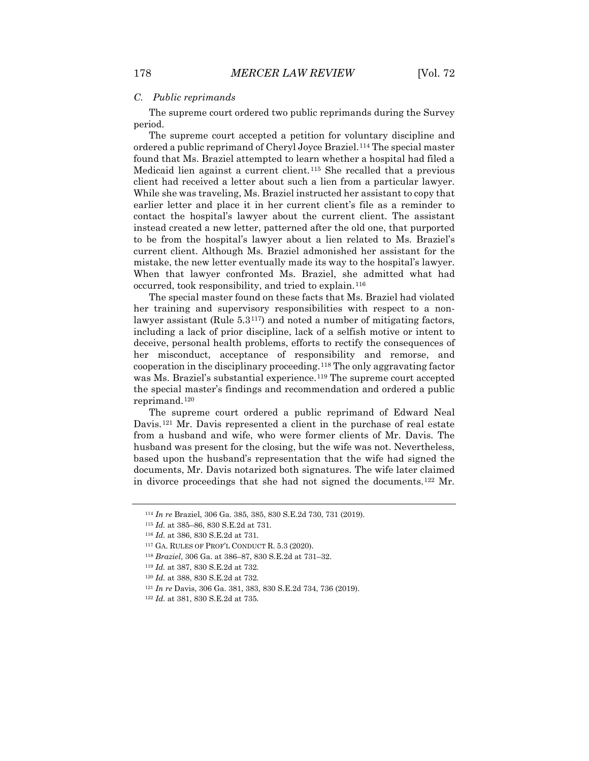#### *C. Public reprimands*

The supreme court ordered two public reprimands during the Survey period.

The supreme court accepted a petition for voluntary discipline and ordered a public reprimand of Cheryl Joyce Braziel.[114](#page-14-0) The special master found that Ms. Braziel attempted to learn whether a hospital had filed a Medicaid lien against a current client.[115](#page-14-1) She recalled that a previous client had received a letter about such a lien from a particular lawyer. While she was traveling, Ms. Braziel instructed her assistant to copy that earlier letter and place it in her current client's file as a reminder to contact the hospital's lawyer about the current client. The assistant instead created a new letter, patterned after the old one, that purported to be from the hospital's lawyer about a lien related to Ms. Braziel's current client. Although Ms. Braziel admonished her assistant for the mistake, the new letter eventually made its way to the hospital's lawyer. When that lawyer confronted Ms. Braziel, she admitted what had occurred, took responsibility, and tried to explain.[116](#page-14-2)

The special master found on these facts that Ms. Braziel had violated her training and supervisory responsibilities with respect to a nonlawyer assistant (Rule 5.3[117\)](#page-14-3) and noted a number of mitigating factors, including a lack of prior discipline, lack of a selfish motive or intent to deceive, personal health problems, efforts to rectify the consequences of her misconduct, acceptance of responsibility and remorse, and cooperation in the disciplinary proceeding[.118](#page-14-4) The only aggravating factor was Ms. Braziel's substantial experience.<sup>[119](#page-14-5)</sup> The supreme court accepted the special master's findings and recommendation and ordered a public reprimand.[120](#page-14-6)

The supreme court ordered a public reprimand of Edward Neal Davis.<sup>[121](#page-14-7)</sup> Mr. Davis represented a client in the purchase of real estate from a husband and wife, who were former clients of Mr. Davis. The husband was present for the closing, but the wife was not. Nevertheless, based upon the husband's representation that the wife had signed the documents, Mr. Davis notarized both signatures. The wife later claimed in divorce proceedings that she had not signed the documents.[122](#page-14-8) Mr.

<span id="page-14-0"></span><sup>114</sup> *In re* Braziel, 306 Ga. 385, 385, 830 S.E.2d 730, 731 (2019).

<span id="page-14-2"></span><span id="page-14-1"></span><sup>115</sup> *Id.* at 385–86, 830 S.E.2d at 731.

<sup>116</sup> *Id.* at 386, 830 S.E.2d at 731.

<span id="page-14-3"></span><sup>117</sup> GA. RULES OF PROF'L CONDUCT R. 5.3 (2020).

<span id="page-14-4"></span><sup>118</sup> *Braziel*, 306 Ga. at 386–87, 830 S.E.2d at 731–32.

<span id="page-14-5"></span><sup>119</sup> *Id.* at 387, 830 S.E.2d at 732.

<span id="page-14-6"></span><sup>120</sup> *Id.* at 388, 830 S.E.2d at 732.

<span id="page-14-7"></span><sup>121</sup> *In re* Davis, 306 Ga. 381, 383, 830 S.E.2d 734, 736 (2019).

<span id="page-14-8"></span><sup>122</sup> *Id.* at 381, 830 S.E.2d at 735.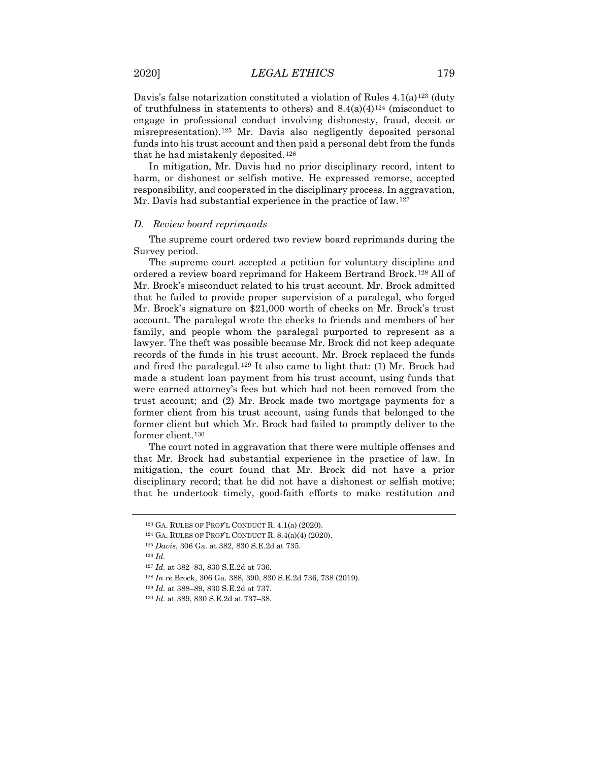Davis's false notarization constituted a violation of Rules  $4.1(a)^{123}$  $4.1(a)^{123}$  $4.1(a)^{123}$  (duty of truthfulness in statements to others) and  $8.4(a)(4)^{124}$  $8.4(a)(4)^{124}$  $8.4(a)(4)^{124}$  (misconduct to engage in professional conduct involving dishonesty, fraud, deceit or misrepresentation).[125](#page-15-2) Mr. Davis also negligently deposited personal funds into his trust account and then paid a personal debt from the funds that he had mistakenly deposited.[126](#page-15-3)

In mitigation, Mr. Davis had no prior disciplinary record, intent to harm, or dishonest or selfish motive. He expressed remorse, accepted responsibility, and cooperated in the disciplinary process. In aggravation, Mr. Davis had substantial experience in the practice of law.<sup>[127](#page-15-4)</sup>

## *D. Review board reprimands*

The supreme court ordered two review board reprimands during the Survey period.

The supreme court accepted a petition for voluntary discipline and ordered a review board reprimand for Hakeem Bertrand Brock.[128](#page-15-5) All of Mr. Brock's misconduct related to his trust account. Mr. Brock admitted that he failed to provide proper supervision of a paralegal, who forged Mr. Brock's signature on \$21,000 worth of checks on Mr. Brock's trust account. The paralegal wrote the checks to friends and members of her family, and people whom the paralegal purported to represent as a lawyer. The theft was possible because Mr. Brock did not keep adequate records of the funds in his trust account. Mr. Brock replaced the funds and fired the paralegal.<sup>[129](#page-15-6)</sup> It also came to light that: (1) Mr. Brock had made a student loan payment from his trust account, using funds that were earned attorney's fees but which had not been removed from the trust account; and (2) Mr. Brock made two mortgage payments for a former client from his trust account, using funds that belonged to the former client but which Mr. Brock had failed to promptly deliver to the former client.[130](#page-15-7)

The court noted in aggravation that there were multiple offenses and that Mr. Brock had substantial experience in the practice of law. In mitigation, the court found that Mr. Brock did not have a prior disciplinary record; that he did not have a dishonest or selfish motive; that he undertook timely, good-faith efforts to make restitution and

<span id="page-15-1"></span><span id="page-15-0"></span><sup>123</sup> GA. RULES OF PROF'L CONDUCT R. 4.1(a) (2020).

<sup>124</sup> GA. RULES OF PROF'L CONDUCT R. 8.4(a)(4) (2020).

<sup>125</sup> *Davis*, 306 Ga. at 382, 830 S.E.2d at 735.

<span id="page-15-5"></span><span id="page-15-4"></span><span id="page-15-3"></span><span id="page-15-2"></span><sup>126</sup> *Id.*

<sup>127</sup> *Id.* at 382–83, 830 S.E.2d at 736.

<sup>128</sup> *In re* Brock, 306 Ga. 388, 390, 830 S.E.2d 736, 738 (2019).

<span id="page-15-6"></span><sup>129</sup> *Id.* at 388–89, 830 S.E.2d at 737.

<span id="page-15-7"></span><sup>130</sup> *Id.* at 389, 830 S.E.2d at 737–38.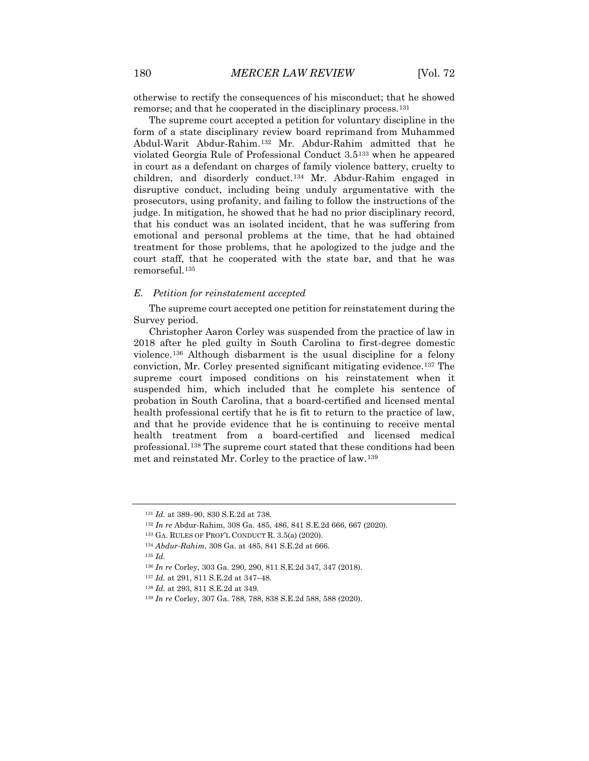otherwise to rectify the consequences of his misconduct; that he showed remorse; and that he cooperated in the disciplinary process.<sup>[131](#page-16-0)</sup>

The supreme court accepted a petition for voluntary discipline in the form of a state disciplinary review board reprimand from Muhammed Abdul-Warit Abdur-Rahim.[132](#page-16-1) Mr. Abdur-Rahim admitted that he violated Georgia Rule of Professional Conduct 3.5[133](#page-16-2) when he appeared in court as a defendant on charges of family violence battery, cruelty to children, and disorderly conduct.[134](#page-16-3) Mr. Abdur-Rahim engaged in disruptive conduct, including being unduly argumentative with the prosecutors, using profanity, and failing to follow the instructions of the judge. In mitigation, he showed that he had no prior disciplinary record, that his conduct was an isolated incident, that he was suffering from emotional and personal problems at the time, that he had obtained treatment for those problems, that he apologized to the judge and the court staff, that he cooperated with the state bar, and that he was remorseful.[135](#page-16-4)

#### *E. Petition for reinstatement accepted*

The supreme court accepted one petition for reinstatement during the Survey period.

Christopher Aaron Corley was suspended from the practice of law in 2018 after he pled guilty in South Carolina to first-degree domestic violence.[136](#page-16-5) Although disbarment is the usual discipline for a felony conviction, Mr. Corley presented significant mitigating evidence.[137](#page-16-6) The supreme court imposed conditions on his reinstatement when it suspended him, which included that he complete his sentence of probation in South Carolina, that a board-certified and licensed mental health professional certify that he is fit to return to the practice of law, and that he provide evidence that he is continuing to receive mental health treatment from a board-certified and licensed medical professional.<sup>[138](#page-16-7)</sup> The supreme court stated that these conditions had been met and reinstated Mr. Corley to the practice of law.[139](#page-16-8)

<span id="page-16-1"></span><sup>132</sup> *In re* Abdur-Rahim, 308 Ga. 485, 486, 841 S.E.2d 666, 667 (2020).

- <sup>137</sup> *Id.* at 291, 811 S.E.2d at 347–48.
- <span id="page-16-7"></span><sup>138</sup> *Id.* at 293, 811 S.E.2d at 349.

<span id="page-16-0"></span><sup>131</sup> *Id.* at 389–90, 830 S.E.2d at 738.

<sup>133</sup> GA. RULES OF PROF'L CONDUCT R. 3.5(a) (2020).

<span id="page-16-2"></span><sup>134</sup> *Abdur-Rahim*, 308 Ga. at 485, 841 S.E.2d at 666.

<span id="page-16-5"></span><span id="page-16-4"></span><span id="page-16-3"></span><sup>135</sup> *Id.*

<span id="page-16-6"></span><sup>136</sup> *In re* Corley, 303 Ga. 290, 290, 811 S.E.2d 347, 347 (2018).

<span id="page-16-8"></span><sup>139</sup> *In re* Corley, 307 Ga. 788, 788, 838 S.E.2d 588, 588 (2020).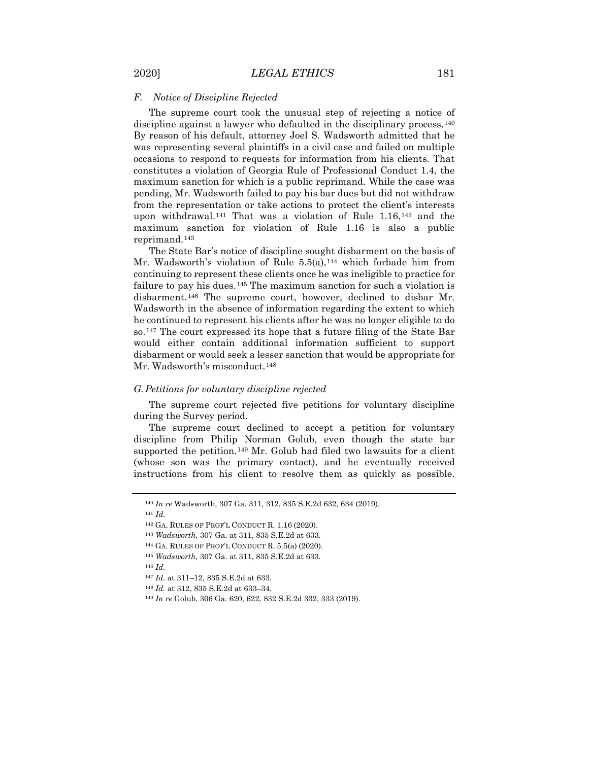### *F. Notice of Discipline Rejected*

The supreme court took the unusual step of rejecting a notice of discipline against a lawyer who defaulted in the disciplinary process.[140](#page-17-0) By reason of his default, attorney Joel S. Wadsworth admitted that he was representing several plaintiffs in a civil case and failed on multiple occasions to respond to requests for information from his clients. That constitutes a violation of Georgia Rule of Professional Conduct 1.4, the maximum sanction for which is a public reprimand. While the case was pending, Mr. Wadsworth failed to pay his bar dues but did not withdraw from the representation or take actions to protect the client's interests upon withdrawal.[141](#page-17-1) That was a violation of Rule 1.16,[142](#page-17-2) and the maximum sanction for violation of Rule 1.16 is also a public reprimand.[143](#page-17-3)

The State Bar's notice of discipline sought disbarment on the basis of Mr. Wadsworth's violation of Rule  $5.5(a)$ ,  $^{144}$  $^{144}$  $^{144}$  which forbade him from continuing to represent these clients once he was ineligible to practice for failure to pay his dues.<sup>[145](#page-17-5)</sup> The maximum sanction for such a violation is disbarment.[146](#page-17-6) The supreme court, however, declined to disbar Mr. Wadsworth in the absence of information regarding the extent to which he continued to represent his clients after he was no longer eligible to do so.[147](#page-17-7) The court expressed its hope that a future filing of the State Bar would either contain additional information sufficient to support disbarment or would seek a lesser sanction that would be appropriate for Mr. Wadsworth's misconduct.<sup>[148](#page-17-8)</sup>

## *G.Petitions for voluntary discipline rejected*

The supreme court rejected five petitions for voluntary discipline during the Survey period.

The supreme court declined to accept a petition for voluntary discipline from Philip Norman Golub, even though the state bar supported the petition.<sup>[149](#page-17-9)</sup> Mr. Golub had filed two lawsuits for a client (whose son was the primary contact), and he eventually received instructions from his client to resolve them as quickly as possible.

<span id="page-17-1"></span><sup>141</sup> *Id.*

<sup>148</sup> *Id.* at 312, 835 S.E.2d at 633–34.

<span id="page-17-0"></span><sup>140</sup> *In re* Wadsworth, 307 Ga. 311, 312, 835 S.E.2d 632, 634 (2019).

<span id="page-17-3"></span><span id="page-17-2"></span><sup>142</sup> GA. RULES OF PROF'L CONDUCT R. 1.16 (2020).

<sup>143</sup> *Wadsworth*, 307 Ga. at 311, 835 S.E.2d at 633.

<span id="page-17-4"></span><sup>144</sup> GA. RULES OF PROF'L CONDUCT R. 5.5(a) (2020).

<span id="page-17-5"></span><sup>145</sup> *Wadsworth*, 307 Ga. at 311, 835 S.E.2d at 633.

<span id="page-17-7"></span><span id="page-17-6"></span><sup>146</sup> *Id.*

<sup>147</sup> *Id.* at 311–12, 835 S.E.2d at 633.

<span id="page-17-9"></span><span id="page-17-8"></span><sup>149</sup> *In re* Golub, 306 Ga. 620, 622, 832 S.E.2d 332, 333 (2019).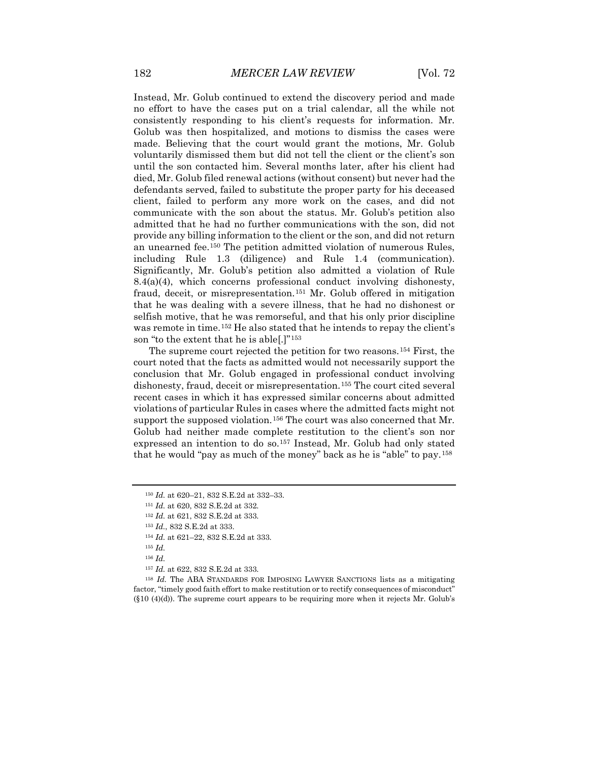Instead, Mr. Golub continued to extend the discovery period and made no effort to have the cases put on a trial calendar, all the while not consistently responding to his client's requests for information. Mr. Golub was then hospitalized, and motions to dismiss the cases were made. Believing that the court would grant the motions, Mr. Golub voluntarily dismissed them but did not tell the client or the client's son until the son contacted him. Several months later, after his client had died, Mr. Golub filed renewal actions (without consent) but never had the defendants served, failed to substitute the proper party for his deceased client, failed to perform any more work on the cases, and did not communicate with the son about the status. Mr. Golub's petition also admitted that he had no further communications with the son, did not provide any billing information to the client or the son, and did not return an unearned fee.[150](#page-18-0) The petition admitted violation of numerous Rules, including Rule 1.3 (diligence) and Rule 1.4 (communication). Significantly, Mr. Golub's petition also admitted a violation of Rule  $8.4(a)(4)$ , which concerns professional conduct involving dishonesty, fraud, deceit, or misrepresentation.[151](#page-18-1) Mr. Golub offered in mitigation that he was dealing with a severe illness, that he had no dishonest or selfish motive, that he was remorseful, and that his only prior discipline was remote in time.[152](#page-18-2) He also stated that he intends to repay the client's son "to the extent that he is able[.]"[153](#page-18-3)

The supreme court rejected the petition for two reasons.[154](#page-18-4) First, the court noted that the facts as admitted would not necessarily support the conclusion that Mr. Golub engaged in professional conduct involving dishonesty, fraud, deceit or misrepresentation.[155](#page-18-5) The court cited several recent cases in which it has expressed similar concerns about admitted violations of particular Rules in cases where the admitted facts might not support the supposed violation.<sup>[156](#page-18-6)</sup> The court was also concerned that Mr. Golub had neither made complete restitution to the client's son nor expressed an intention to do so.[157](#page-18-7) Instead, Mr. Golub had only stated that he would "pay as much of the money" back as he is "able" to pay.[158](#page-18-8)

<span id="page-18-0"></span><sup>150</sup> *Id.* at 620–21, 832 S.E.2d at 332–33.

<span id="page-18-1"></span><sup>151</sup> *Id.* at 620, 832 S.E.2d at 332.

<span id="page-18-2"></span><sup>152</sup> *Id.* at 621, 832 S.E.2d at 333.

<sup>153</sup> *Id.*, 832 S.E.2d at 333.

<sup>154</sup> *Id.* at 621–22, 832 S.E.2d at 333.

<sup>155</sup> *Id.*

<sup>157</sup> *Id.* at 622, 832 S.E.2d at 333.

<span id="page-18-8"></span><span id="page-18-7"></span><span id="page-18-6"></span><span id="page-18-5"></span><span id="page-18-4"></span><span id="page-18-3"></span><sup>158</sup> *Id.* The ABA STANDARDS FOR IMPOSING LAWYER SANCTIONS lists as a mitigating factor, "timely good faith effort to make restitution or to rectify consequences of misconduct"  $(\S10 \ (4)(d))$ . The supreme court appears to be requiring more when it rejects Mr. Golub's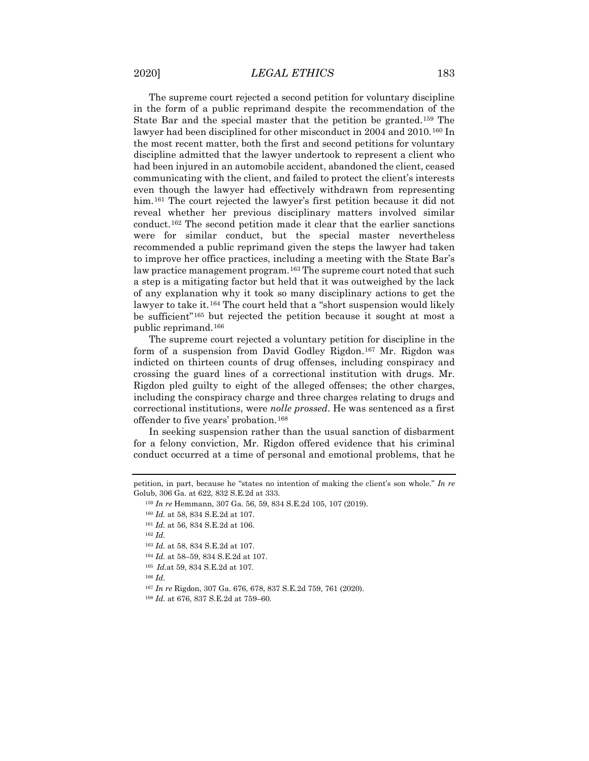The supreme court rejected a second petition for voluntary discipline in the form of a public reprimand despite the recommendation of the State Bar and the special master that the petition be granted.[159](#page-19-0) The lawyer had been disciplined for other misconduct in 2004 and 2010.<sup>[160](#page-19-1)</sup> In the most recent matter, both the first and second petitions for voluntary discipline admitted that the lawyer undertook to represent a client who had been injured in an automobile accident, abandoned the client, ceased communicating with the client, and failed to protect the client's interests even though the lawyer had effectively withdrawn from representing him.<sup>[161](#page-19-2)</sup> The court rejected the lawyer's first petition because it did not reveal whether her previous disciplinary matters involved similar conduct.[162](#page-19-3) The second petition made it clear that the earlier sanctions were for similar conduct, but the special master nevertheless recommended a public reprimand given the steps the lawyer had taken to improve her office practices, including a meeting with the State Bar's law practice management program.<sup>[163](#page-19-4)</sup> The supreme court noted that such a step is a mitigating factor but held that it was outweighed by the lack of any explanation why it took so many disciplinary actions to get the lawyer to take it.<sup>[164](#page-19-5)</sup> The court held that a "short suspension would likely be sufficient"[165](#page-19-6) but rejected the petition because it sought at most a public reprimand.[166](#page-19-7)

The supreme court rejected a voluntary petition for discipline in the form of a suspension from David Godley Rigdon.<sup>[167](#page-19-8)</sup> Mr. Rigdon was indicted on thirteen counts of drug offenses, including conspiracy and crossing the guard lines of a correctional institution with drugs. Mr. Rigdon pled guilty to eight of the alleged offenses; the other charges, including the conspiracy charge and three charges relating to drugs and correctional institutions, were *nolle prossed*. He was sentenced as a first offender to five years' probation.[168](#page-19-9)

In seeking suspension rather than the usual sanction of disbarment for a felony conviction, Mr. Rigdon offered evidence that his criminal conduct occurred at a time of personal and emotional problems, that he

- <sup>164</sup> *Id.* at 58–59, 834 S.E.2d at 107.
- <sup>165</sup> *Id.*at 59, 834 S.E.2d at 107.
- <span id="page-19-8"></span><span id="page-19-7"></span><span id="page-19-6"></span><sup>166</sup> *Id*.
- <sup>167</sup> *In re* Rigdon, 307 Ga. 676, 678, 837 S.E.2d 759, 761 (2020).
- <span id="page-19-9"></span><sup>168</sup> *Id.* at 676, 837 S.E.2d at 759–60.

<span id="page-19-3"></span><span id="page-19-2"></span><span id="page-19-1"></span><span id="page-19-0"></span>petition, in part, because he "states no intention of making the client's son whole." *In re*  Golub, 306 Ga. at 622, 832 S.E.2d at 333.

<sup>159</sup> *In re* Hemmann, 307 Ga. 56, 59, 834 S.E.2d 105, 107 (2019).

<sup>160</sup> *Id.* at 58, 834 S.E.2d at 107.

<sup>161</sup> *Id.* at 56, 834 S.E.2d at 106.

<span id="page-19-5"></span><span id="page-19-4"></span><sup>162</sup> *Id.*

<sup>163</sup> *Id.* at 58, 834 S.E.2d at 107.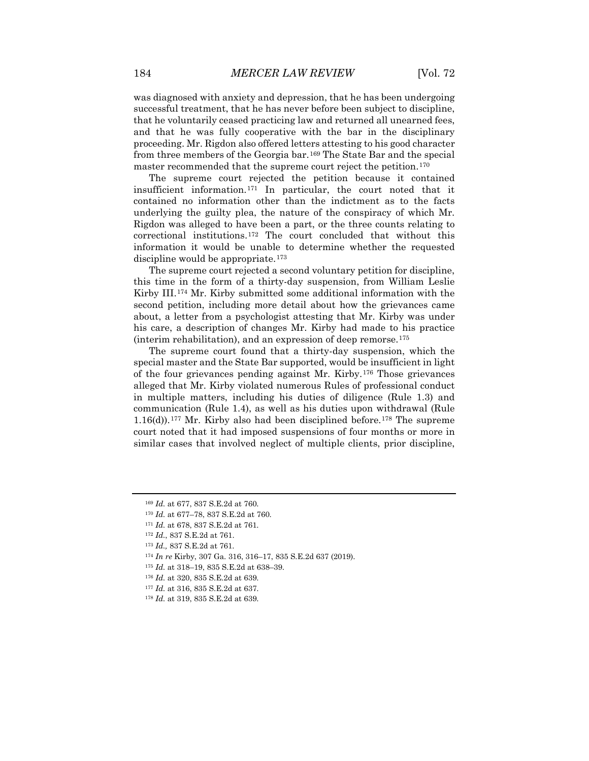was diagnosed with anxiety and depression, that he has been undergoing successful treatment, that he has never before been subject to discipline, that he voluntarily ceased practicing law and returned all unearned fees, and that he was fully cooperative with the bar in the disciplinary proceeding. Mr. Rigdon also offered letters attesting to his good character from three members of the Georgia bar.[169](#page-20-0) The State Bar and the special master recommended that the supreme court reject the petition.<sup>[170](#page-20-1)</sup>

The supreme court rejected the petition because it contained insufficient information.[171](#page-20-2) In particular, the court noted that it contained no information other than the indictment as to the facts underlying the guilty plea, the nature of the conspiracy of which Mr. Rigdon was alleged to have been a part, or the three counts relating to correctional institutions.[172](#page-20-3) The court concluded that without this information it would be unable to determine whether the requested discipline would be appropriate.<sup>[173](#page-20-4)</sup>

The supreme court rejected a second voluntary petition for discipline, this time in the form of a thirty-day suspension, from William Leslie Kirby III.[174](#page-20-5) Mr. Kirby submitted some additional information with the second petition, including more detail about how the grievances came about, a letter from a psychologist attesting that Mr. Kirby was under his care, a description of changes Mr. Kirby had made to his practice (interim rehabilitation), and an expression of deep remorse.[175](#page-20-6) 

The supreme court found that a thirty-day suspension, which the special master and the State Bar supported, would be insufficient in light of the four grievances pending against Mr. Kirby.[176](#page-20-7) Those grievances alleged that Mr. Kirby violated numerous Rules of professional conduct in multiple matters, including his duties of diligence (Rule 1.3) and communication (Rule 1.4), as well as his duties upon withdrawal (Rule  $1.16(d)$ ).<sup>[177](#page-20-8)</sup> Mr. Kirby also had been disciplined before.<sup>[178](#page-20-9)</sup> The supreme court noted that it had imposed suspensions of four months or more in similar cases that involved neglect of multiple clients, prior discipline,

<span id="page-20-0"></span><sup>169</sup> *Id.* at 677, 837 S.E.2d at 760.

<span id="page-20-1"></span><sup>170</sup> *Id.* at 677–78, 837 S.E.2d at 760.

<span id="page-20-2"></span><sup>171</sup> *Id.* at 678, 837 S.E.2d at 761.

<span id="page-20-3"></span><sup>172</sup> *Id.*, 837 S.E.2d at 761.

<sup>173</sup> *Id.,* 837 S.E.2d at 761.

<span id="page-20-6"></span><span id="page-20-5"></span><span id="page-20-4"></span><sup>174</sup> *In re* Kirby, 307 Ga. 316, 316–17, 835 S.E.2d 637 (2019).

<sup>175</sup> *Id.* at 318–19, 835 S.E.2d at 638–39.

<span id="page-20-7"></span><sup>176</sup> *Id.* at 320, 835 S.E.2d at 639.

<span id="page-20-8"></span><sup>177</sup> *Id.* at 316, 835 S.E.2d at 637.

<span id="page-20-9"></span><sup>178</sup> *Id.* at 319, 835 S.E.2d at 639.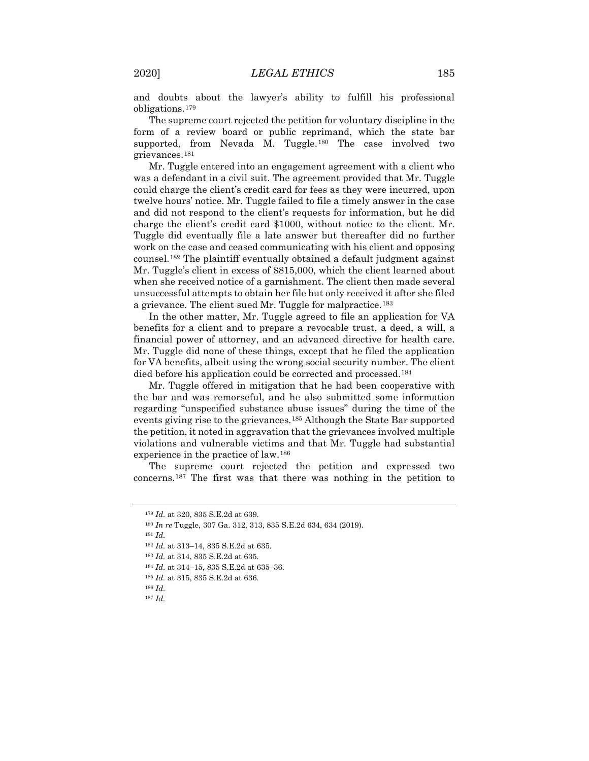and doubts about the lawyer's ability to fulfill his professional obligations.[179](#page-21-0)

The supreme court rejected the petition for voluntary discipline in the form of a review board or public reprimand, which the state bar supported, from Nevada M. Tuggle.<sup>[180](#page-21-1)</sup> The case involved two grievances.[181](#page-21-2)

Mr. Tuggle entered into an engagement agreement with a client who was a defendant in a civil suit. The agreement provided that Mr. Tuggle could charge the client's credit card for fees as they were incurred, upon twelve hours' notice. Mr. Tuggle failed to file a timely answer in the case and did not respond to the client's requests for information, but he did charge the client's credit card \$1000, without notice to the client. Mr. Tuggle did eventually file a late answer but thereafter did no further work on the case and ceased communicating with his client and opposing counsel.[182](#page-21-3) The plaintiff eventually obtained a default judgment against Mr. Tuggle's client in excess of \$815,000, which the client learned about when she received notice of a garnishment. The client then made several unsuccessful attempts to obtain her file but only received it after she filed a grievance. The client sued Mr. Tuggle for malpractice.<sup>[183](#page-21-4)</sup>

In the other matter, Mr. Tuggle agreed to file an application for VA benefits for a client and to prepare a revocable trust, a deed, a will, a financial power of attorney, and an advanced directive for health care. Mr. Tuggle did none of these things, except that he filed the application for VA benefits, albeit using the wrong social security number. The client died before his application could be corrected and processed.[184](#page-21-5)

Mr. Tuggle offered in mitigation that he had been cooperative with the bar and was remorseful, and he also submitted some information regarding "unspecified substance abuse issues" during the time of the events giving rise to the grievances.[185](#page-21-6) Although the State Bar supported the petition, it noted in aggravation that the grievances involved multiple violations and vulnerable victims and that Mr. Tuggle had substantial experience in the practice of law.[186](#page-21-7)

<span id="page-21-0"></span>The supreme court rejected the petition and expressed two concerns.[187](#page-21-8) The first was that there was nothing in the petition to

<sup>179</sup> *Id.* at 320, 835 S.E.2d at 639.

<span id="page-21-3"></span><span id="page-21-2"></span><span id="page-21-1"></span><sup>180</sup> *In re* Tuggle, 307 Ga. 312, 313, 835 S.E.2d 634, 634 (2019).

<sup>181</sup> *Id.*

<sup>182</sup> *Id.* at 313–14, 835 S.E.2d at 635.

<span id="page-21-4"></span><sup>183</sup> *Id.* at 314, 835 S.E.2d at 635.

<sup>184</sup> *Id.* at 314–15, 835 S.E.2d at 635–36.

<span id="page-21-6"></span><span id="page-21-5"></span><sup>185</sup> *Id.* at 315, 835 S.E.2d at 636.

<span id="page-21-8"></span><span id="page-21-7"></span><sup>186</sup> *Id.*

<sup>187</sup> *Id.*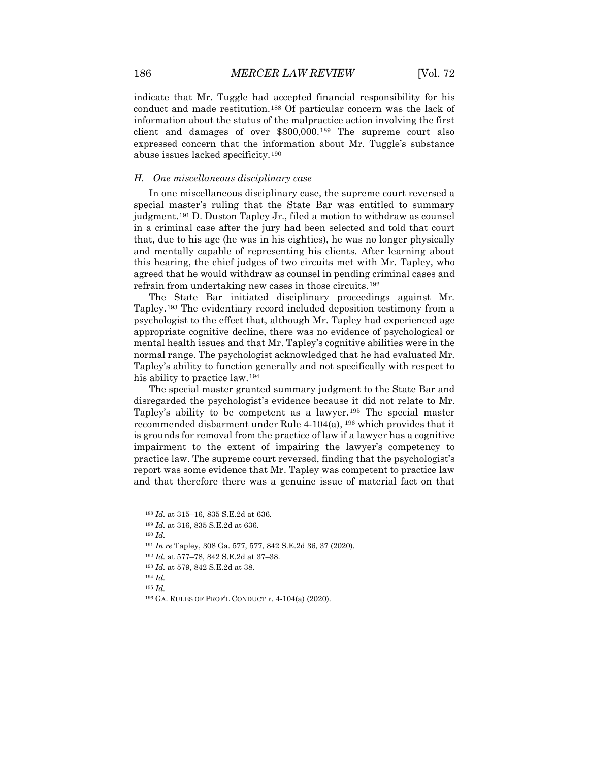indicate that Mr. Tuggle had accepted financial responsibility for his conduct and made restitution.[188](#page-22-0) Of particular concern was the lack of information about the status of the malpractice action involving the first client and damages of over \$800,000.[189](#page-22-1) The supreme court also expressed concern that the information about Mr. Tuggle's substance abuse issues lacked specificity.[190](#page-22-2)

## *H. One miscellaneous disciplinary case*

In one miscellaneous disciplinary case, the supreme court reversed a special master's ruling that the State Bar was entitled to summary judgment.<sup>[191](#page-22-3)</sup> D. Duston Tapley Jr., filed a motion to withdraw as counsel in a criminal case after the jury had been selected and told that court that, due to his age (he was in his eighties), he was no longer physically and mentally capable of representing his clients. After learning about this hearing, the chief judges of two circuits met with Mr. Tapley, who agreed that he would withdraw as counsel in pending criminal cases and refrain from undertaking new cases in those circuits.[192](#page-22-4)

The State Bar initiated disciplinary proceedings against Mr. Tapley.[193](#page-22-5) The evidentiary record included deposition testimony from a psychologist to the effect that, although Mr. Tapley had experienced age appropriate cognitive decline, there was no evidence of psychological or mental health issues and that Mr. Tapley's cognitive abilities were in the normal range. The psychologist acknowledged that he had evaluated Mr. Tapley's ability to function generally and not specifically with respect to his ability to practice law.[194](#page-22-6)

The special master granted summary judgment to the State Bar and disregarded the psychologist's evidence because it did not relate to Mr. Tapley's ability to be competent as a lawyer.[195](#page-22-7) The special master recommended disbarment under Rule 4-104(a), [196](#page-22-8) which provides that it is grounds for removal from the practice of law if a lawyer has a cognitive impairment to the extent of impairing the lawyer's competency to practice law. The supreme court reversed, finding that the psychologist's report was some evidence that Mr. Tapley was competent to practice law and that therefore there was a genuine issue of material fact on that

<span id="page-22-4"></span><span id="page-22-3"></span><sup>191</sup> *In re* Tapley, 308 Ga. 577, 577, 842 S.E.2d 36, 37 (2020).

- <sup>193</sup> *Id.* at 579, 842 S.E.2d at 38.
- <span id="page-22-7"></span><span id="page-22-6"></span><span id="page-22-5"></span><sup>194</sup> *Id.*
- <sup>195</sup> *Id.*

<sup>188</sup> *Id.* at 315–16, 835 S.E.2d at 636.

<span id="page-22-2"></span><span id="page-22-1"></span><span id="page-22-0"></span><sup>189</sup> *Id.* at 316, 835 S.E.2d at 636.

<sup>190</sup> *Id.*

<sup>192</sup> *Id.* at 577–78, 842 S.E.2d at 37–38.

<span id="page-22-8"></span><sup>196</sup> GA. RULES OF PROF'L CONDUCT r. 4-104(a) (2020).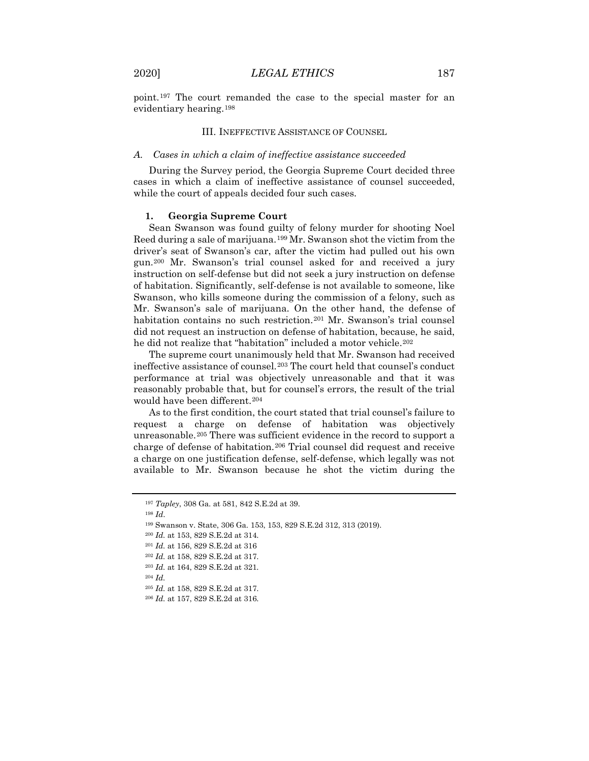point.[197](#page-23-0) The court remanded the case to the special master for an evidentiary hearing.[198](#page-23-1)

#### III. INEFFECTIVE ASSISTANCE OF COUNSEL

### *A. Cases in which a claim of ineffective assistance succeeded*

During the Survey period, the Georgia Supreme Court decided three cases in which a claim of ineffective assistance of counsel succeeded, while the court of appeals decided four such cases.

## **1. Georgia Supreme Court**

Sean Swanson was found guilty of felony murder for shooting Noel Reed during a sale of marijuana.[199](#page-23-2) Mr. Swanson shot the victim from the driver's seat of Swanson's car, after the victim had pulled out his own gun.[200](#page-23-3) Mr. Swanson's trial counsel asked for and received a jury instruction on self-defense but did not seek a jury instruction on defense of habitation. Significantly, self-defense is not available to someone, like Swanson, who kills someone during the commission of a felony, such as Mr. Swanson's sale of marijuana. On the other hand, the defense of habitation contains no such restriction.[201](#page-23-4) Mr. Swanson's trial counsel did not request an instruction on defense of habitation, because, he said, he did not realize that "habitation" included a motor vehicle.<sup>[202](#page-23-5)</sup>

The supreme court unanimously held that Mr. Swanson had received ineffective assistance of counsel.[203](#page-23-6) The court held that counsel's conduct performance at trial was objectively unreasonable and that it was reasonably probable that, but for counsel's errors, the result of the trial would have been different.[204](#page-23-7)

As to the first condition, the court stated that trial counsel's failure to request a charge on defense of habitation was objectively unreasonable.[205](#page-23-8) There was sufficient evidence in the record to support a charge of defense of habitation.[206](#page-23-9) Trial counsel did request and receive a charge on one justification defense, self-defense, which legally was not available to Mr. Swanson because he shot the victim during the

<sup>198</sup> *Id*.

<span id="page-23-0"></span><sup>197</sup> *Tapley*, 308 Ga. at 581, 842 S.E.2d at 39.

<span id="page-23-3"></span><span id="page-23-2"></span><span id="page-23-1"></span><sup>199</sup> Swanson v. State, 306 Ga. 153, 153, 829 S.E.2d 312, 313 (2019).

<sup>200</sup> *Id.* at 153, 829 S.E.2d at 314.

<sup>201</sup> *Id.* at 156, 829 S.E.2d at 316

<span id="page-23-5"></span><span id="page-23-4"></span><sup>202</sup> *Id.* at 158, 829 S.E.2d at 317.

<span id="page-23-7"></span><span id="page-23-6"></span><sup>203</sup> *Id.* at 164, 829 S.E.2d at 321.

<span id="page-23-8"></span><sup>205</sup> *Id.* at 158, 829 S.E.2d at 317.

<span id="page-23-9"></span><sup>206</sup> *Id.* at 157, 829 S.E.2d at 316.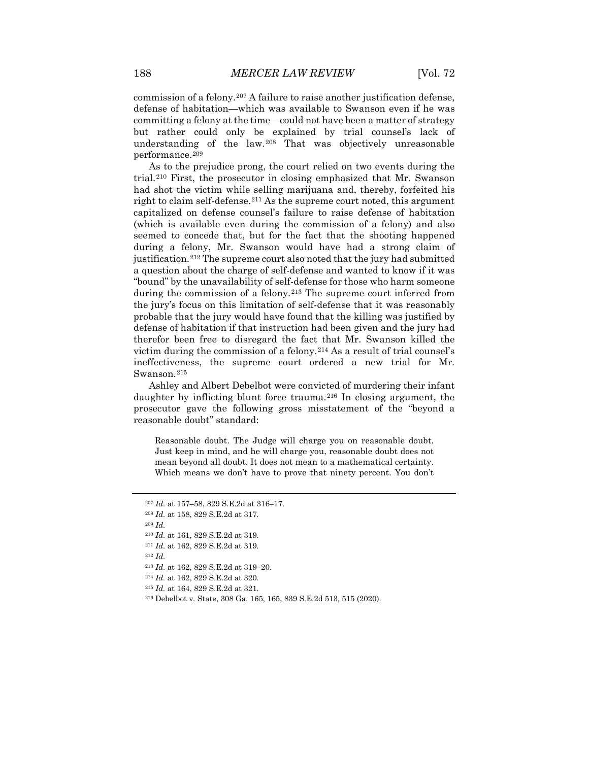commission of a felony.[207](#page-24-0) A failure to raise another justification defense, defense of habitation—which was available to Swanson even if he was committing a felony at the time—could not have been a matter of strategy but rather could only be explained by trial counsel's lack of understanding of the law.[208](#page-24-1) That was objectively unreasonable performance.[209](#page-24-2)

As to the prejudice prong, the court relied on two events during the trial.[210](#page-24-3) First, the prosecutor in closing emphasized that Mr. Swanson had shot the victim while selling marijuana and, thereby, forfeited his right to claim self-defense[.211](#page-24-4) As the supreme court noted, this argument capitalized on defense counsel's failure to raise defense of habitation (which is available even during the commission of a felony) and also seemed to concede that, but for the fact that the shooting happened during a felony, Mr. Swanson would have had a strong claim of justification.<sup>[212](#page-24-5)</sup> The supreme court also noted that the jury had submitted a question about the charge of self-defense and wanted to know if it was "bound" by the unavailability of self-defense for those who harm someone during the commission of a felony.<sup>[213](#page-24-6)</sup> The supreme court inferred from the jury's focus on this limitation of self-defense that it was reasonably probable that the jury would have found that the killing was justified by defense of habitation if that instruction had been given and the jury had therefor been free to disregard the fact that Mr. Swanson killed the victim during the commission of a felony.[214](#page-24-7) As a result of trial counsel's ineffectiveness, the supreme court ordered a new trial for Mr. Swanson.<sup>[215](#page-24-8)</sup>

Ashley and Albert Debelbot were convicted of murdering their infant daughter by inflicting blunt force trauma.<sup>[216](#page-24-9)</sup> In closing argument, the prosecutor gave the following gross misstatement of the "beyond a reasonable doubt" standard:

Reasonable doubt. The Judge will charge you on reasonable doubt. Just keep in mind, and he will charge you, reasonable doubt does not mean beyond all doubt. It does not mean to a mathematical certainty. Which means we don't have to prove that ninety percent. You don't

<span id="page-24-2"></span><sup>209</sup> *Id.*

- <span id="page-24-7"></span><sup>214</sup> *Id.* at 162, 829 S.E.2d at 320.
- <sup>215</sup> *Id.* at 164, 829 S.E.2d at 321.

<span id="page-24-0"></span><sup>207</sup> *Id.* at 157–58, 829 S.E.2d at 316–17.

<span id="page-24-1"></span><sup>208</sup> *Id.* at 158, 829 S.E.2d at 317.

<span id="page-24-3"></span><sup>210</sup> *Id.* at 161, 829 S.E.2d at 319.

<span id="page-24-5"></span><span id="page-24-4"></span><sup>211</sup> *Id.* at 162, 829 S.E.2d at 319.

<span id="page-24-6"></span><sup>213</sup> *Id.* at 162, 829 S.E.2d at 319–20.

<span id="page-24-9"></span><span id="page-24-8"></span><sup>216</sup> Debelbot v. State, 308 Ga. 165, 165, 839 S.E.2d 513, 515 (2020).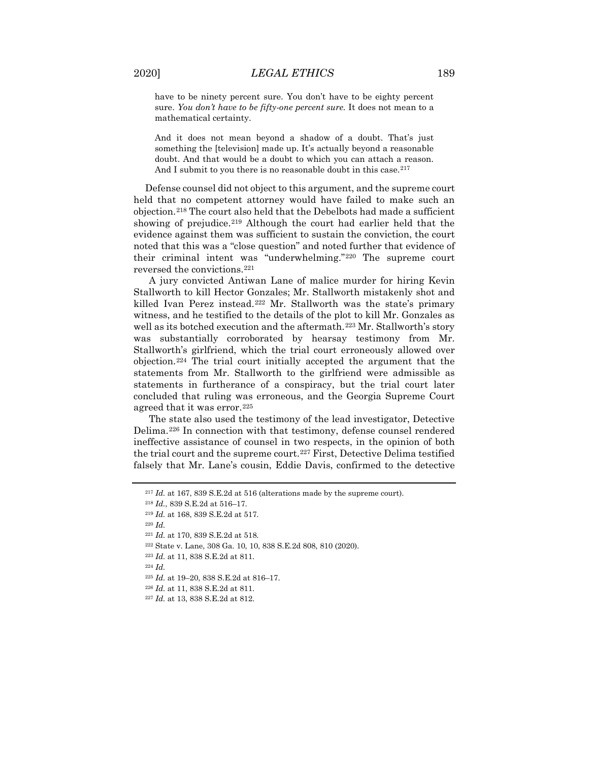have to be ninety percent sure. You don't have to be eighty percent sure. *You don't have to be fifty-one percent sure.* It does not mean to a mathematical certainty.

And it does not mean beyond a shadow of a doubt. That's just something the [television] made up. It's actually beyond a reasonable doubt. And that would be a doubt to which you can attach a reason. And I submit to you there is no reasonable doubt in this case.<sup>[217](#page-25-0)</sup>

Defense counsel did not object to this argument, and the supreme court held that no competent attorney would have failed to make such an objection.[218](#page-25-1) The court also held that the Debelbots had made a sufficient showing of prejudice.<sup>[219](#page-25-2)</sup> Although the court had earlier held that the evidence against them was sufficient to sustain the conviction, the court noted that this was a "close question" and noted further that evidence of their criminal intent was "underwhelming."[220](#page-25-3) The supreme court reversed the convictions.[221](#page-25-4)

A jury convicted Antiwan Lane of malice murder for hiring Kevin Stallworth to kill Hector Gonzales; Mr. Stallworth mistakenly shot and killed Ivan Perez instead.<sup>[222](#page-25-5)</sup> Mr. Stallworth was the state's primary witness, and he testified to the details of the plot to kill Mr. Gonzales as well as its botched execution and the aftermath.<sup>[223](#page-25-6)</sup> Mr. Stallworth's story was substantially corroborated by hearsay testimony from Mr. Stallworth's girlfriend, which the trial court erroneously allowed over objection.[224](#page-25-7) The trial court initially accepted the argument that the statements from Mr. Stallworth to the girlfriend were admissible as statements in furtherance of a conspiracy, but the trial court later concluded that ruling was erroneous, and the Georgia Supreme Court agreed that it was error.<sup>[225](#page-25-8)</sup>

The state also used the testimony of the lead investigator, Detective Delima.[226](#page-25-9) In connection with that testimony, defense counsel rendered ineffective assistance of counsel in two respects, in the opinion of both the trial court and the supreme court.<sup>[227](#page-25-10)</sup> First, Detective Delima testified falsely that Mr. Lane's cousin, Eddie Davis, confirmed to the detective

<span id="page-25-3"></span><sup>220</sup> *Id.*

<span id="page-25-0"></span><sup>217</sup> *Id.* at 167, 839 S.E.2d at 516 (alterations made by the supreme court).

<span id="page-25-1"></span><sup>218</sup> *Id.*, 839 S.E.2d at 516–17.

<span id="page-25-2"></span><sup>219</sup> *Id.* at 168, 839 S.E.2d at 517.

<span id="page-25-4"></span><sup>221</sup> *Id.* at 170, 839 S.E.2d at 518.

<span id="page-25-5"></span><sup>222</sup> State v. Lane, 308 Ga. 10, 10, 838 S.E.2d 808, 810 (2020).

<span id="page-25-7"></span><span id="page-25-6"></span><sup>223</sup> *Id.* at 11, 838 S.E.2d at 811.

<span id="page-25-8"></span><sup>225</sup> *Id.* at 19–20, 838 S.E.2d at 816–17.

<span id="page-25-9"></span><sup>226</sup> *Id.* at 11, 838 S.E.2d at 811.

<span id="page-25-10"></span><sup>227</sup> *Id.* at 13, 838 S.E.2d at 812.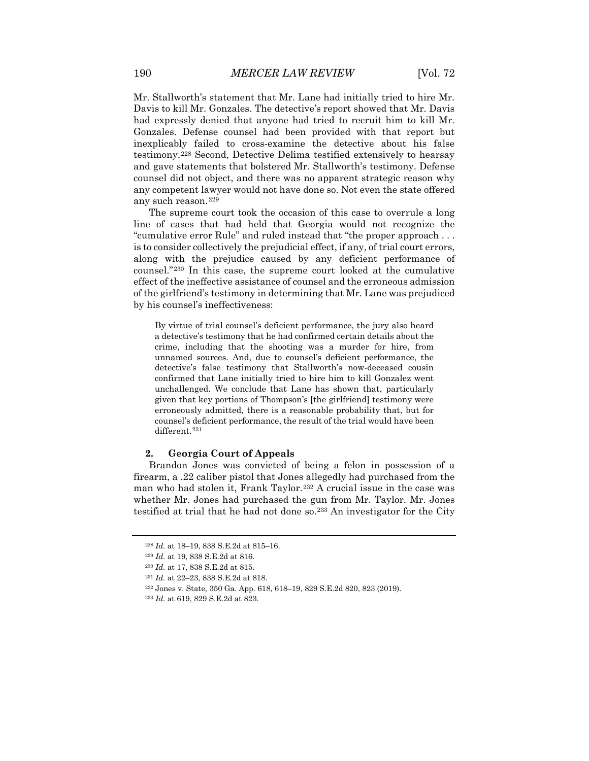Mr. Stallworth's statement that Mr. Lane had initially tried to hire Mr. Davis to kill Mr. Gonzales. The detective's report showed that Mr. Davis had expressly denied that anyone had tried to recruit him to kill Mr. Gonzales. Defense counsel had been provided with that report but inexplicably failed to cross-examine the detective about his false testimony.[228](#page-26-0) Second, Detective Delima testified extensively to hearsay and gave statements that bolstered Mr. Stallworth's testimony. Defense counsel did not object, and there was no apparent strategic reason why any competent lawyer would not have done so. Not even the state offered any such reason.[229](#page-26-1)

The supreme court took the occasion of this case to overrule a long line of cases that had held that Georgia would not recognize the "cumulative error Rule" and ruled instead that "the proper approach . . . is to consider collectively the prejudicial effect, if any, of trial court errors, along with the prejudice caused by any deficient performance of counsel."[230](#page-26-2) In this case, the supreme court looked at the cumulative effect of the ineffective assistance of counsel and the erroneous admission of the girlfriend's testimony in determining that Mr. Lane was prejudiced by his counsel's ineffectiveness:

By virtue of trial counsel's deficient performance, the jury also heard a detective's testimony that he had confirmed certain details about the crime, including that the shooting was a murder for hire, from unnamed sources. And, due to counsel's deficient performance, the detective's false testimony that Stallworth's now-deceased cousin confirmed that Lane initially tried to hire him to kill Gonzalez went unchallenged. We conclude that Lane has shown that, particularly given that key portions of Thompson's [the girlfriend] testimony were erroneously admitted, there is a reasonable probability that, but for counsel's deficient performance, the result of the trial would have been different.<sup>[231](#page-26-3)</sup>

## **2. Georgia Court of Appeals**

Brandon Jones was convicted of being a felon in possession of a firearm, a .22 caliber pistol that Jones allegedly had purchased from the man who had stolen it, Frank Taylor.<sup>[232](#page-26-4)</sup> A crucial issue in the case was whether Mr. Jones had purchased the gun from Mr. Taylor. Mr. Jones testified at trial that he had not done so.[233](#page-26-5) An investigator for the City

<span id="page-26-0"></span><sup>228</sup> *Id.* at 18–19, 838 S.E.2d at 815–16.

<span id="page-26-1"></span><sup>229</sup> *Id.* at 19, 838 S.E.2d at 816.

<span id="page-26-2"></span><sup>230</sup> *Id.* at 17, 838 S.E.2d at 815.

<span id="page-26-3"></span><sup>231</sup> *Id.* at 22–23, 838 S.E.2d at 818.

<span id="page-26-5"></span><span id="page-26-4"></span><sup>232</sup> Jones v. State, 350 Ga. App. 618, 618–19, 829 S.E.2d 820, 823 (2019).

<sup>233</sup> *Id.* at 619, 829 S.E.2d at 823.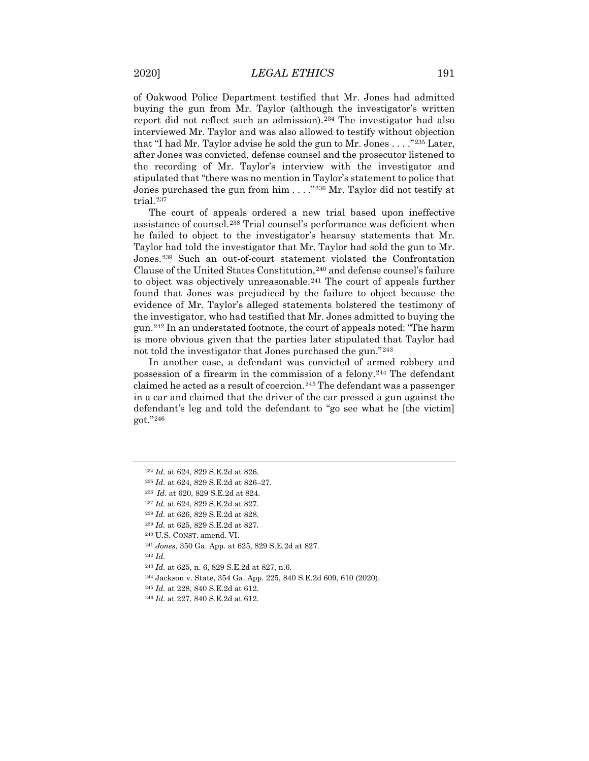of Oakwood Police Department testified that Mr. Jones had admitted buying the gun from Mr. Taylor (although the investigator's written report did not reflect such an admission).[234](#page-27-0) The investigator had also interviewed Mr. Taylor and was also allowed to testify without objection that "I had Mr. Taylor advise he sold the gun to Mr. Jones . . . ."[235](#page-27-1) Later, after Jones was convicted, defense counsel and the prosecutor listened to the recording of Mr. Taylor's interview with the investigator and stipulated that "there was no mention in Taylor's statement to police that Jones purchased the gun from him . . . ."[236](#page-27-2) Mr. Taylor did not testify at trial.[237](#page-27-3)

The court of appeals ordered a new trial based upon ineffective assistance of counsel.[238](#page-27-4) Trial counsel's performance was deficient when he failed to object to the investigator's hearsay statements that Mr. Taylor had told the investigator that Mr. Taylor had sold the gun to Mr. Jones.[239](#page-27-5) Such an out-of-court statement violated the Confrontation Clause of the United States Constitution, <sup>[240](#page-27-6)</sup> and defense counsel's failure to object was objectively unreasonable.<sup>[241](#page-27-7)</sup> The court of appeals further found that Jones was prejudiced by the failure to object because the evidence of Mr. Taylor's alleged statements bolstered the testimony of the investigator, who had testified that Mr. Jones admitted to buying the gun.[242](#page-27-8) In an understated footnote, the court of appeals noted: "The harm is more obvious given that the parties later stipulated that Taylor had not told the investigator that Jones purchased the gun."<sup>[243](#page-27-9)</sup>

In another case, a defendant was convicted of armed robbery and possession of a firearm in the commission of a felony.[244](#page-27-10) The defendant claimed he acted as a result of coercion.[245](#page-27-11) The defendant was a passenger in a car and claimed that the driver of the car pressed a gun against the defendant's leg and told the defendant to "go see what he [the victim] got."[246](#page-27-12)

- <span id="page-27-10"></span><sup>244</sup> Jackson v. State, 354 Ga. App. 225, 840 S.E.2d 609, 610 (2020).
- <span id="page-27-11"></span><sup>245</sup> *Id.* at 228, 840 S.E.2d at 612.

<span id="page-27-0"></span><sup>234</sup> *Id.* at 624, 829 S.E.2d at 826.

<span id="page-27-1"></span><sup>235</sup> *Id.* at 624, 829 S.E.2d at 826–27.

<span id="page-27-2"></span><sup>236</sup> *Id.* at 620, 829 S.E.2d at 824.

<span id="page-27-3"></span><sup>237</sup> *Id.* at 624, 829 S.E.2d at 827.

<span id="page-27-4"></span><sup>238</sup> *Id.* at 626, 829 S.E.2d at 828.

<span id="page-27-5"></span><sup>239</sup> *Id.* at 625, 829 S.E.2d at 827.

<span id="page-27-6"></span><sup>240</sup> U.S. CONST. amend. VI.

<span id="page-27-8"></span><span id="page-27-7"></span><sup>241</sup> *Jones*, 350 Ga. App. at 625, 829 S.E.2d at 827.

<span id="page-27-9"></span><sup>243</sup> *Id.* at 625, n. 6, 829 S.E.2d at 827, n.6.

<span id="page-27-12"></span><sup>246</sup> *Id.* at 227, 840 S.E.2d at 612.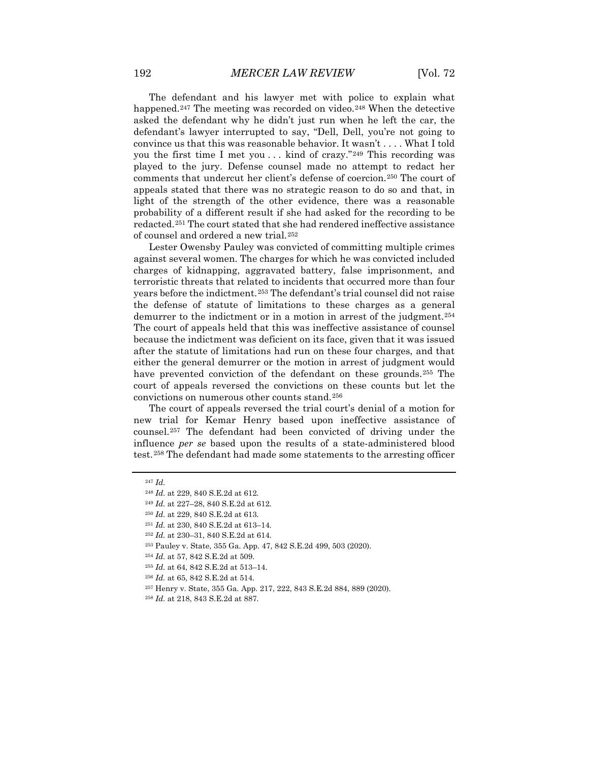The defendant and his lawyer met with police to explain what happened.<sup>[247](#page-28-0)</sup> The meeting was recorded on video.<sup>[248](#page-28-1)</sup> When the detective asked the defendant why he didn't just run when he left the car, the defendant's lawyer interrupted to say, "Dell, Dell, you're not going to convince us that this was reasonable behavior. It wasn't . . . . What I told you the first time I met you  $\dots$  kind of crazy."<sup>[249](#page-28-2)</sup> This recording was played to the jury. Defense counsel made no attempt to redact her comments that undercut her client's defense of coercion.[250](#page-28-3) The court of appeals stated that there was no strategic reason to do so and that, in light of the strength of the other evidence, there was a reasonable probability of a different result if she had asked for the recording to be redacted.[251](#page-28-4) The court stated that she had rendered ineffective assistance of counsel and ordered a new trial.[252](#page-28-5)

Lester Owensby Pauley was convicted of committing multiple crimes against several women. The charges for which he was convicted included charges of kidnapping, aggravated battery, false imprisonment, and terroristic threats that related to incidents that occurred more than four years before the indictment.[253](#page-28-6) The defendant's trial counsel did not raise the defense of statute of limitations to these charges as a general demurrer to the indictment or in a motion in arrest of the judgment.[254](#page-28-7) The court of appeals held that this was ineffective assistance of counsel because the indictment was deficient on its face, given that it was issued after the statute of limitations had run on these four charges, and that either the general demurrer or the motion in arrest of judgment would have prevented conviction of the defendant on these grounds.<sup>[255](#page-28-8)</sup> The court of appeals reversed the convictions on these counts but let the convictions on numerous other counts stand.[256](#page-28-9)

The court of appeals reversed the trial court's denial of a motion for new trial for Kemar Henry based upon ineffective assistance of counsel.[257](#page-28-10) The defendant had been convicted of driving under the influence *per se* based upon the results of a state-administered blood test.[258](#page-28-11) The defendant had made some statements to the arresting officer

<span id="page-28-1"></span><span id="page-28-0"></span><sup>247</sup> *Id.*

<sup>248</sup> *Id.* at 229, 840 S.E.2d at 612.

<span id="page-28-2"></span><sup>249</sup> *Id.* at 227–28, 840 S.E.2d at 612.

<span id="page-28-3"></span><sup>250</sup> *Id.* at 229, 840 S.E.2d at 613.

<span id="page-28-4"></span><sup>251</sup> *Id.* at 230, 840 S.E.2d at 613–14.

<span id="page-28-6"></span><span id="page-28-5"></span><sup>252</sup> *Id.* at 230–31, 840 S.E.2d at 614.

<sup>253</sup> Pauley v. State, 355 Ga. App. 47, 842 S.E.2d 499, 503 (2020).

<sup>254</sup> *Id.* at 57, 842 S.E.2d at 509.

<span id="page-28-9"></span><span id="page-28-8"></span><span id="page-28-7"></span><sup>255</sup> *Id.* at 64, 842 S.E.2d at 513–14.

<sup>256</sup> *Id.* at 65, 842 S.E.2d at 514.

<span id="page-28-10"></span><sup>257</sup> Henry v. State, 355 Ga. App. 217, 222, 843 S.E.2d 884, 889 (2020).

<span id="page-28-11"></span><sup>258</sup> *Id.* at 218, 843 S.E.2d at 887.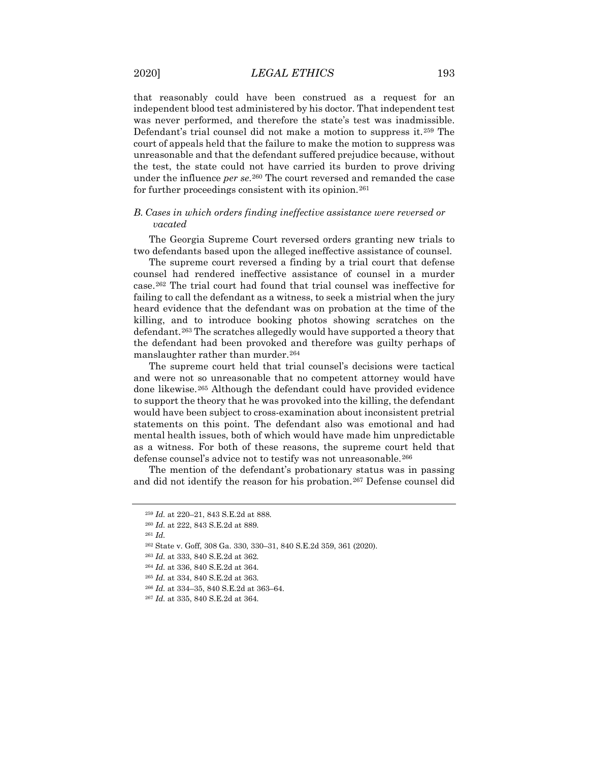that reasonably could have been construed as a request for an independent blood test administered by his doctor. That independent test was never performed, and therefore the state's test was inadmissible. Defendant's trial counsel did not make a motion to suppress it.[259](#page-29-0) The court of appeals held that the failure to make the motion to suppress was unreasonable and that the defendant suffered prejudice because, without the test, the state could not have carried its burden to prove driving under the influence *per se*.<sup>[260](#page-29-1)</sup> The court reversed and remanded the case for further proceedings consistent with its opinion.<sup>[261](#page-29-2)</sup>

## *B. Cases in which orders finding ineffective assistance were reversed or vacated*

The Georgia Supreme Court reversed orders granting new trials to two defendants based upon the alleged ineffective assistance of counsel.

The supreme court reversed a finding by a trial court that defense counsel had rendered ineffective assistance of counsel in a murder case.[262](#page-29-3) The trial court had found that trial counsel was ineffective for failing to call the defendant as a witness, to seek a mistrial when the jury heard evidence that the defendant was on probation at the time of the killing, and to introduce booking photos showing scratches on the defendant.[263](#page-29-4) The scratches allegedly would have supported a theory that the defendant had been provoked and therefore was guilty perhaps of manslaughter rather than murder.<sup>[264](#page-29-5)</sup>

The supreme court held that trial counsel's decisions were tactical and were not so unreasonable that no competent attorney would have done likewise.[265](#page-29-6) Although the defendant could have provided evidence to support the theory that he was provoked into the killing, the defendant would have been subject to cross-examination about inconsistent pretrial statements on this point. The defendant also was emotional and had mental health issues, both of which would have made him unpredictable as a witness. For both of these reasons, the supreme court held that defense counsel's advice not to testify was not unreasonable.<sup>[266](#page-29-7)</sup>

<span id="page-29-1"></span><span id="page-29-0"></span>The mention of the defendant's probationary status was in passing and did not identify the reason for his probation.[267](#page-29-8) Defense counsel did

<sup>259</sup> *Id.* at 220–21, 843 S.E.2d at 888.

<sup>260</sup> *Id.* at 222, 843 S.E.2d at 889.

<span id="page-29-2"></span><sup>261</sup> *Id.*

<span id="page-29-4"></span><span id="page-29-3"></span><sup>262</sup> State v. Goff, 308 Ga. 330, 330–31, 840 S.E.2d 359, 361 (2020).

<sup>263</sup> *Id.* at 333, 840 S.E.2d at 362.

<span id="page-29-6"></span><span id="page-29-5"></span><sup>264</sup> *Id.* at 336, 840 S.E.2d at 364.

<sup>265</sup> *Id.* at 334, 840 S.E.2d at 363.

<span id="page-29-7"></span><sup>266</sup> *Id.* at 334–35, 840 S.E.2d at 363–64.

<span id="page-29-8"></span><sup>267</sup> *Id.* at 335, 840 S.E.2d at 364.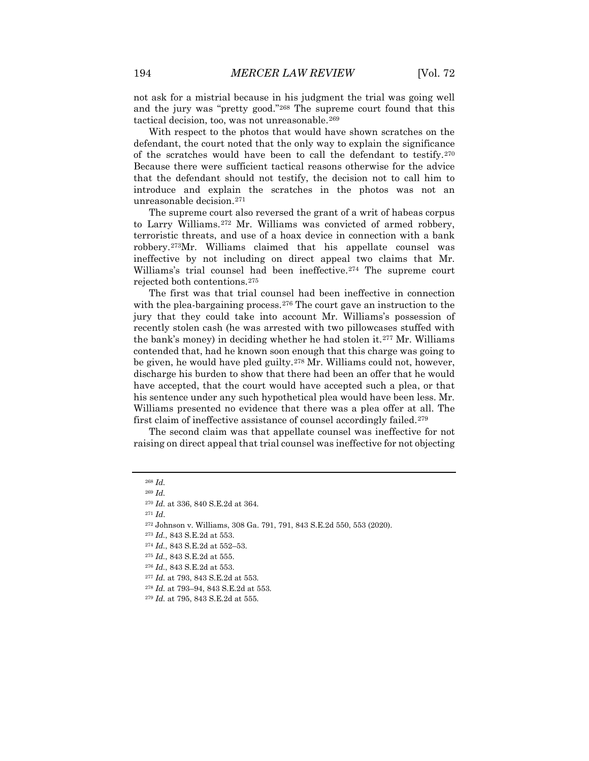not ask for a mistrial because in his judgment the trial was going well and the jury was "pretty good."[268](#page-30-0) The supreme court found that this tactical decision, too, was not unreasonable.<sup>[269](#page-30-1)</sup>

With respect to the photos that would have shown scratches on the defendant, the court noted that the only way to explain the significance of the scratches would have been to call the defendant to testify.[270](#page-30-2) Because there were sufficient tactical reasons otherwise for the advice that the defendant should not testify, the decision not to call him to introduce and explain the scratches in the photos was not an unreasonable decision.[271](#page-30-3)

The supreme court also reversed the grant of a writ of habeas corpus to Larry Williams.[272](#page-30-4) Mr. Williams was convicted of armed robbery, terroristic threats, and use of a hoax device in connection with a bank robbery.[273](#page-30-5)Mr. Williams claimed that his appellate counsel was ineffective by not including on direct appeal two claims that Mr. Williams's trial counsel had been ineffective.[274](#page-30-6) The supreme court rejected both contentions.[275](#page-30-7)

The first was that trial counsel had been ineffective in connection with the plea-bargaining process.<sup>[276](#page-30-8)</sup> The court gave an instruction to the jury that they could take into account Mr. Williams's possession of recently stolen cash (he was arrested with two pillowcases stuffed with the bank's money) in deciding whether he had stolen it.[277](#page-30-9) Mr. Williams contended that, had he known soon enough that this charge was going to be given, he would have pled guilty.<sup>[278](#page-30-10)</sup> Mr. Williams could not, however, discharge his burden to show that there had been an offer that he would have accepted, that the court would have accepted such a plea, or that his sentence under any such hypothetical plea would have been less. Mr. Williams presented no evidence that there was a plea offer at all. The first claim of ineffective assistance of counsel accordingly failed.[279](#page-30-11)

<span id="page-30-0"></span>The second claim was that appellate counsel was ineffective for not raising on direct appeal that trial counsel was ineffective for not objecting

<sup>271</sup> *Id*.

<sup>273</sup> *Id.*, 843 S.E.2d at 553.

<span id="page-30-11"></span><span id="page-30-10"></span><sup>278</sup> *Id.* at 793–94, 843 S.E.2d at 553.

<span id="page-30-1"></span><sup>268</sup> *Id.*

<sup>269</sup> *Id.*

<span id="page-30-2"></span><sup>270</sup> *Id.* at 336, 840 S.E.2d at 364.

<span id="page-30-5"></span><span id="page-30-4"></span><span id="page-30-3"></span><sup>272</sup> Johnson v. Williams, 308 Ga. 791, 791, 843 S.E.2d 550, 553 (2020).

<sup>274</sup> *Id.*, 843 S.E.2d at 552–53.

<span id="page-30-7"></span><span id="page-30-6"></span><sup>275</sup> *Id.*, 843 S.E.2d at 555.

<span id="page-30-8"></span><sup>276</sup> *Id.*, 843 S.E.2d at 553.

<span id="page-30-9"></span><sup>277</sup> *Id.* at 793, 843 S.E.2d at 553.

<sup>279</sup> *Id.* at 795, 843 S.E.2d at 555.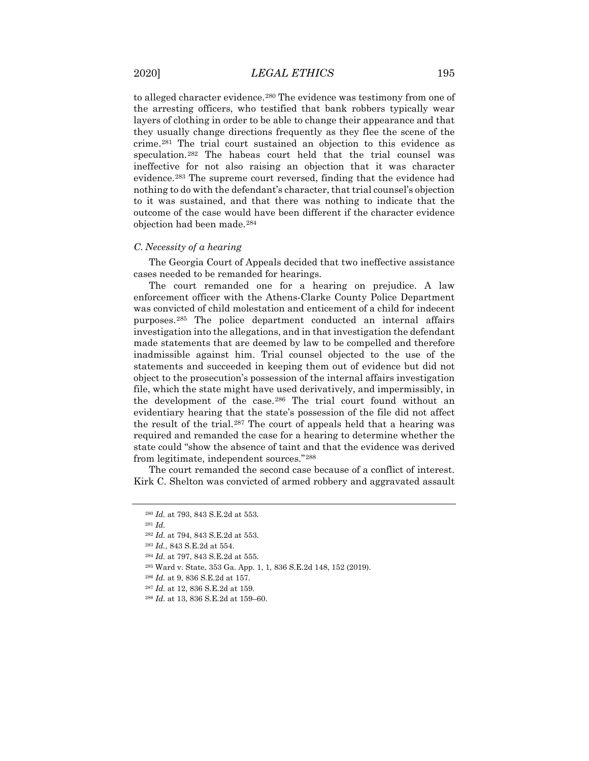to alleged character evidence.[280](#page-31-0) The evidence was testimony from one of the arresting officers, who testified that bank robbers typically wear layers of clothing in order to be able to change their appearance and that they usually change directions frequently as they flee the scene of the crime.[281](#page-31-1) The trial court sustained an objection to this evidence as speculation.[282](#page-31-2) The habeas court held that the trial counsel was ineffective for not also raising an objection that it was character evidence.[283](#page-31-3) The supreme court reversed, finding that the evidence had nothing to do with the defendant's character, that trial counsel's objection to it was sustained, and that there was nothing to indicate that the outcome of the case would have been different if the character evidence objection had been made.[284](#page-31-4)

#### *C. Necessity of a hearing*

The Georgia Court of Appeals decided that two ineffective assistance cases needed to be remanded for hearings.

The court remanded one for a hearing on prejudice. A law enforcement officer with the Athens-Clarke County Police Department was convicted of child molestation and enticement of a child for indecent purposes.[285](#page-31-5) The police department conducted an internal affairs investigation into the allegations, and in that investigation the defendant made statements that are deemed by law to be compelled and therefore inadmissible against him. Trial counsel objected to the use of the statements and succeeded in keeping them out of evidence but did not object to the prosecution's possession of the internal affairs investigation file, which the state might have used derivatively, and impermissibly, in the development of the case.[286](#page-31-6) The trial court found without an evidentiary hearing that the state's possession of the file did not affect the result of the trial.[287](#page-31-7) The court of appeals held that a hearing was required and remanded the case for a hearing to determine whether the state could "show the absence of taint and that the evidence was derived from legitimate, independent sources."[288](#page-31-8)

<span id="page-31-1"></span><span id="page-31-0"></span>The court remanded the second case because of a conflict of interest. Kirk C. Shelton was convicted of armed robbery and aggravated assault

<sup>280</sup> *Id.* at 793, 843 S.E.2d at 553.

<sup>281</sup> *Id.*

<span id="page-31-3"></span><span id="page-31-2"></span><sup>282</sup> *Id.* at 794, 843 S.E.2d at 553.

<sup>283</sup> *Id.*, 843 S.E.2d at 554.

<span id="page-31-4"></span><sup>284</sup> *Id.* at 797, 843 S.E.2d at 555.

<span id="page-31-6"></span><span id="page-31-5"></span><sup>285</sup> Ward v. State, 353 Ga. App. 1, 1, 836 S.E.2d 148, 152 (2019).

<sup>286</sup> *Id.* at 9, 836 S.E.2d at 157.

<span id="page-31-8"></span><span id="page-31-7"></span><sup>287</sup> *Id.* at 12, 836 S.E.2d at 159.

<sup>288</sup> *Id.* at 13, 836 S.E.2d at 159–60.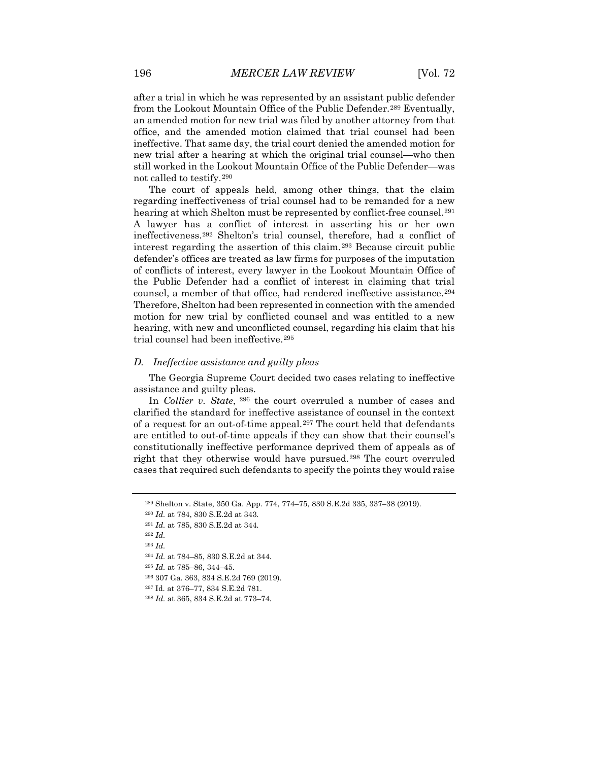after a trial in which he was represented by an assistant public defender from the Lookout Mountain Office of the Public Defender.[289](#page-32-0) Eventually, an amended motion for new trial was filed by another attorney from that office, and the amended motion claimed that trial counsel had been ineffective. That same day, the trial court denied the amended motion for new trial after a hearing at which the original trial counsel—who then still worked in the Lookout Mountain Office of the Public Defender—was not called to testify.[290](#page-32-1)

The court of appeals held, among other things, that the claim regarding ineffectiveness of trial counsel had to be remanded for a new hearing at which Shelton must be represented by conflict-free counsel.[291](#page-32-2) A lawyer has a conflict of interest in asserting his or her own ineffectiveness.[292](#page-32-3) Shelton's trial counsel, therefore, had a conflict of interest regarding the assertion of this claim.[293](#page-32-4) Because circuit public defender's offices are treated as law firms for purposes of the imputation of conflicts of interest, every lawyer in the Lookout Mountain Office of the Public Defender had a conflict of interest in claiming that trial counsel, a member of that office, had rendered ineffective assistance.<sup>[294](#page-32-5)</sup> Therefore, Shelton had been represented in connection with the amended motion for new trial by conflicted counsel and was entitled to a new hearing, with new and unconflicted counsel, regarding his claim that his trial counsel had been ineffective.[295](#page-32-6)

## *D. Ineffective assistance and guilty pleas*

The Georgia Supreme Court decided two cases relating to ineffective assistance and guilty pleas.

In *Collier v. State*, [296](#page-32-7) the court overruled a number of cases and clarified the standard for ineffective assistance of counsel in the context of a request for an out-of-time appeal.[297](#page-32-8) The court held that defendants are entitled to out-of-time appeals if they can show that their counsel's constitutionally ineffective performance deprived them of appeals as of right that they otherwise would have pursued.[298](#page-32-9) The court overruled cases that required such defendants to specify the points they would raise

<sup>289</sup> Shelton v. State, 350 Ga. App. 774, 774–75, 830 S.E.2d 335, 337–38 (2019).

<span id="page-32-1"></span><span id="page-32-0"></span><sup>290</sup> *Id.* at 784, 830 S.E.2d at 343.

<sup>291</sup> *Id.* at 785, 830 S.E.2d at 344.

<span id="page-32-5"></span><span id="page-32-4"></span><span id="page-32-3"></span><span id="page-32-2"></span><sup>292</sup> *Id.*

<sup>293</sup> *Id.*

<sup>294</sup> *Id.* at 784–85, 830 S.E.2d at 344.

<span id="page-32-6"></span><sup>295</sup> *Id.* at 785–86, 344–45.

<span id="page-32-7"></span><sup>296</sup> 307 Ga. 363, 834 S.E.2d 769 (2019).

<span id="page-32-8"></span><sup>297</sup> Id. at 376–77, 834 S.E.2d 781.

<span id="page-32-9"></span><sup>298</sup> *Id.* at 365, 834 S.E.2d at 773–74.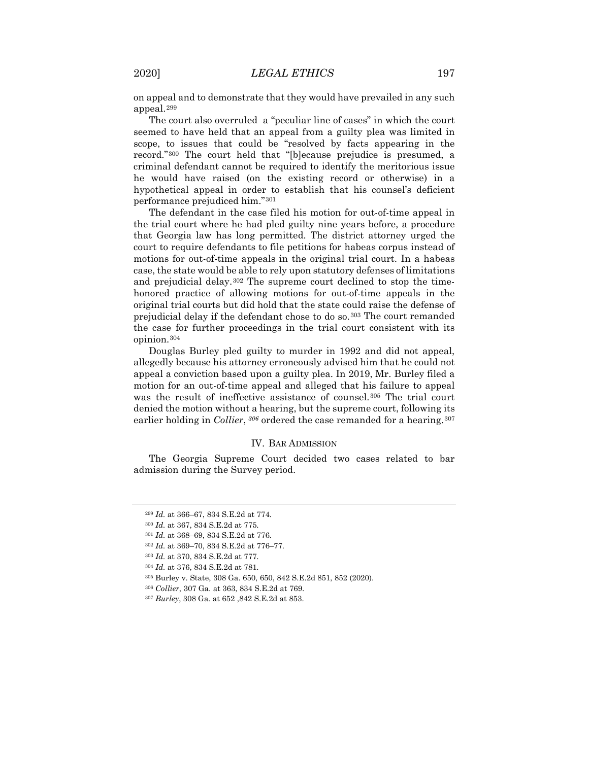on appeal and to demonstrate that they would have prevailed in any such appeal.[299](#page-33-0)

The court also overruled a "peculiar line of cases" in which the court seemed to have held that an appeal from a guilty plea was limited in scope, to issues that could be "resolved by facts appearing in the record."[300](#page-33-1) The court held that "[b]ecause prejudice is presumed, a criminal defendant cannot be required to identify the meritorious issue he would have raised (on the existing record or otherwise) in a hypothetical appeal in order to establish that his counsel's deficient performance prejudiced him."[301](#page-33-2)

The defendant in the case filed his motion for out-of-time appeal in the trial court where he had pled guilty nine years before, a procedure that Georgia law has long permitted. The district attorney urged the court to require defendants to file petitions for habeas corpus instead of motions for out-of-time appeals in the original trial court. In a habeas case, the state would be able to rely upon statutory defenses of limitations and prejudicial delay.[302](#page-33-3) The supreme court declined to stop the timehonored practice of allowing motions for out-of-time appeals in the original trial courts but did hold that the state could raise the defense of prejudicial delay if the defendant chose to do so.[303](#page-33-4) The court remanded the case for further proceedings in the trial court consistent with its opinion.[304](#page-33-5)

Douglas Burley pled guilty to murder in 1992 and did not appeal, allegedly because his attorney erroneously advised him that he could not appeal a conviction based upon a guilty plea. In 2019, Mr. Burley filed a motion for an out-of-time appeal and alleged that his failure to appeal was the result of ineffective assistance of counsel.[305](#page-33-6) The trial court denied the motion without a hearing, but the supreme court, following its earlier holding in *Collier*, <sup>[306](#page-33-7)</sup> ordered the case remanded for a hearing.<sup>[307](#page-33-8)</sup>

## IV. BAR ADMISSION

<span id="page-33-0"></span>The Georgia Supreme Court decided two cases related to bar admission during the Survey period.

<sup>302</sup> *Id.* at 369–70, 834 S.E.2d at 776–77.

<sup>299</sup> *Id.* at 366–67, 834 S.E.2d at 774.

<span id="page-33-1"></span><sup>300</sup> *Id.* at 367, 834 S.E.2d at 775.

<span id="page-33-3"></span><span id="page-33-2"></span><sup>301</sup> *Id.* at 368–69, 834 S.E.2d at 776.

<span id="page-33-5"></span><span id="page-33-4"></span><sup>303</sup> *Id.* at 370, 834 S.E.2d at 777.

<sup>304</sup> *Id.* at 376, 834 S.E.2d at 781.

<span id="page-33-6"></span><sup>305</sup> Burley v. State, 308 Ga. 650, 650, 842 S.E.2d 851, 852 (2020).

<sup>306</sup> *Collier*, 307 Ga. at 363, 834 S.E.2d at 769.

<span id="page-33-8"></span><span id="page-33-7"></span><sup>307</sup> *Burley*, 308 Ga. at 652 ,842 S.E.2d at 853.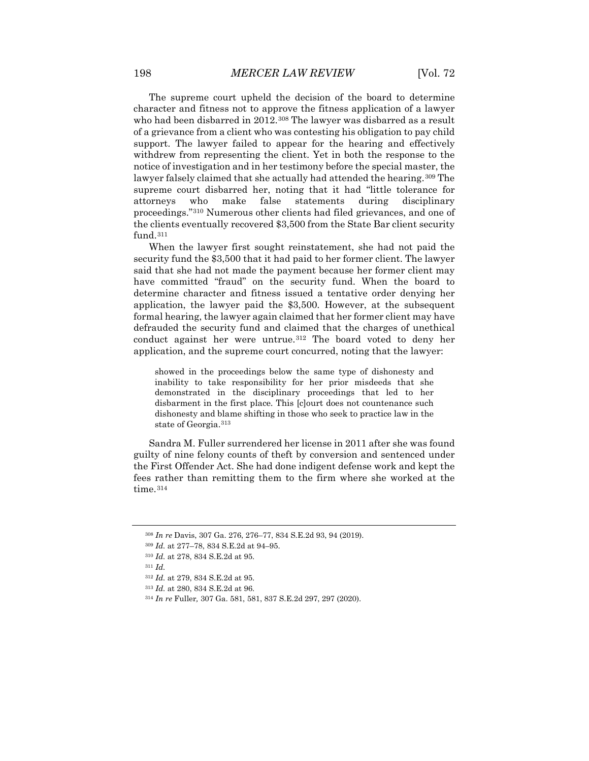The supreme court upheld the decision of the board to determine character and fitness not to approve the fitness application of a lawyer who had been disbarred in 2012.<sup>[308](#page-34-0)</sup> The lawyer was disbarred as a result of a grievance from a client who was contesting his obligation to pay child support. The lawyer failed to appear for the hearing and effectively withdrew from representing the client. Yet in both the response to the notice of investigation and in her testimony before the special master, the lawyer falsely claimed that she actually had attended the hearing.<sup>[309](#page-34-1)</sup> The supreme court disbarred her, noting that it had "little tolerance for attorneys who make false statements during disciplinary proceedings."[310](#page-34-2) Numerous other clients had filed grievances, and one of the clients eventually recovered \$3,500 from the State Bar client security fund.[311](#page-34-3)

When the lawyer first sought reinstatement, she had not paid the security fund the \$3,500 that it had paid to her former client. The lawyer said that she had not made the payment because her former client may have committed "fraud" on the security fund. When the board to determine character and fitness issued a tentative order denying her application, the lawyer paid the \$3,500. However, at the subsequent formal hearing, the lawyer again claimed that her former client may have defrauded the security fund and claimed that the charges of unethical conduct against her were untrue.<sup>[312](#page-34-4)</sup> The board voted to deny her application, and the supreme court concurred, noting that the lawyer:

showed in the proceedings below the same type of dishonesty and inability to take responsibility for her prior misdeeds that she demonstrated in the disciplinary proceedings that led to her disbarment in the first place. This [c]ourt does not countenance such dishonesty and blame shifting in those who seek to practice law in the state of Georgia.[313](#page-34-5)

Sandra M. Fuller surrendered her license in 2011 after she was found guilty of nine felony counts of theft by conversion and sentenced under the First Offender Act. She had done indigent defense work and kept the fees rather than remitting them to the firm where she worked at the time.<sup>[314](#page-34-6)</sup>

<span id="page-34-0"></span><sup>308</sup> *In re* Davis, 307 Ga. 276, 276–77, 834 S.E.2d 93, 94 (2019).

<sup>309</sup> *Id.* at 277–78, 834 S.E.2d at 94–95.

<span id="page-34-1"></span><sup>310</sup> *Id.* at 278, 834 S.E.2d at 95.

<span id="page-34-4"></span><span id="page-34-3"></span><span id="page-34-2"></span><sup>311</sup> *Id.*

<sup>312</sup> *Id.* at 279, 834 S.E.2d at 95.

<span id="page-34-5"></span><sup>313</sup> *Id.* at 280, 834 S.E.2d at 96.

<span id="page-34-6"></span><sup>314</sup> *In re* Fuller*,* 307 Ga. 581, 581, 837 S.E.2d 297, 297 (2020).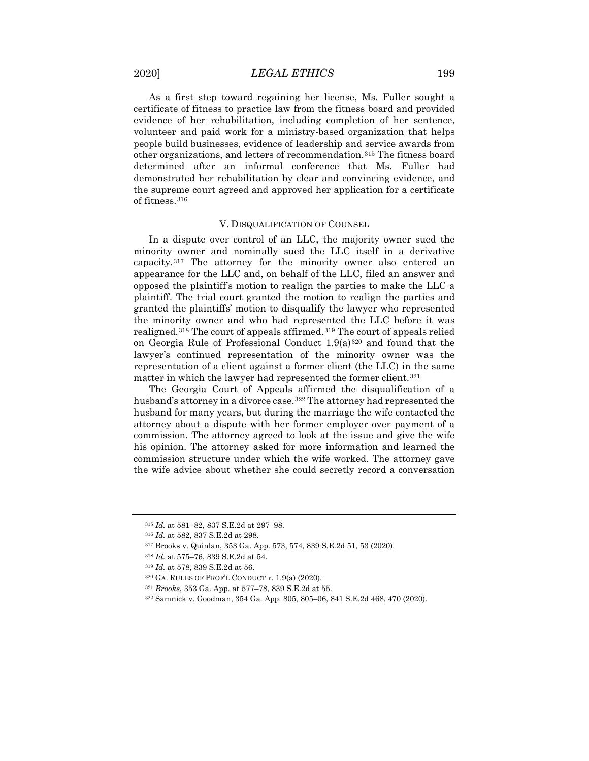As a first step toward regaining her license, Ms. Fuller sought a certificate of fitness to practice law from the fitness board and provided evidence of her rehabilitation, including completion of her sentence, volunteer and paid work for a ministry-based organization that helps people build businesses, evidence of leadership and service awards from other organizations, and letters of recommendation.[315](#page-35-0) The fitness board determined after an informal conference that Ms. Fuller had demonstrated her rehabilitation by clear and convincing evidence, and the supreme court agreed and approved her application for a certificate of fitness.[316](#page-35-1)

#### V. DISQUALIFICATION OF COUNSEL

In a dispute over control of an LLC, the majority owner sued the minority owner and nominally sued the LLC itself in a derivative capacity.[317](#page-35-2) The attorney for the minority owner also entered an appearance for the LLC and, on behalf of the LLC, filed an answer and opposed the plaintiff's motion to realign the parties to make the LLC a plaintiff. The trial court granted the motion to realign the parties and granted the plaintiffs' motion to disqualify the lawyer who represented the minority owner and who had represented the LLC before it was realigned.[318](#page-35-3) The court of appeals affirmed.[319](#page-35-4) The court of appeals relied on Georgia Rule of Professional Conduct 1.9(a)[320](#page-35-5) and found that the lawyer's continued representation of the minority owner was the representation of a client against a former client (the LLC) in the same matter in which the lawyer had represented the former client.<sup>[321](#page-35-6)</sup>

The Georgia Court of Appeals affirmed the disqualification of a husband's attorney in a divorce case.<sup>[322](#page-35-7)</sup> The attorney had represented the husband for many years, but during the marriage the wife contacted the attorney about a dispute with her former employer over payment of a commission. The attorney agreed to look at the issue and give the wife his opinion. The attorney asked for more information and learned the commission structure under which the wife worked. The attorney gave the wife advice about whether she could secretly record a conversation

<span id="page-35-0"></span><sup>315</sup> *Id.* at 581–82, 837 S.E.2d at 297–98.

<span id="page-35-1"></span><sup>316</sup> *Id.* at 582, 837 S.E.2d at 298.

<span id="page-35-2"></span><sup>317</sup> Brooks v. Quinlan, 353 Ga. App. 573, 574, 839 S.E.2d 51, 53 (2020).

<span id="page-35-3"></span><sup>318</sup> *Id.* at 575–76, 839 S.E.2d at 54.

<span id="page-35-5"></span><span id="page-35-4"></span><sup>319</sup> *Id.* at 578, 839 S.E.2d at 56.

 $320$  GA. RULES OF PROF'L CONDUCT r. 1.9(a) (2020).

<span id="page-35-6"></span><sup>321</sup> *Brooks*, 353 Ga. App. at 577–78, 839 S.E.2d at 55.

<span id="page-35-7"></span><sup>322</sup> Samnick v. Goodman, 354 Ga. App. 805, 805–06, 841 S.E.2d 468, 470 (2020).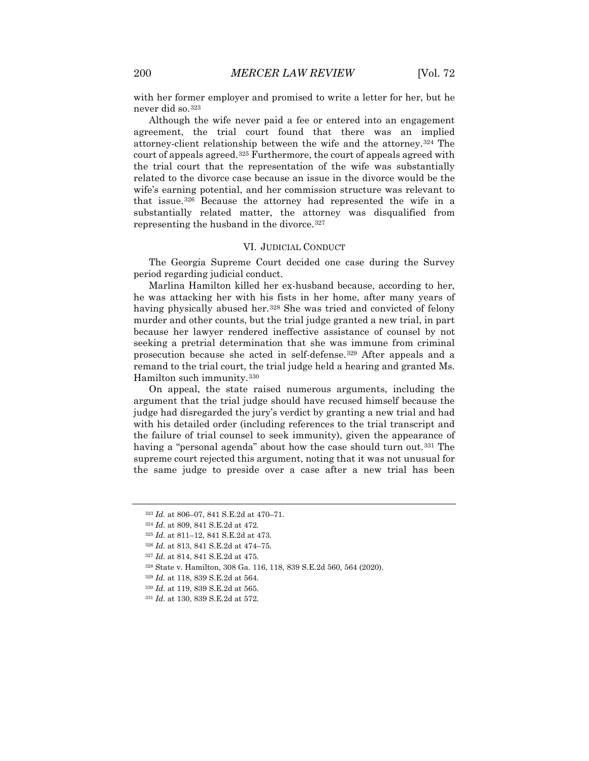with her former employer and promised to write a letter for her, but he never did so.[323](#page-36-0)

Although the wife never paid a fee or entered into an engagement agreement, the trial court found that there was an implied attorney-client relationship between the wife and the attorney.[324](#page-36-1) The court of appeals agreed.[325](#page-36-2) Furthermore, the court of appeals agreed with the trial court that the representation of the wife was substantially related to the divorce case because an issue in the divorce would be the wife's earning potential, and her commission structure was relevant to that issue.[326](#page-36-3) Because the attorney had represented the wife in a substantially related matter, the attorney was disqualified from representing the husband in the divorce.<sup>[327](#page-36-4)</sup>

#### VI. JUDICIAL CONDUCT

The Georgia Supreme Court decided one case during the Survey period regarding judicial conduct.

Marlina Hamilton killed her ex-husband because, according to her, he was attacking her with his fists in her home, after many years of having physically abused her.<sup>[328](#page-36-5)</sup> She was tried and convicted of felony murder and other counts, but the trial judge granted a new trial, in part because her lawyer rendered ineffective assistance of counsel by not seeking a pretrial determination that she was immune from criminal prosecution because she acted in self-defense.[329](#page-36-6) After appeals and a remand to the trial court, the trial judge held a hearing and granted Ms. Hamilton such immunity.[330](#page-36-7)

On appeal, the state raised numerous arguments, including the argument that the trial judge should have recused himself because the judge had disregarded the jury's verdict by granting a new trial and had with his detailed order (including references to the trial transcript and the failure of trial counsel to seek immunity), given the appearance of having a "personal agenda" about how the case should turn out.<sup>[331](#page-36-8)</sup> The supreme court rejected this argument, noting that it was not unusual for the same judge to preside over a case after a new trial has been

<sup>326</sup> *Id.* at 813, 841 S.E.2d at 474–75.

<span id="page-36-8"></span><span id="page-36-7"></span><sup>330</sup> *Id.* at 119, 839 S.E.2d at 565.

<span id="page-36-0"></span><sup>323</sup> *Id.* at 806–07, 841 S.E.2d at 470–71.

<span id="page-36-2"></span><span id="page-36-1"></span><sup>324</sup> *Id.* at 809, 841 S.E.2d at 472.

<sup>325</sup> *Id.* at 811–12, 841 S.E.2d at 473.

<span id="page-36-4"></span><span id="page-36-3"></span><sup>327</sup> *Id.* at 814, 841 S.E.2d at 475.

<span id="page-36-6"></span><span id="page-36-5"></span><sup>328</sup> State v. Hamilton, 308 Ga. 116, 118, 839 S.E.2d 560, 564 (2020).

<sup>329</sup> *Id.* at 118, 839 S.E.2d at 564.

<sup>331</sup> *Id.* at 130, 839 S.E.2d at 572.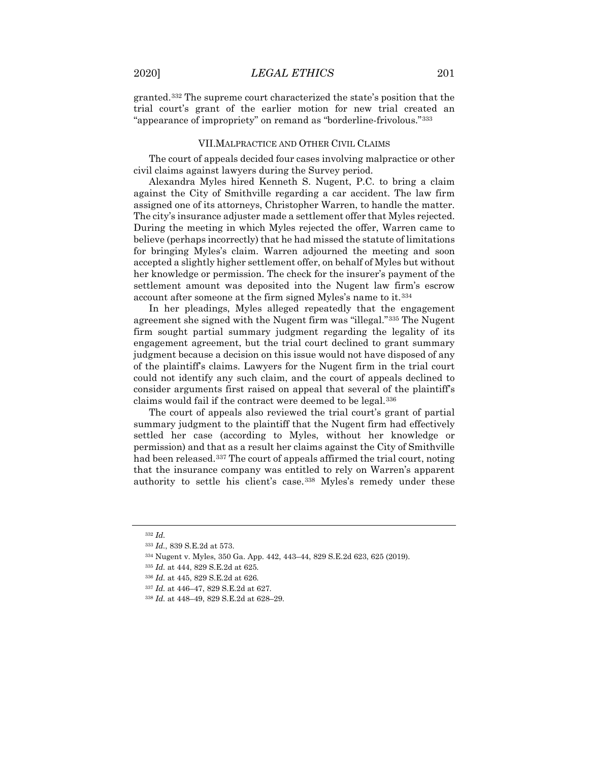granted.[332](#page-37-0) The supreme court characterized the state's position that the trial court's grant of the earlier motion for new trial created an "appearance of impropriety" on remand as "borderline-frivolous."[333](#page-37-1)

### VII.MALPRACTICE AND OTHER CIVIL CLAIMS

The court of appeals decided four cases involving malpractice or other civil claims against lawyers during the Survey period.

Alexandra Myles hired Kenneth S. Nugent, P.C. to bring a claim against the City of Smithville regarding a car accident. The law firm assigned one of its attorneys, Christopher Warren, to handle the matter. The city's insurance adjuster made a settlement offer that Myles rejected. During the meeting in which Myles rejected the offer, Warren came to believe (perhaps incorrectly) that he had missed the statute of limitations for bringing Myles's claim. Warren adjourned the meeting and soon accepted a slightly higher settlement offer, on behalf of Myles but without her knowledge or permission. The check for the insurer's payment of the settlement amount was deposited into the Nugent law firm's escrow account after someone at the firm signed Myles's name to it.[334](#page-37-2)

In her pleadings, Myles alleged repeatedly that the engagement agreement she signed with the Nugent firm was "illegal."[335](#page-37-3) The Nugent firm sought partial summary judgment regarding the legality of its engagement agreement, but the trial court declined to grant summary judgment because a decision on this issue would not have disposed of any of the plaintiff's claims. Lawyers for the Nugent firm in the trial court could not identify any such claim, and the court of appeals declined to consider arguments first raised on appeal that several of the plaintiff's claims would fail if the contract were deemed to be legal.[336](#page-37-4)

The court of appeals also reviewed the trial court's grant of partial summary judgment to the plaintiff that the Nugent firm had effectively settled her case (according to Myles, without her knowledge or permission) and that as a result her claims against the City of Smithville had been released.<sup>[337](#page-37-5)</sup> The court of appeals affirmed the trial court, noting that the insurance company was entitled to rely on Warren's apparent authority to settle his client's case.[338](#page-37-6) Myles's remedy under these

<span id="page-37-0"></span><sup>332</sup> *Id.*

<span id="page-37-1"></span><sup>333</sup> *Id.*, 839 S.E.2d at 573.

<span id="page-37-3"></span><span id="page-37-2"></span><sup>334</sup> Nugent v. Myles, 350 Ga. App. 442, 443–44, 829 S.E.2d 623, 625 (2019).

<sup>335</sup> *Id.* at 444, 829 S.E.2d at 625.

<span id="page-37-4"></span><sup>336</sup> *Id.* at 445, 829 S.E.2d at 626.

<span id="page-37-5"></span><sup>337</sup> *Id.* at 446–47, 829 S.E.2d at 627.

<span id="page-37-6"></span><sup>338</sup> *Id.* at 448–49, 829 S.E.2d at 628–29.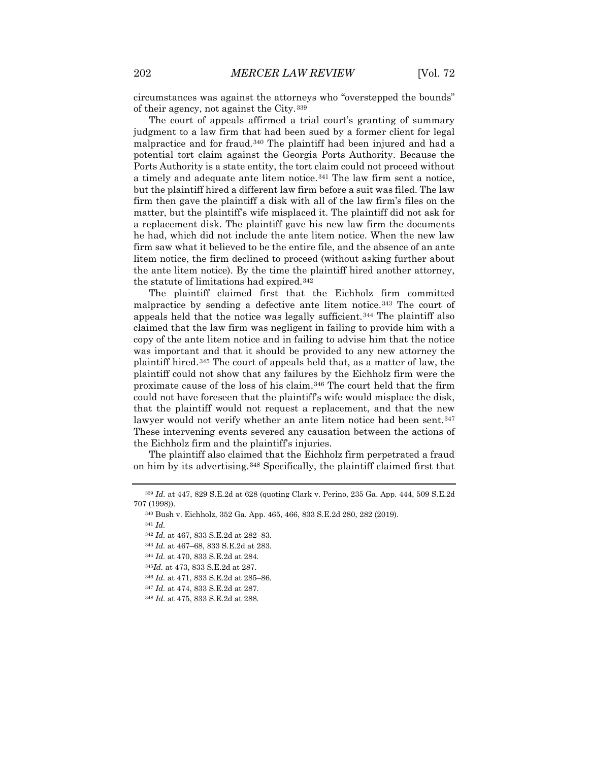circumstances was against the attorneys who "overstepped the bounds" of their agency, not against the City.[339](#page-38-0)

The court of appeals affirmed a trial court's granting of summary judgment to a law firm that had been sued by a former client for legal malpractice and for fraud.[340](#page-38-1) The plaintiff had been injured and had a potential tort claim against the Georgia Ports Authority. Because the Ports Authority is a state entity, the tort claim could not proceed without a timely and adequate ante litem notice.[341](#page-38-2) The law firm sent a notice, but the plaintiff hired a different law firm before a suit was filed. The law firm then gave the plaintiff a disk with all of the law firm's files on the matter, but the plaintiff's wife misplaced it. The plaintiff did not ask for a replacement disk. The plaintiff gave his new law firm the documents he had, which did not include the ante litem notice. When the new law firm saw what it believed to be the entire file, and the absence of an ante litem notice, the firm declined to proceed (without asking further about the ante litem notice). By the time the plaintiff hired another attorney, the statute of limitations had expired.[342](#page-38-3)

The plaintiff claimed first that the Eichholz firm committed malpractice by sending a defective ante litem notice.[343](#page-38-4) The court of appeals held that the notice was legally sufficient.[344](#page-38-5) The plaintiff also claimed that the law firm was negligent in failing to provide him with a copy of the ante litem notice and in failing to advise him that the notice was important and that it should be provided to any new attorney the plaintiff hired.[345](#page-38-6) The court of appeals held that, as a matter of law, the plaintiff could not show that any failures by the Eichholz firm were the proximate cause of the loss of his claim.[346](#page-38-7) The court held that the firm could not have foreseen that the plaintiff's wife would misplace the disk, that the plaintiff would not request a replacement, and that the new lawyer would not verify whether an ante litem notice had been sent. [347](#page-38-8) These intervening events severed any causation between the actions of the Eichholz firm and the plaintiff's injuries.

The plaintiff also claimed that the Eichholz firm perpetrated a fraud on him by its advertising.[348](#page-38-9) Specifically, the plaintiff claimed first that

<span id="page-38-4"></span><span id="page-38-3"></span><span id="page-38-2"></span><span id="page-38-1"></span><span id="page-38-0"></span><sup>339</sup> *Id.* at 447, 829 S.E.2d at 628 (quoting Clark v. Perino, 235 Ga. App. 444, 509 S.E.2d 707 (1998)).

<sup>340</sup> Bush v. Eichholz, 352 Ga. App. 465, 466, 833 S.E.2d 280, 282 (2019).

<sup>342</sup> *Id.* at 467, 833 S.E.2d at 282–83.

<sup>343</sup> *Id.* at 467–68, 833 S.E.2d at 283.

<span id="page-38-5"></span><sup>344</sup> *Id.* at 470, 833 S.E.2d at 284.

<span id="page-38-7"></span><span id="page-38-6"></span><sup>345</sup>*Id.* at 473, 833 S.E.2d at 287.

<sup>346</sup> *Id.* at 471, 833 S.E.2d at 285–86.

<span id="page-38-8"></span><sup>347</sup> *Id.* at 474, 833 S.E.2d at 287.

<span id="page-38-9"></span><sup>348</sup> *Id.* at 475, 833 S.E.2d at 288.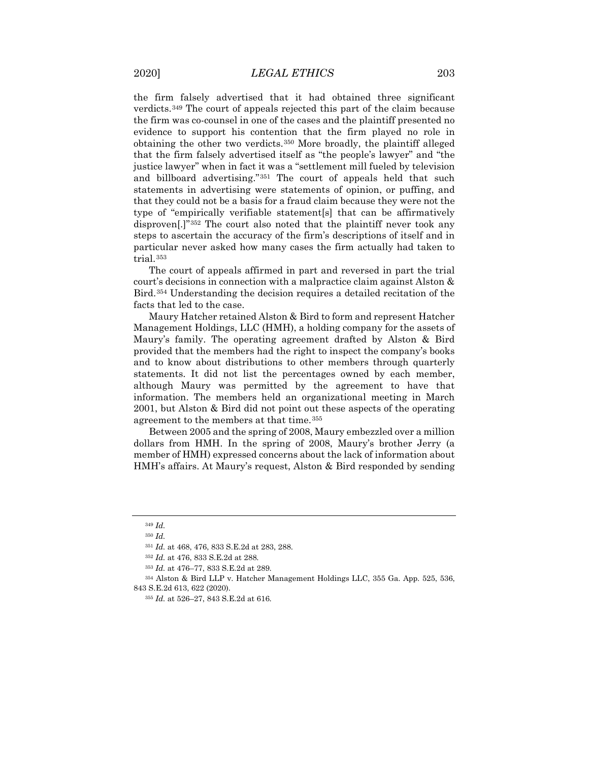the firm falsely advertised that it had obtained three significant verdicts.[349](#page-39-0) The court of appeals rejected this part of the claim because the firm was co-counsel in one of the cases and the plaintiff presented no evidence to support his contention that the firm played no role in obtaining the other two verdicts.[350](#page-39-1) More broadly, the plaintiff alleged that the firm falsely advertised itself as "the people's lawyer" and "the justice lawyer" when in fact it was a "settlement mill fueled by television and billboard advertising."[351](#page-39-2) The court of appeals held that such statements in advertising were statements of opinion, or puffing, and that they could not be a basis for a fraud claim because they were not the type of "empirically verifiable statement[s] that can be affirmatively disproven[.]"[352](#page-39-3) The court also noted that the plaintiff never took any steps to ascertain the accuracy of the firm's descriptions of itself and in particular never asked how many cases the firm actually had taken to trial.[353](#page-39-4)

The court of appeals affirmed in part and reversed in part the trial court's decisions in connection with a malpractice claim against Alston & Bird.[354](#page-39-5) Understanding the decision requires a detailed recitation of the facts that led to the case.

Maury Hatcher retained Alston & Bird to form and represent Hatcher Management Holdings, LLC (HMH), a holding company for the assets of Maury's family. The operating agreement drafted by Alston & Bird provided that the members had the right to inspect the company's books and to know about distributions to other members through quarterly statements. It did not list the percentages owned by each member, although Maury was permitted by the agreement to have that information. The members held an organizational meeting in March 2001, but Alston & Bird did not point out these aspects of the operating agreement to the members at that time.[355](#page-39-6)

Between 2005 and the spring of 2008, Maury embezzled over a million dollars from HMH. In the spring of 2008, Maury's brother Jerry (a member of HMH) expressed concerns about the lack of information about HMH's affairs. At Maury's request, Alston & Bird responded by sending

<sup>349</sup> *Id.*

<sup>350</sup> *Id.*

<sup>351</sup> *Id.* at 468, 476, 833 S.E.2d at 283, 288.

<sup>352</sup> *Id.* at 476, 833 S.E.2d at 288.

<sup>353</sup> *Id.* at 476–77, 833 S.E.2d at 289.

<span id="page-39-6"></span><span id="page-39-5"></span><span id="page-39-4"></span><span id="page-39-3"></span><span id="page-39-2"></span><span id="page-39-1"></span><span id="page-39-0"></span><sup>354</sup> Alston & Bird LLP v. Hatcher Management Holdings LLC, 355 Ga. App. 525, 536, 843 S.E.2d 613, 622 (2020).

<sup>355</sup> *Id.* at 526–27, 843 S.E.2d at 616.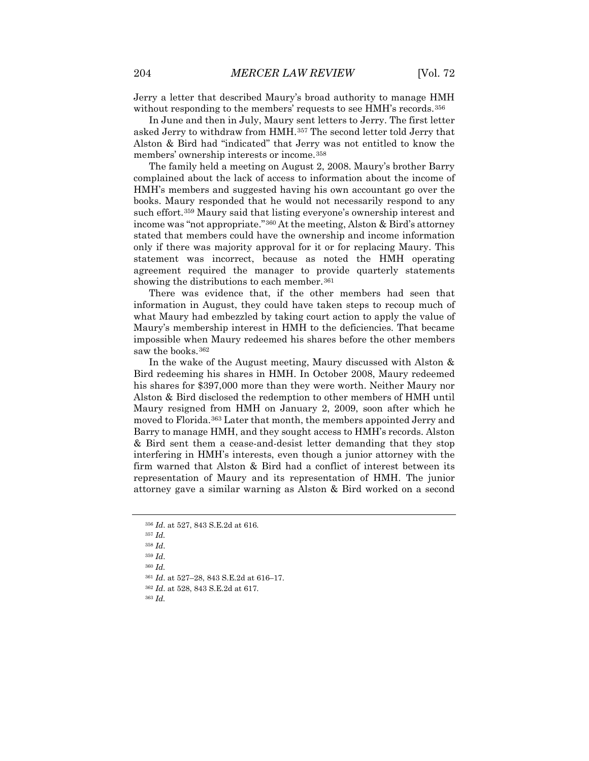Jerry a letter that described Maury's broad authority to manage HMH without responding to the members' requests to see HMH's records.<sup>[356](#page-40-0)</sup>

In June and then in July, Maury sent letters to Jerry. The first letter asked Jerry to withdraw from HMH.[357](#page-40-1) The second letter told Jerry that Alston & Bird had "indicated" that Jerry was not entitled to know the members' ownership interests or income.[358](#page-40-2)

The family held a meeting on August 2, 2008. Maury's brother Barry complained about the lack of access to information about the income of HMH's members and suggested having his own accountant go over the books. Maury responded that he would not necessarily respond to any such effort.[359](#page-40-3) Maury said that listing everyone's ownership interest and income was "not appropriate."[360](#page-40-4) At the meeting, Alston & Bird's attorney stated that members could have the ownership and income information only if there was majority approval for it or for replacing Maury. This statement was incorrect, because as noted the HMH operating agreement required the manager to provide quarterly statements showing the distributions to each member.<sup>[361](#page-40-5)</sup>

There was evidence that, if the other members had seen that information in August, they could have taken steps to recoup much of what Maury had embezzled by taking court action to apply the value of Maury's membership interest in HMH to the deficiencies. That became impossible when Maury redeemed his shares before the other members saw the books.<sup>362</sup>

In the wake of the August meeting, Maury discussed with Alston & Bird redeeming his shares in HMH. In October 2008, Maury redeemed his shares for \$397,000 more than they were worth. Neither Maury nor Alston & Bird disclosed the redemption to other members of HMH until Maury resigned from HMH on January 2, 2009, soon after which he moved to Florida.[363](#page-40-7) Later that month, the members appointed Jerry and Barry to manage HMH, and they sought access to HMH's records. Alston & Bird sent them a cease-and-desist letter demanding that they stop interfering in HMH's interests, even though a junior attorney with the firm warned that Alston & Bird had a conflict of interest between its representation of Maury and its representation of HMH. The junior attorney gave a similar warning as Alston & Bird worked on a second

- <span id="page-40-2"></span><span id="page-40-1"></span><sup>357</sup> *Id.*
- <sup>358</sup> *Id*.

<span id="page-40-3"></span><sup>359</sup> *Id*.

<span id="page-40-4"></span><sup>360</sup> *Id.*

<span id="page-40-5"></span><sup>361</sup> *Id*. at 527–28, 843 S.E.2d at 616–17.

<span id="page-40-7"></span><span id="page-40-6"></span><sup>362</sup> *Id*. at 528, 843 S.E.2d at 617.

<span id="page-40-0"></span><sup>356</sup> *Id*. at 527, 843 S.E.2d at 616.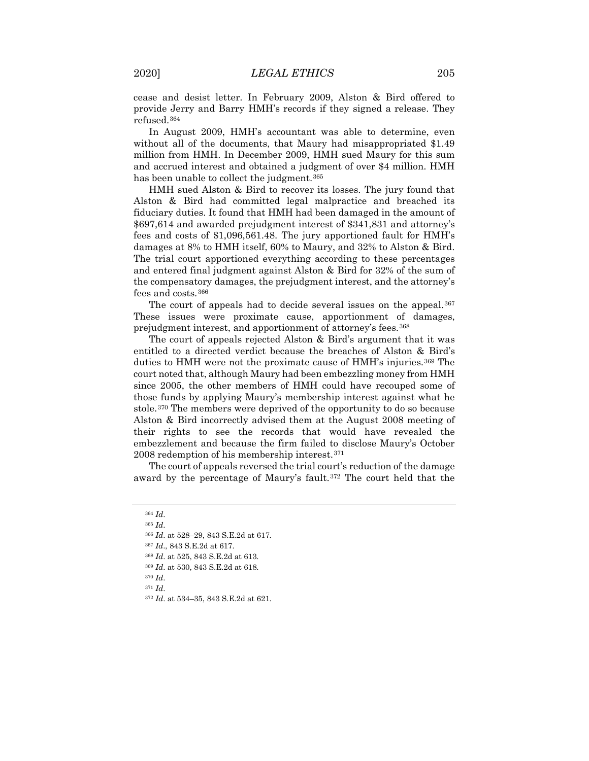cease and desist letter. In February 2009, Alston & Bird offered to provide Jerry and Barry HMH's records if they signed a release. They refused.[364](#page-41-0)

In August 2009, HMH's accountant was able to determine, even without all of the documents, that Maury had misappropriated \$1.49 million from HMH. In December 2009, HMH sued Maury for this sum and accrued interest and obtained a judgment of over \$4 million. HMH has been unable to collect the judgment.<sup>[365](#page-41-1)</sup>

HMH sued Alston & Bird to recover its losses. The jury found that Alston & Bird had committed legal malpractice and breached its fiduciary duties. It found that HMH had been damaged in the amount of \$697,614 and awarded prejudgment interest of \$341,831 and attorney's fees and costs of \$1,096,561.48. The jury apportioned fault for HMH's damages at 8% to HMH itself, 60% to Maury, and 32% to Alston & Bird. The trial court apportioned everything according to these percentages and entered final judgment against Alston & Bird for 32% of the sum of the compensatory damages, the prejudgment interest, and the attorney's fees and costs.[366](#page-41-2)

The court of appeals had to decide several issues on the appeal.<sup>[367](#page-41-3)</sup> These issues were proximate cause, apportionment of damages, prejudgment interest, and apportionment of attorney's fees.[368](#page-41-4)

The court of appeals rejected Alston & Bird's argument that it was entitled to a directed verdict because the breaches of Alston & Bird's duties to HMH were not the proximate cause of HMH's injuries.<sup>[369](#page-41-5)</sup> The court noted that, although Maury had been embezzling money from HMH since 2005, the other members of HMH could have recouped some of those funds by applying Maury's membership interest against what he stole.[370](#page-41-6) The members were deprived of the opportunity to do so because Alston & Bird incorrectly advised them at the August 2008 meeting of their rights to see the records that would have revealed the embezzlement and because the firm failed to disclose Maury's October 2008 redemption of his membership interest.[371](#page-41-7)

<span id="page-41-0"></span>The court of appeals reversed the trial court's reduction of the damage award by the percentage of Maury's fault.[372](#page-41-8) The court held that the

- <span id="page-41-3"></span><sup>367</sup> *Id*., 843 S.E.2d at 617.
- <span id="page-41-4"></span><sup>368</sup> *Id*. at 525, 843 S.E.2d at 613.
- <span id="page-41-5"></span><sup>369</sup> *Id*. at 530, 843 S.E.2d at 618.
- <span id="page-41-6"></span><sup>370</sup> *Id*.
- <span id="page-41-8"></span><span id="page-41-7"></span><sup>371</sup> *Id*.
- <sup>372</sup> *Id*. at 534–35, 843 S.E.2d at 621.

<span id="page-41-1"></span><sup>364</sup> *Id*.

<span id="page-41-2"></span><sup>366</sup> *Id*. at 528–29, 843 S.E.2d at 617.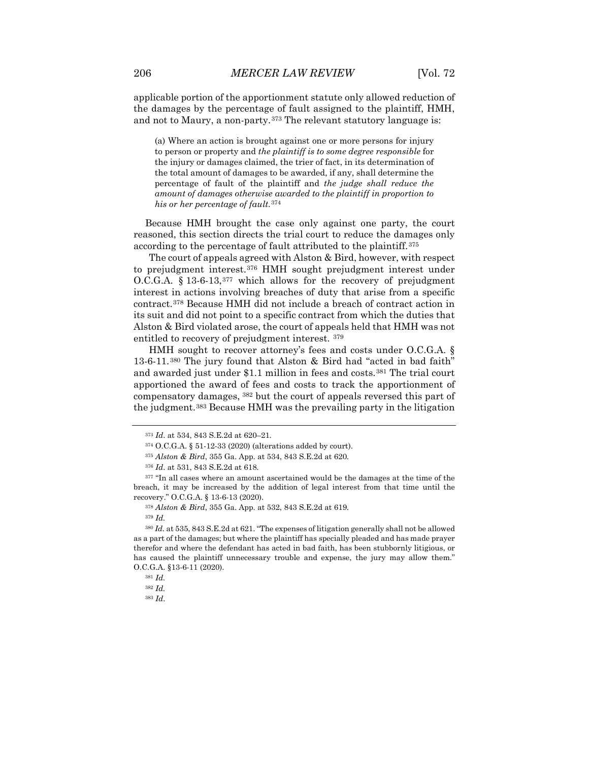applicable portion of the apportionment statute only allowed reduction of the damages by the percentage of fault assigned to the plaintiff, HMH, and not to Maury, a non-party.<sup>[373](#page-42-0)</sup> The relevant statutory language is:

(a) Where an action is brought against one or more persons for injury to person or property and *the plaintiff is to some degree responsible* for the injury or damages claimed, the trier of fact, in its determination of the total amount of damages to be awarded, if any, shall determine the percentage of fault of the plaintiff and *the judge shall reduce the amount of damages otherwise awarded to the plaintiff in proportion to his or her percentage of fault.*[374](#page-42-1)

Because HMH brought the case only against one party, the court reasoned, this section directs the trial court to reduce the damages only according to the percentage of fault attributed to the plaintiff.[375](#page-42-2)

The court of appeals agreed with Alston & Bird, however, with respect to prejudgment interest.[376](#page-42-3) HMH sought prejudgment interest under O.C.G.A. § 13-6-13,[377](#page-42-4) which allows for the recovery of prejudgment interest in actions involving breaches of duty that arise from a specific contract.[378](#page-42-5) Because HMH did not include a breach of contract action in its suit and did not point to a specific contract from which the duties that Alston & Bird violated arose, the court of appeals held that HMH was not entitled to recovery of prejudgment interest. [379](#page-42-6)

HMH sought to recover attorney's fees and costs under O.C.G.A. § 13-6-11.[380](#page-42-7) The jury found that Alston & Bird had "acted in bad faith" and awarded just under \$1.1 million in fees and costs.[381](#page-42-8) The trial court apportioned the award of fees and costs to track the apportionment of compensatory damages, [382](#page-42-9) but the court of appeals reversed this part of the judgment.[383](#page-42-10) Because HMH was the prevailing party in the litigation

<sup>373</sup> *Id*. at 534, 843 S.E.2d at 620–21.

<sup>374</sup> O.C.G.A. § 51-12-33 (2020) (alterations added by court).

<sup>375</sup> *Alston & Bird*, 355 Ga. App. at 534, 843 S.E.2d at 620.

<sup>376</sup> *Id*. at 531, 843 S.E.2d at 618.

<span id="page-42-4"></span><span id="page-42-3"></span><span id="page-42-2"></span><span id="page-42-1"></span><span id="page-42-0"></span><sup>&</sup>lt;sup>377</sup> "In all cases where an amount ascertained would be the damages at the time of the breach, it may be increased by the addition of legal interest from that time until the recovery." O.C.G.A. § 13-6-13 (2020).

<sup>378</sup> *Alston & Bird*, 355 Ga. App. at 532, 843 S.E.2d at 619.

<sup>379</sup> *Id.*

<span id="page-42-8"></span><span id="page-42-7"></span><span id="page-42-6"></span><span id="page-42-5"></span><sup>380</sup> *Id.* at 535, 843 S.E.2d at 621. "The expenses of litigation generally shall not be allowed as a part of the damages; but where the plaintiff has specially pleaded and has made prayer therefor and where the defendant has acted in bad faith, has been stubbornly litigious, or has caused the plaintiff unnecessary trouble and expense, the jury may allow them." O.C.G.A. §13-6-11 (2020).

<sup>381</sup> *Id.*

<span id="page-42-10"></span><span id="page-42-9"></span><sup>382</sup> *Id.*

<sup>383</sup> *Id*.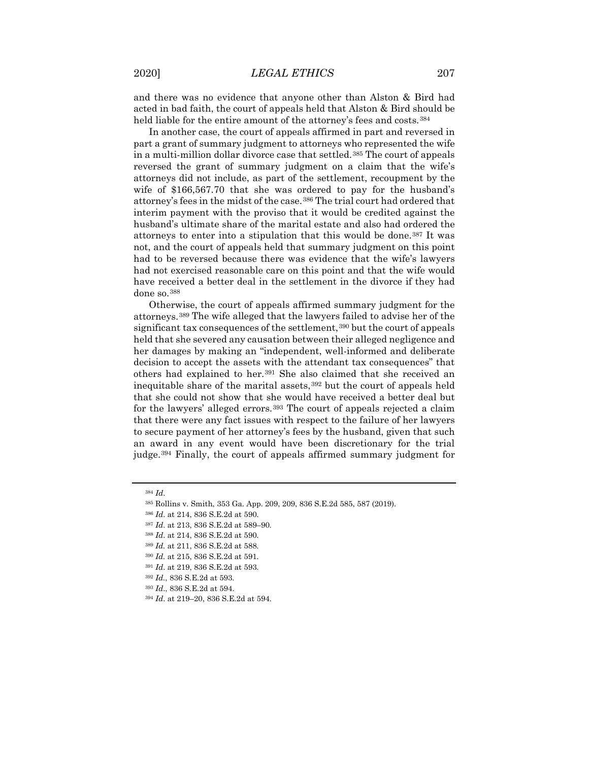and there was no evidence that anyone other than Alston & Bird had acted in bad faith, the court of appeals held that Alston & Bird should be held liable for the entire amount of the attorney's fees and costs.<sup>[384](#page-43-0)</sup>

In another case, the court of appeals affirmed in part and reversed in part a grant of summary judgment to attorneys who represented the wife in a multi-million dollar divorce case that settled.[385](#page-43-1) The court of appeals reversed the grant of summary judgment on a claim that the wife's attorneys did not include, as part of the settlement, recoupment by the wife of \$166,567.70 that she was ordered to pay for the husband's attorney's fees in the midst of the case.[386](#page-43-2) The trial court had ordered that interim payment with the proviso that it would be credited against the husband's ultimate share of the marital estate and also had ordered the attorneys to enter into a stipulation that this would be done.[387](#page-43-3) It was not, and the court of appeals held that summary judgment on this point had to be reversed because there was evidence that the wife's lawyers had not exercised reasonable care on this point and that the wife would have received a better deal in the settlement in the divorce if they had done so.[388](#page-43-4)

Otherwise, the court of appeals affirmed summary judgment for the attorneys.[389](#page-43-5) The wife alleged that the lawyers failed to advise her of the significant tax consequences of the settlement, [390](#page-43-6) but the court of appeals held that she severed any causation between their alleged negligence and her damages by making an "independent, well-informed and deliberate decision to accept the assets with the attendant tax consequences" that others had explained to her.[391](#page-43-7) She also claimed that she received an inequitable share of the marital assets,[392](#page-43-8) but the court of appeals held that she could not show that she would have received a better deal but for the lawyers' alleged errors.<sup>[393](#page-43-9)</sup> The court of appeals rejected a claim that there were any fact issues with respect to the failure of her lawyers to secure payment of her attorney's fees by the husband, given that such an award in any event would have been discretionary for the trial judge[.394](#page-43-10) Finally, the court of appeals affirmed summary judgment for

<span id="page-43-0"></span><sup>384</sup> *Id*.

<span id="page-43-1"></span><sup>385</sup> Rollins v. Smith, 353 Ga. App. 209, 209, 836 S.E.2d 585, 587 (2019).

<span id="page-43-2"></span><sup>386</sup> *Id*. at 214, 836 S.E.2d at 590.

<span id="page-43-4"></span><span id="page-43-3"></span><sup>387</sup> *Id*. at 213, 836 S.E.2d at 589–90.

<sup>388</sup> *Id*. at 214, 836 S.E.2d at 590.

<span id="page-43-5"></span><sup>389</sup> *Id.* at 211, 836 S.E.2d at 588.

<span id="page-43-6"></span><sup>390</sup> *Id.* at 215, 836 S.E.2d at 591.

<sup>391</sup> *Id*. at 219, 836 S.E.2d at 593.

<span id="page-43-8"></span><span id="page-43-7"></span><sup>392</sup> *Id.*, 836 S.E.2d at 593.

<span id="page-43-10"></span><span id="page-43-9"></span><sup>393</sup> *Id*., 836 S.E.2d at 594.

<sup>394</sup> *Id*. at 219–20, 836 S.E.2d at 594.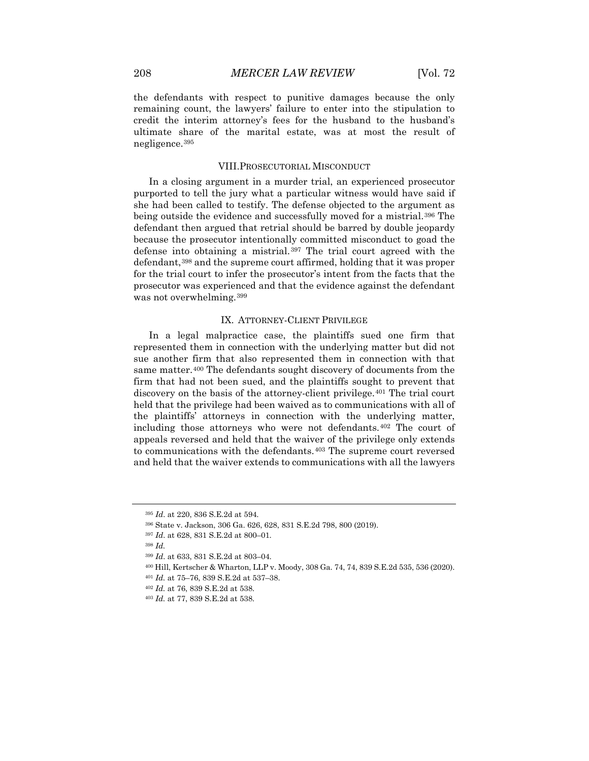the defendants with respect to punitive damages because the only remaining count, the lawyers' failure to enter into the stipulation to credit the interim attorney's fees for the husband to the husband's ultimate share of the marital estate, was at most the result of negligence.[395](#page-44-0)

#### VIII.PROSECUTORIAL MISCONDUCT

In a closing argument in a murder trial, an experienced prosecutor purported to tell the jury what a particular witness would have said if she had been called to testify. The defense objected to the argument as being outside the evidence and successfully moved for a mistrial.<sup>[396](#page-44-1)</sup> The defendant then argued that retrial should be barred by double jeopardy because the prosecutor intentionally committed misconduct to goad the defense into obtaining a mistrial.[397](#page-44-2) The trial court agreed with the defendant,[398](#page-44-3) and the supreme court affirmed, holding that it was proper for the trial court to infer the prosecutor's intent from the facts that the prosecutor was experienced and that the evidence against the defendant was not overwhelming.<sup>[399](#page-44-4)</sup>

## IX. ATTORNEY-CLIENT PRIVILEGE

In a legal malpractice case, the plaintiffs sued one firm that represented them in connection with the underlying matter but did not sue another firm that also represented them in connection with that same matter.[400](#page-44-5) The defendants sought discovery of documents from the firm that had not been sued, and the plaintiffs sought to prevent that discovery on the basis of the attorney-client privilege.[401](#page-44-6) The trial court held that the privilege had been waived as to communications with all of the plaintiffs' attorneys in connection with the underlying matter, including those attorneys who were not defendants.[402](#page-44-7) The court of appeals reversed and held that the waiver of the privilege only extends to communications with the defendants.[403](#page-44-8) The supreme court reversed and held that the waiver extends to communications with all the lawyers

<sup>402</sup> *Id.* at 76, 839 S.E.2d at 538.

<sup>395</sup> *Id*. at 220, 836 S.E.2d at 594.

<span id="page-44-2"></span><span id="page-44-1"></span><span id="page-44-0"></span><sup>396</sup> State v. Jackson, 306 Ga. 626, 628, 831 S.E.2d 798, 800 (2019).

<sup>397</sup> *Id*. at 628, 831 S.E.2d at 800–01.

<sup>398</sup> *Id.*

<span id="page-44-3"></span><sup>399</sup> *Id*. at 633, 831 S.E.2d at 803–04.

<span id="page-44-7"></span><span id="page-44-6"></span><span id="page-44-5"></span><span id="page-44-4"></span><sup>400</sup> Hill, Kertscher & Wharton, LLP v. Moody, 308 Ga. 74, 74, 839 S.E.2d 535, 536 (2020).

<sup>401</sup> *Id.* at 75–76, 839 S.E.2d at 537–38.

<span id="page-44-8"></span><sup>403</sup> *Id.* at 77, 839 S.E.2d at 538.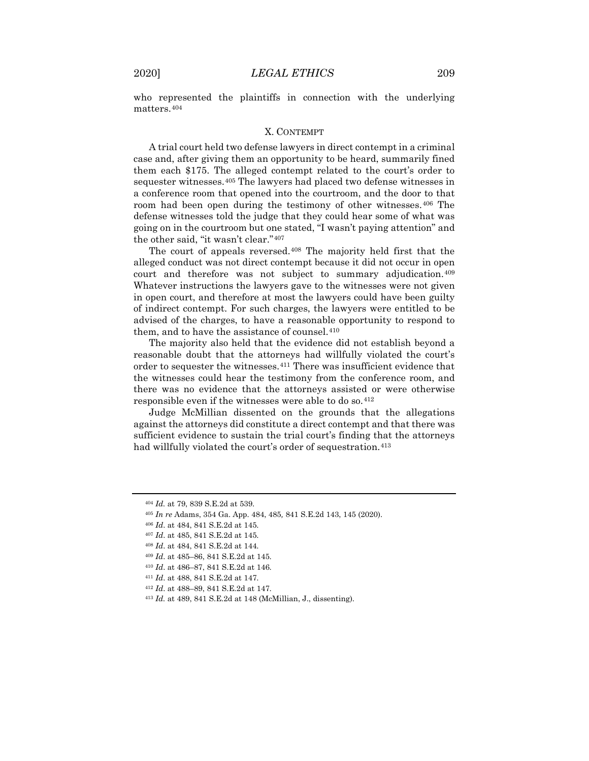who represented the plaintiffs in connection with the underlying matters.[404](#page-45-0)

## X. CONTEMPT

A trial court held two defense lawyers in direct contempt in a criminal case and, after giving them an opportunity to be heard, summarily fined them each \$175. The alleged contempt related to the court's order to sequester witnesses.[405](#page-45-1) The lawyers had placed two defense witnesses in a conference room that opened into the courtroom, and the door to that room had been open during the testimony of other witnesses.[406](#page-45-2) The defense witnesses told the judge that they could hear some of what was going on in the courtroom but one stated, "I wasn't paying attention" and the other said, "it wasn't clear."[407](#page-45-3)

The court of appeals reversed.[408](#page-45-4) The majority held first that the alleged conduct was not direct contempt because it did not occur in open court and therefore was not subject to summary adjudication.[409](#page-45-5) Whatever instructions the lawyers gave to the witnesses were not given in open court, and therefore at most the lawyers could have been guilty of indirect contempt. For such charges, the lawyers were entitled to be advised of the charges, to have a reasonable opportunity to respond to them, and to have the assistance of counsel.<sup>[410](#page-45-6)</sup>

The majority also held that the evidence did not establish beyond a reasonable doubt that the attorneys had willfully violated the court's order to sequester the witnesses.[411](#page-45-7) There was insufficient evidence that the witnesses could hear the testimony from the conference room, and there was no evidence that the attorneys assisted or were otherwise responsible even if the witnesses were able to do so.[412](#page-45-8)

Judge McMillian dissented on the grounds that the allegations against the attorneys did constitute a direct contempt and that there was sufficient evidence to sustain the trial court's finding that the attorneys had willfully violated the court's order of sequestration.<sup>[413](#page-45-9)</sup>

- <span id="page-45-7"></span><span id="page-45-6"></span><span id="page-45-5"></span><sup>410</sup> *Id*. at 486–87, 841 S.E.2d at 146.
- <sup>411</sup> *Id*. at 488, 841 S.E.2d at 147.
- <span id="page-45-8"></span><sup>412</sup> *Id*. at 488–89, 841 S.E.2d at 147.

<span id="page-45-0"></span><sup>404</sup> *Id.* at 79, 839 S.E.2d at 539.

<span id="page-45-1"></span><sup>405</sup> *In re* Adams, 354 Ga. App. 484, 485*,* 841 S.E.2d 143, 145 (2020).

<span id="page-45-2"></span><sup>406</sup> *Id*. at 484, 841 S.E.2d at 145.

<span id="page-45-3"></span><sup>407</sup> *Id*. at 485, 841 S.E.2d at 145.

<span id="page-45-4"></span><sup>408</sup> *Id*. at 484, 841 S.E.2d at 144.

<sup>409</sup> *Id*. at 485–86, 841 S.E.2d at 145.

<span id="page-45-9"></span><sup>413</sup> *Id.* at 489, 841 S.E.2d at 148 (McMillian, J., dissenting).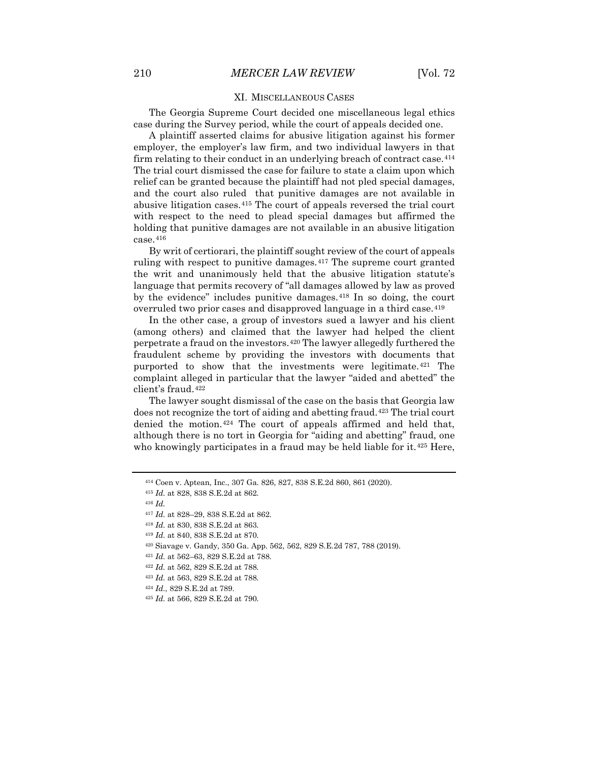## XI. MISCELLANEOUS CASES

The Georgia Supreme Court decided one miscellaneous legal ethics case during the Survey period, while the court of appeals decided one.

A plaintiff asserted claims for abusive litigation against his former employer, the employer's law firm, and two individual lawyers in that firm relating to their conduct in an underlying breach of contract case.<sup>[414](#page-46-0)</sup> The trial court dismissed the case for failure to state a claim upon which relief can be granted because the plaintiff had not pled special damages, and the court also ruled that punitive damages are not available in abusive litigation cases.[415](#page-46-1) The court of appeals reversed the trial court with respect to the need to plead special damages but affirmed the holding that punitive damages are not available in an abusive litigation  $case.416$  $case.416$ 

By writ of certiorari, the plaintiff sought review of the court of appeals ruling with respect to punitive damages.<sup>[417](#page-46-3)</sup> The supreme court granted the writ and unanimously held that the abusive litigation statute's language that permits recovery of "all damages allowed by law as proved by the evidence" includes punitive damages.<sup>[418](#page-46-4)</sup> In so doing, the court overruled two prior cases and disapproved language in a third case.[419](#page-46-5)

In the other case, a group of investors sued a lawyer and his client (among others) and claimed that the lawyer had helped the client perpetrate a fraud on the investors.[420](#page-46-6) The lawyer allegedly furthered the fraudulent scheme by providing the investors with documents that purported to show that the investments were legitimate.[421](#page-46-7) The complaint alleged in particular that the lawyer "aided and abetted" the client's fraud.[422](#page-46-8)

The lawyer sought dismissal of the case on the basis that Georgia law does not recognize the tort of aiding and abetting fraud.<sup>[423](#page-46-9)</sup> The trial court denied the motion.[424](#page-46-10) The court of appeals affirmed and held that, although there is no tort in Georgia for "aiding and abetting" fraud, one who knowingly participates in a fraud may be held liable for it.<sup>[425](#page-46-11)</sup> Here,

<span id="page-46-6"></span><sup>420</sup> Siavage v. Gandy, 350 Ga. App. 562, 562, 829 S.E.2d 787, 788 (2019).

- <span id="page-46-8"></span><sup>422</sup> *Id.* at 562, 829 S.E.2d at 788.
- <span id="page-46-9"></span><sup>423</sup> *Id.* at 563, 829 S.E.2d at 788.
- <span id="page-46-10"></span><sup>424</sup> *Id.*, 829 S.E.2d at 789.
- <span id="page-46-11"></span><sup>425</sup> *Id.* at 566, 829 S.E.2d at 790.

<span id="page-46-0"></span><sup>414</sup> Coen v. Aptean, Inc., 307 Ga. 826, 827, 838 S.E.2d 860, 861 (2020).

<sup>415</sup> *Id.* at 828, 838 S.E.2d at 862.

<span id="page-46-2"></span><span id="page-46-1"></span><sup>416</sup> *Id.*

<span id="page-46-3"></span><sup>417</sup> *Id.* at 828–29, 838 S.E.2d at 862.

<span id="page-46-5"></span><span id="page-46-4"></span><sup>418</sup> *Id.* at 830, 838 S.E.2d at 863.

<sup>419</sup> *Id.* at 840, 838 S.E.2d at 870.

<span id="page-46-7"></span><sup>421</sup> *Id.* at 562–63, 829 S.E.2d at 788.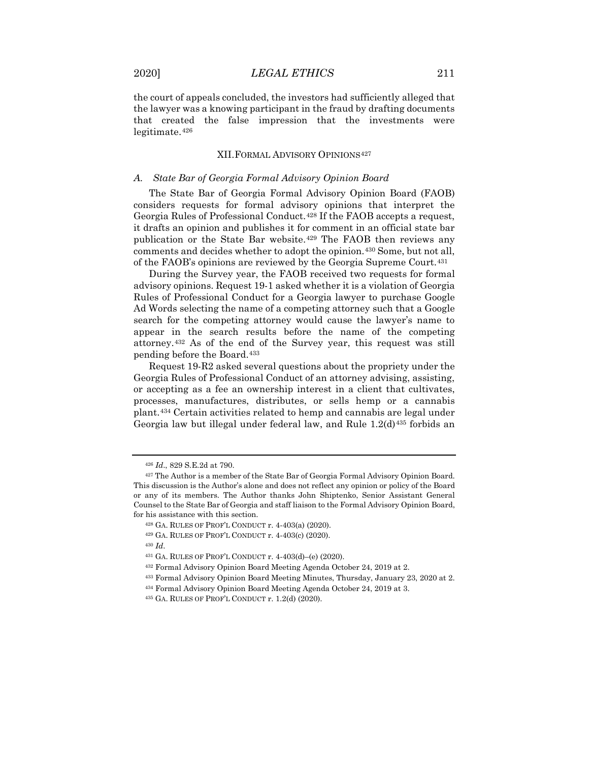the court of appeals concluded, the investors had sufficiently alleged that the lawyer was a knowing participant in the fraud by drafting documents that created the false impression that the investments were legitimate.[426](#page-47-0)

## XII.FORMAL ADVISORY OPINIONS[427](#page-47-1)

## *A. State Bar of Georgia Formal Advisory Opinion Board*

The State Bar of Georgia Formal Advisory Opinion Board (FAOB) considers requests for formal advisory opinions that interpret the Georgia Rules of Professional Conduct.[428](#page-47-2) If the FAOB accepts a request, it drafts an opinion and publishes it for comment in an official state bar publication or the State Bar website.[429](#page-47-3) The FAOB then reviews any comments and decides whether to adopt the opinion.[430](#page-47-4) Some, but not all, of the FAOB's opinions are reviewed by the Georgia Supreme Court.[431](#page-47-5)

During the Survey year, the FAOB received two requests for formal advisory opinions. Request 19-1 asked whether it is a violation of Georgia Rules of Professional Conduct for a Georgia lawyer to purchase Google Ad Words selecting the name of a competing attorney such that a Google search for the competing attorney would cause the lawyer's name to appear in the search results before the name of the competing attorney.[432](#page-47-6) As of the end of the Survey year, this request was still pending before the Board.[433](#page-47-7)

Request 19-R2 asked several questions about the propriety under the Georgia Rules of Professional Conduct of an attorney advising, assisting, or accepting as a fee an ownership interest in a client that cultivates, processes, manufactures, distributes, or sells hemp or a cannabis plant.[434](#page-47-8) Certain activities related to hemp and cannabis are legal under Georgia law but illegal under federal law, and Rule 1.2(d)<sup>[435](#page-47-9)</sup> forbids an

<sup>426</sup> *Id*., 829 S.E.2d at 790.

<span id="page-47-3"></span><span id="page-47-2"></span><span id="page-47-1"></span><span id="page-47-0"></span><sup>427</sup> The Author is a member of the State Bar of Georgia Formal Advisory Opinion Board. This discussion is the Author's alone and does not reflect any opinion or policy of the Board or any of its members. The Author thanks John Shiptenko, Senior Assistant General Counsel to the State Bar of Georgia and staff liaison to the Formal Advisory Opinion Board, for his assistance with this section.

<sup>428</sup> GA. RULES OF PROF'L CONDUCT r. 4-403(a) (2020).

<span id="page-47-4"></span><sup>429</sup> GA. RULES OF PROF'L CONDUCT r. 4-403(c) (2020).

<span id="page-47-5"></span><sup>430</sup> *Id*.

<span id="page-47-6"></span><sup>431</sup> GA. RULES OF PROF'L CONDUCT r. 4-403(d)–(e) (2020).

<span id="page-47-7"></span><sup>432</sup> Formal Advisory Opinion Board Meeting Agenda October 24, 2019 at 2.

<span id="page-47-8"></span><sup>433</sup> Formal Advisory Opinion Board Meeting Minutes, Thursday, January 23, 2020 at 2.

<span id="page-47-9"></span><sup>434</sup> Formal Advisory Opinion Board Meeting Agenda October 24, 2019 at 3.

<span id="page-47-10"></span><sup>435</sup> GA. RULES OF PROF'L CONDUCT r. 1.2(d) (2020).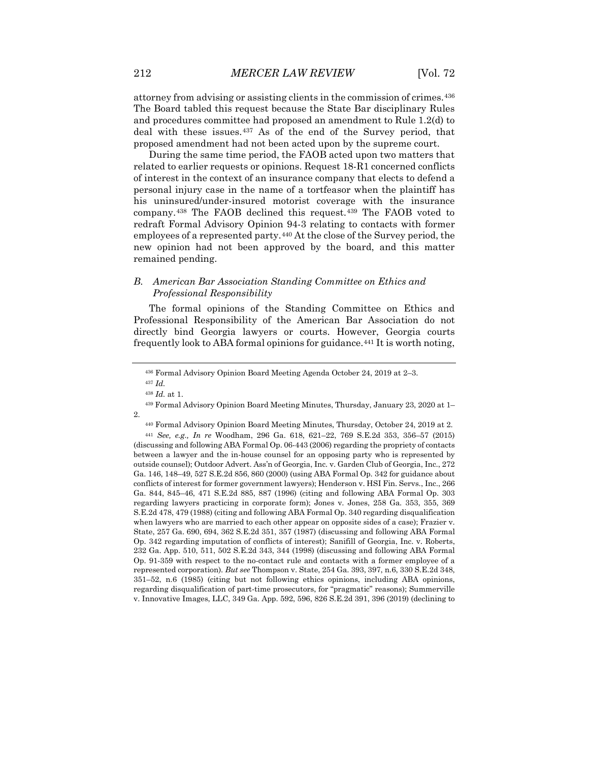attorney from advising or assisting clients in the commission of crimes.[436](#page-47-10) The Board tabled this request because the State Bar disciplinary Rules and procedures committee had proposed an amendment to Rule 1.2(d) to deal with these issues.[437](#page-48-0) As of the end of the Survey period, that proposed amendment had not been acted upon by the supreme court.

During the same time period, the FAOB acted upon two matters that related to earlier requests or opinions. Request 18-R1 concerned conflicts of interest in the context of an insurance company that elects to defend a personal injury case in the name of a tortfeasor when the plaintiff has his uninsured/under-insured motorist coverage with the insurance company.[438](#page-48-1) The FAOB declined this request.[439](#page-48-2) The FAOB voted to redraft Formal Advisory Opinion 94-3 relating to contacts with former employees of a represented party.<sup>[440](#page-48-3)</sup> At the close of the Survey period, the new opinion had not been approved by the board, and this matter remained pending.

## *B. American Bar Association Standing Committee on Ethics and Professional Responsibility*

The formal opinions of the Standing Committee on Ethics and Professional Responsibility of the American Bar Association do not directly bind Georgia lawyers or courts. However, Georgia courts frequently look to ABA formal opinions for guidance.[441](#page-48-4) It is worth noting,

<span id="page-48-3"></span><span id="page-48-2"></span><span id="page-48-1"></span><span id="page-48-0"></span>2.

<sup>440</sup> Formal Advisory Opinion Board Meeting Minutes, Thursday, October 24, 2019 at 2.

<span id="page-48-4"></span><sup>441</sup> *See, e.g., In re* Woodham, 296 Ga. 618, 621–22, 769 S.E.2d 353, 356–57 (2015) (discussing and following ABA Formal Op. 06-443 (2006) regarding the propriety of contacts between a lawyer and the in-house counsel for an opposing party who is represented by outside counsel); Outdoor Advert. Ass'n of Georgia, Inc. v. Garden Club of Georgia, Inc., 272 Ga. 146, 148–49, 527 S.E.2d 856, 860 (2000) (using ABA Formal Op. 342 for guidance about conflicts of interest for former government lawyers); Henderson v. HSI Fin. Servs., Inc., 266 Ga. 844, 845–46, 471 S.E.2d 885, 887 (1996) (citing and following ABA Formal Op. 303 regarding lawyers practicing in corporate form); Jones v. Jones, 258 Ga. 353, 355, 369 S.E.2d 478, 479 (1988) (citing and following ABA Formal Op. 340 regarding disqualification when lawyers who are married to each other appear on opposite sides of a case); Frazier v. State, 257 Ga. 690, 694, 362 S.E.2d 351, 357 (1987) (discussing and following ABA Formal Op. 342 regarding imputation of conflicts of interest); Sanifill of Georgia, Inc. v. Roberts, 232 Ga. App. 510, 511, 502 S.E.2d 343, 344 (1998) (discussing and following ABA Formal Op. 91-359 with respect to the no-contact rule and contacts with a former employee of a represented corporation). *But see* Thompson v. State, 254 Ga. 393, 397, n.6, 330 S.E.2d 348, 351–52, n.6 (1985) (citing but not following ethics opinions, including ABA opinions, regarding disqualification of part-time prosecutors, for "pragmatic" reasons); Summerville v. Innovative Images, LLC, 349 Ga. App. 592, 596, 826 S.E.2d 391, 396 (2019) (declining to

<sup>436</sup> Formal Advisory Opinion Board Meeting Agenda October 24, 2019 at 2–3.

<sup>437</sup> *Id.*

<sup>438</sup> *Id.* at 1.

<sup>439</sup> Formal Advisory Opinion Board Meeting Minutes, Thursday, January 23, 2020 at 1–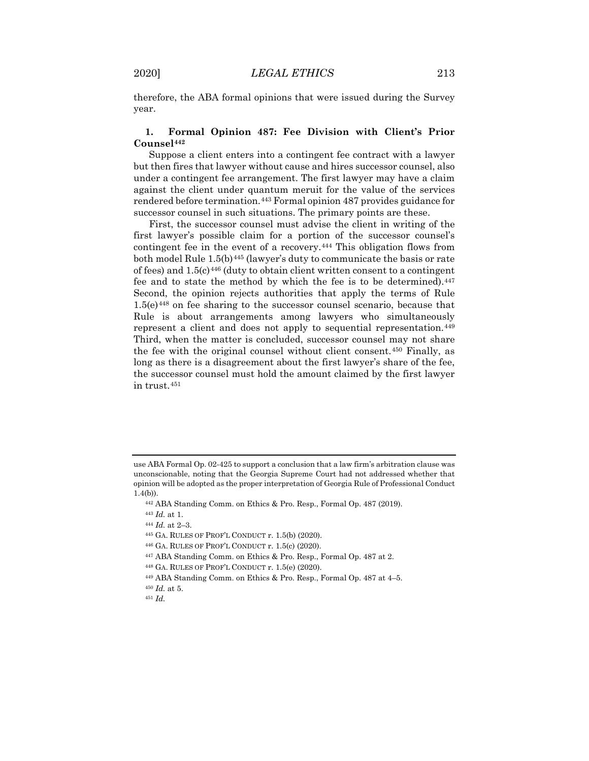therefore, the ABA formal opinions that were issued during the Survey year.

## **1. Formal Opinion 487: Fee Division with Client's Prior Counsel[442](#page-49-0)**

Suppose a client enters into a contingent fee contract with a lawyer but then fires that lawyer without cause and hires successor counsel, also under a contingent fee arrangement. The first lawyer may have a claim against the client under quantum meruit for the value of the services rendered before termination.[443](#page-49-1) Formal opinion 487 provides guidance for successor counsel in such situations. The primary points are these.

First, the successor counsel must advise the client in writing of the first lawyer's possible claim for a portion of the successor counsel's contingent fee in the event of a recovery.<sup>[444](#page-49-2)</sup> This obligation flows from both model Rule 1.5(b)<sup>[445](#page-49-3)</sup> (lawyer's duty to communicate the basis or rate of fees) and  $1.5(c)$ <sup>[446](#page-49-4)</sup> (duty to obtain client written consent to a contingent fee and to state the method by which the fee is to be determined).<sup>[447](#page-49-5)</sup> Second, the opinion rejects authorities that apply the terms of Rule  $1.5(e)^{448}$  $1.5(e)^{448}$  $1.5(e)^{448}$  on fee sharing to the successor counsel scenario, because that Rule is about arrangements among lawyers who simultaneously represent a client and does not apply to sequential representation.<sup>[449](#page-49-7)</sup> Third, when the matter is concluded, successor counsel may not share the fee with the original counsel without client consent.[450](#page-49-8) Finally, as long as there is a disagreement about the first lawyer's share of the fee, the successor counsel must hold the amount claimed by the first lawyer in trust.[451](#page-49-9)

- <span id="page-49-5"></span><sup>447</sup> ABA Standing Comm. on Ethics & Pro. Resp., Formal Op. 487 at 2.
- <span id="page-49-7"></span><span id="page-49-6"></span><sup>448</sup> GA. RULES OF PROF'L CONDUCT r. 1.5(e) (2020).
- <sup>449</sup> ABA Standing Comm. on Ethics & Pro. Resp., Formal Op. 487 at 4–5.

<span id="page-49-1"></span><span id="page-49-0"></span>use ABA Formal Op. 02-425 to support a conclusion that a law firm's arbitration clause was unconscionable, noting that the Georgia Supreme Court had not addressed whether that opinion will be adopted as the proper interpretation of Georgia Rule of Professional Conduct 1.4(b)).

<sup>442</sup> ABA Standing Comm. on Ethics & Pro. Resp., Formal Op. 487 (2019).

<sup>443</sup> *Id.* at 1.

<span id="page-49-2"></span><sup>444</sup> *Id.* at 2–3.

<span id="page-49-4"></span><span id="page-49-3"></span><sup>445</sup> GA. RULES OF PROF'L CONDUCT r. 1.5(b) (2020).

<sup>446</sup> GA. RULES OF PROF'L CONDUCT r. 1.5(c) (2020).

<span id="page-49-8"></span><sup>450</sup> *Id.* at 5.

<span id="page-49-9"></span><sup>451</sup> *Id.*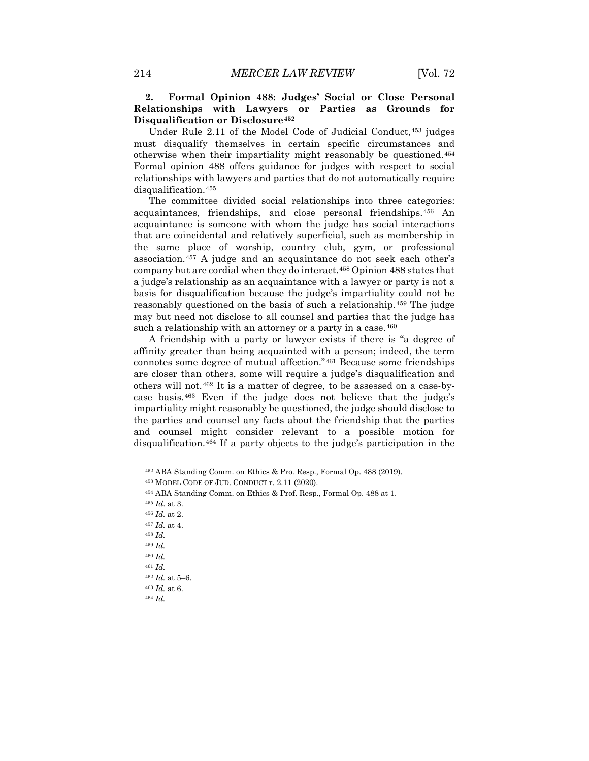## **2. Formal Opinion 488: Judges' Social or Close Personal Relationships with Lawyers or Parties as Grounds for Disqualification or Disclosure[452](#page-50-0)**

Under Rule 2.11 of the Model Code of Judicial Conduct,[453](#page-50-1) judges must disqualify themselves in certain specific circumstances and otherwise when their impartiality might reasonably be questioned.[454](#page-50-2) Formal opinion 488 offers guidance for judges with respect to social relationships with lawyers and parties that do not automatically require disqualification.[455](#page-50-3)

The committee divided social relationships into three categories: acquaintances, friendships, and close personal friendships.[456](#page-50-4) An acquaintance is someone with whom the judge has social interactions that are coincidental and relatively superficial, such as membership in the same place of worship, country club, gym, or professional association.[457](#page-50-5) A judge and an acquaintance do not seek each other's company but are cordial when they do interact.[458](#page-50-6) Opinion 488 states that a judge's relationship as an acquaintance with a lawyer or party is not a basis for disqualification because the judge's impartiality could not be reasonably questioned on the basis of such a relationship.[459](#page-50-7) The judge may but need not disclose to all counsel and parties that the judge has such a relationship with an attorney or a party in a case.<sup>[460](#page-50-8)</sup>

A friendship with a party or lawyer exists if there is "a degree of affinity greater than being acquainted with a person; indeed, the term connotes some degree of mutual affection."[461](#page-50-9) Because some friendships are closer than others, some will require a judge's disqualification and others will not.[462](#page-50-10) It is a matter of degree, to be assessed on a case-bycase basis.[463](#page-50-11) Even if the judge does not believe that the judge's impartiality might reasonably be questioned, the judge should disclose to the parties and counsel any facts about the friendship that the parties and counsel might consider relevant to a possible motion for disqualification.[464](#page-50-12) If a party objects to the judge's participation in the

<span id="page-50-0"></span><sup>452</sup> ABA Standing Comm. on Ethics & Pro. Resp., Formal Op. 488 (2019).

<span id="page-50-2"></span><span id="page-50-1"></span><sup>453</sup> MODEL CODE OF JUD. CONDUCT r. 2.11 (2020).

<sup>454</sup> ABA Standing Comm. on Ethics & Prof. Resp., Formal Op. 488 at 1.

<span id="page-50-3"></span><sup>455</sup> *Id*. at 3.

<span id="page-50-4"></span><sup>456</sup> *Id.* at 2.

<span id="page-50-5"></span><sup>457</sup> *Id.* at 4.

<span id="page-50-6"></span><sup>458</sup> *Id.*

<span id="page-50-7"></span><sup>459</sup> *Id.*

<span id="page-50-8"></span><sup>460</sup> *Id.*

<sup>461</sup> *Id.*

<sup>462</sup> *Id.* at 5–6.

<span id="page-50-12"></span><span id="page-50-11"></span><span id="page-50-10"></span><span id="page-50-9"></span><sup>463</sup> *Id.* at 6.

<sup>464</sup> *Id.*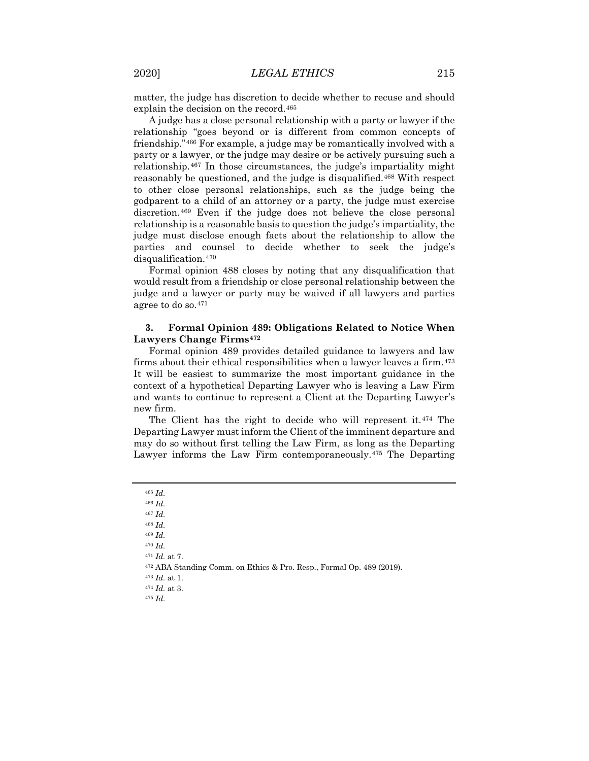matter, the judge has discretion to decide whether to recuse and should explain the decision on the record.[465](#page-51-0)

A judge has a close personal relationship with a party or lawyer if the relationship "goes beyond or is different from common concepts of friendship."[466](#page-51-1) For example, a judge may be romantically involved with a party or a lawyer, or the judge may desire or be actively pursuing such a relationship.[467](#page-51-2) In those circumstances, the judge's impartiality might reasonably be questioned, and the judge is disqualified.[468](#page-51-3) With respect to other close personal relationships, such as the judge being the godparent to a child of an attorney or a party, the judge must exercise discretion.[469](#page-51-4) Even if the judge does not believe the close personal relationship is a reasonable basis to question the judge's impartiality, the judge must disclose enough facts about the relationship to allow the parties and counsel to decide whether to seek the judge's disqualification.[470](#page-51-5)

Formal opinion 488 closes by noting that any disqualification that would result from a friendship or close personal relationship between the judge and a lawyer or party may be waived if all lawyers and parties agree to do so.[471](#page-51-6)

## **3. Formal Opinion 489: Obligations Related to Notice When Lawyers Change Firms[472](#page-51-7)**

Formal opinion 489 provides detailed guidance to lawyers and law firms about their ethical responsibilities when a lawyer leaves a firm.<sup>[473](#page-51-8)</sup> It will be easiest to summarize the most important guidance in the context of a hypothetical Departing Lawyer who is leaving a Law Firm and wants to continue to represent a Client at the Departing Lawyer's new firm.

The Client has the right to decide who will represent it.<sup>[474](#page-51-9)</sup> The Departing Lawyer must inform the Client of the imminent departure and may do so without first telling the Law Firm, as long as the Departing Lawyer informs the Law Firm contemporaneously.[475](#page-51-10) The Departing

<sup>467</sup> *Id.*

<span id="page-51-4"></span><sup>469</sup> *Id.*

<sup>470</sup> *Id.*

<sup>471</sup> *Id.* at 7.

<sup>465</sup> *Id.*

<span id="page-51-3"></span><span id="page-51-2"></span><span id="page-51-1"></span><span id="page-51-0"></span><sup>466</sup> *Id.*

<sup>468</sup> *Id.*

<span id="page-51-8"></span><span id="page-51-7"></span><span id="page-51-6"></span><span id="page-51-5"></span><sup>472</sup> ABA Standing Comm. on Ethics & Pro. Resp., Formal Op. 489 (2019).

<span id="page-51-10"></span><span id="page-51-9"></span><sup>473</sup> *Id.* at 1.

<sup>474</sup> *Id.* at 3.

<sup>475</sup> *Id.*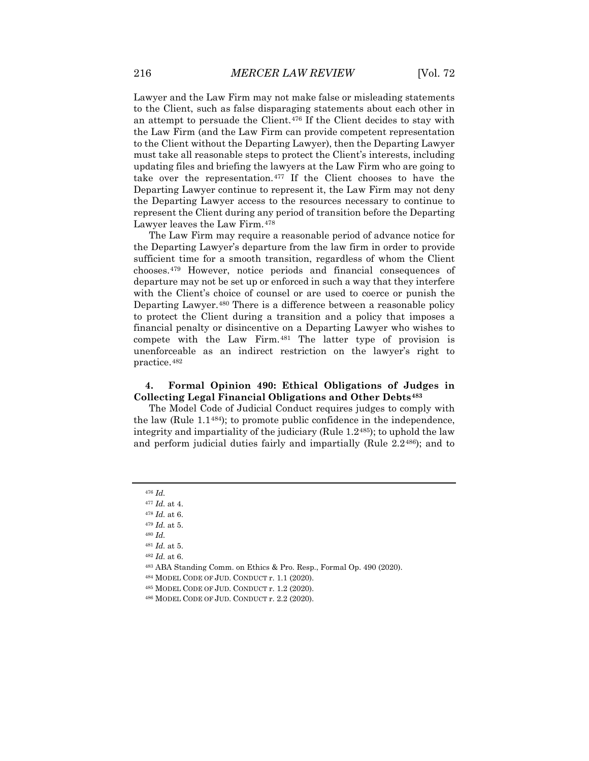Lawyer and the Law Firm may not make false or misleading statements to the Client, such as false disparaging statements about each other in an attempt to persuade the Client.[476](#page-52-0) If the Client decides to stay with the Law Firm (and the Law Firm can provide competent representation to the Client without the Departing Lawyer), then the Departing Lawyer must take all reasonable steps to protect the Client's interests, including updating files and briefing the lawyers at the Law Firm who are going to take over the representation.[477](#page-52-1) If the Client chooses to have the Departing Lawyer continue to represent it, the Law Firm may not deny the Departing Lawyer access to the resources necessary to continue to represent the Client during any period of transition before the Departing Lawyer leaves the Law Firm.[478](#page-52-2)

The Law Firm may require a reasonable period of advance notice for the Departing Lawyer's departure from the law firm in order to provide sufficient time for a smooth transition, regardless of whom the Client chooses.[479](#page-52-3) However, notice periods and financial consequences of departure may not be set up or enforced in such a way that they interfere with the Client's choice of counsel or are used to coerce or punish the Departing Lawyer.[480](#page-52-4) There is a difference between a reasonable policy to protect the Client during a transition and a policy that imposes a financial penalty or disincentive on a Departing Lawyer who wishes to compete with the Law Firm.[481](#page-52-5) The latter type of provision is unenforceable as an indirect restriction on the lawyer's right to practice.[482](#page-52-6)

## **4. Formal Opinion 490: Ethical Obligations of Judges in Collecting Legal Financial Obligations and Other Debts[483](#page-52-7)**

The Model Code of Judicial Conduct requires judges to comply with the law (Rule 1.1[484](#page-52-8)); to promote public confidence in the independence, integrity and impartiality of the judiciary (Rule 1.2[485\)](#page-52-9); to uphold the law and perform judicial duties fairly and impartially (Rule 2.2[486](#page-52-10)); and to

<sup>476</sup> *Id.* 

<span id="page-52-2"></span><span id="page-52-1"></span><span id="page-52-0"></span><sup>477</sup> *Id.* at 4.

<sup>478</sup> *Id.* at 6.

<span id="page-52-3"></span><sup>479</sup> *Id.* at 5.

<span id="page-52-4"></span><sup>480</sup> *Id.* 

<span id="page-52-5"></span><sup>481</sup> *Id.* at 5.

<span id="page-52-6"></span><sup>482</sup> *Id.* at 6.

<span id="page-52-8"></span><span id="page-52-7"></span><sup>483</sup> ABA Standing Comm. on Ethics & Pro. Resp., Formal Op. 490 (2020).

<sup>484</sup> MODEL CODE OF JUD. CONDUCT r. 1.1 (2020).

<span id="page-52-9"></span><sup>485</sup> MODEL CODE OF JUD. CONDUCT r. 1.2 (2020).

<span id="page-52-10"></span><sup>486</sup> MODEL CODE OF JUD. CONDUCT r. 2.2 (2020).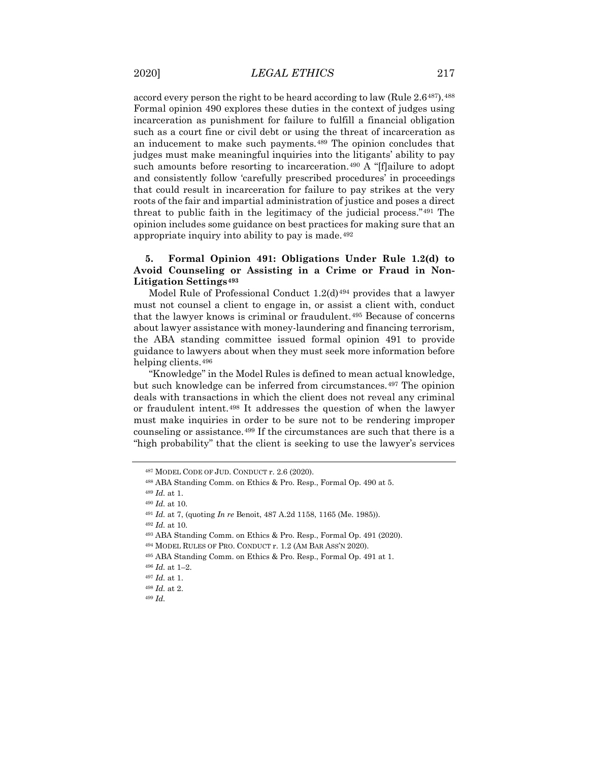accord every person the right to be heard according to law (Rule 2.6[487](#page-53-0)). [488](#page-53-1) Formal opinion 490 explores these duties in the context of judges using incarceration as punishment for failure to fulfill a financial obligation such as a court fine or civil debt or using the threat of incarceration as an inducement to make such payments.[489](#page-53-2) The opinion concludes that judges must make meaningful inquiries into the litigants' ability to pay such amounts before resorting to incarceration.<sup>[490](#page-53-3)</sup> A "[f]ailure to adopt and consistently follow 'carefully prescribed procedures' in proceedings that could result in incarceration for failure to pay strikes at the very roots of the fair and impartial administration of justice and poses a direct threat to public faith in the legitimacy of the judicial process."[491](#page-53-4) The opinion includes some guidance on best practices for making sure that an appropriate inquiry into ability to pay is made.[492](#page-53-5)

## **5. Formal Opinion 491: Obligations Under Rule 1.2(d) to Avoid Counseling or Assisting in a Crime or Fraud in Non-Litigation Settings[493](#page-53-6)**

Model Rule of Professional Conduct  $1.2(d)^{494}$  $1.2(d)^{494}$  $1.2(d)^{494}$  provides that a lawyer must not counsel a client to engage in, or assist a client with, conduct that the lawyer knows is criminal or fraudulent.[495](#page-53-8) Because of concerns about lawyer assistance with money-laundering and financing terrorism, the ABA standing committee issued formal opinion 491 to provide guidance to lawyers about when they must seek more information before helping clients.[496](#page-53-9)

"Knowledge" in the Model Rules is defined to mean actual knowledge, but such knowledge can be inferred from circumstances.<sup>[497](#page-53-10)</sup> The opinion deals with transactions in which the client does not reveal any criminal or fraudulent intent.[498](#page-53-11) It addresses the question of when the lawyer must make inquiries in order to be sure not to be rendering improper counseling or assistance.<sup>[499](#page-53-12)</sup> If the circumstances are such that there is a "high probability" that the client is seeking to use the lawyer's services

<span id="page-53-0"></span><sup>487</sup> MODEL CODE OF JUD. CONDUCT r. 2.6 (2020).

<span id="page-53-1"></span><sup>488</sup> ABA Standing Comm. on Ethics & Pro. Resp., Formal Op. 490 at 5.

<sup>489</sup> *Id.* at 1.

<span id="page-53-4"></span><span id="page-53-3"></span><span id="page-53-2"></span><sup>490</sup> *Id.* at 10.

<sup>491</sup> *Id.* at 7, (quoting *In re* Benoit, 487 A.2d 1158, 1165 (Me. 1985)).

<span id="page-53-6"></span><span id="page-53-5"></span><sup>492</sup> *Id.* at 10.

<sup>493</sup> ABA Standing Comm. on Ethics & Pro. Resp., Formal Op. 491 (2020).

<span id="page-53-7"></span><sup>494</sup> MODEL RULES OF PRO. CONDUCT r. 1.2 (AM BAR ASS'N 2020).

<span id="page-53-8"></span><sup>495</sup> ABA Standing Comm. on Ethics & Pro. Resp., Formal Op. 491 at 1.

<span id="page-53-9"></span><sup>496</sup> *Id.* at 1–2.

<span id="page-53-10"></span><sup>497</sup> *Id.* at 1.

<span id="page-53-11"></span><sup>498</sup> *Id.* at 2.

<span id="page-53-12"></span><sup>499</sup> *Id.*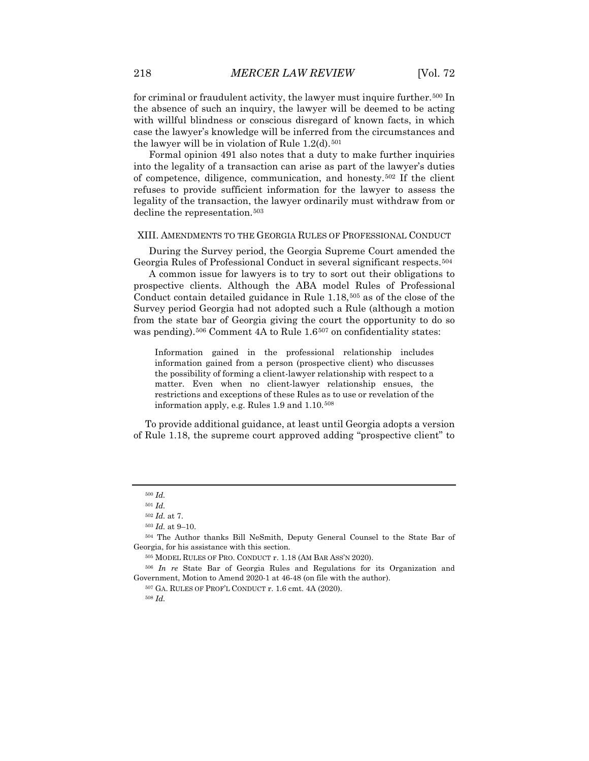for criminal or fraudulent activity, the lawyer must inquire further.[500](#page-54-0) In the absence of such an inquiry, the lawyer will be deemed to be acting with willful blindness or conscious disregard of known facts, in which case the lawyer's knowledge will be inferred from the circumstances and the lawyer will be in violation of Rule  $1.2(d)$ .<sup>[501](#page-54-1)</sup>

Formal opinion 491 also notes that a duty to make further inquiries into the legality of a transaction can arise as part of the lawyer's duties of competence, diligence, communication, and honesty.[502](#page-54-2) If the client refuses to provide sufficient information for the lawyer to assess the legality of the transaction, the lawyer ordinarily must withdraw from or decline the representation.[503](#page-54-3)

#### XIII. AMENDMENTS TO THE GEORGIA RULES OF PROFESSIONAL CONDUCT

During the Survey period, the Georgia Supreme Court amended the Georgia Rules of Professional Conduct in several significant respects.[504](#page-54-4)

A common issue for lawyers is to try to sort out their obligations to prospective clients. Although the ABA model Rules of Professional Conduct contain detailed guidance in Rule 1.18,[505](#page-54-5) as of the close of the Survey period Georgia had not adopted such a Rule (although a motion from the state bar of Georgia giving the court the opportunity to do so was pending).<sup>[506](#page-54-6)</sup> Comment 4A to Rule 1.6<sup>[507](#page-54-7)</sup> on confidentiality states:

Information gained in the professional relationship includes information gained from a person (prospective client) who discusses the possibility of forming a client-lawyer relationship with respect to a matter. Even when no client-lawyer relationship ensues, the restrictions and exceptions of these Rules as to use or revelation of the information apply, e.g. Rules 1.9 and 1.10.[508](#page-54-8)

To provide additional guidance, at least until Georgia adopts a version of Rule 1.18, the supreme court approved adding "prospective client" to

<sup>500</sup> *Id.*

<sup>501</sup> *Id.*

<sup>502</sup> *Id.* at 7.

 $^{503}$   $\emph{Id.}$  at 9–10.

<span id="page-54-4"></span><span id="page-54-3"></span><span id="page-54-2"></span><span id="page-54-1"></span><span id="page-54-0"></span><sup>504</sup> The Author thanks Bill NeSmith, Deputy General Counsel to the State Bar of Georgia, for his assistance with this section.

<sup>505</sup> MODEL RULES OF PRO. CONDUCT r. 1.18 (AM BAR ASS'N 2020).

<span id="page-54-8"></span><span id="page-54-7"></span><span id="page-54-6"></span><span id="page-54-5"></span><sup>506</sup> *In re* State Bar of Georgia Rules and Regulations for its Organization and Government, Motion to Amend 2020-1 at 46-48 (on file with the author).

<sup>507</sup> GA. RULES OF PROF'L CONDUCT r. 1.6 cmt. 4A (2020).

<sup>508</sup> *Id.*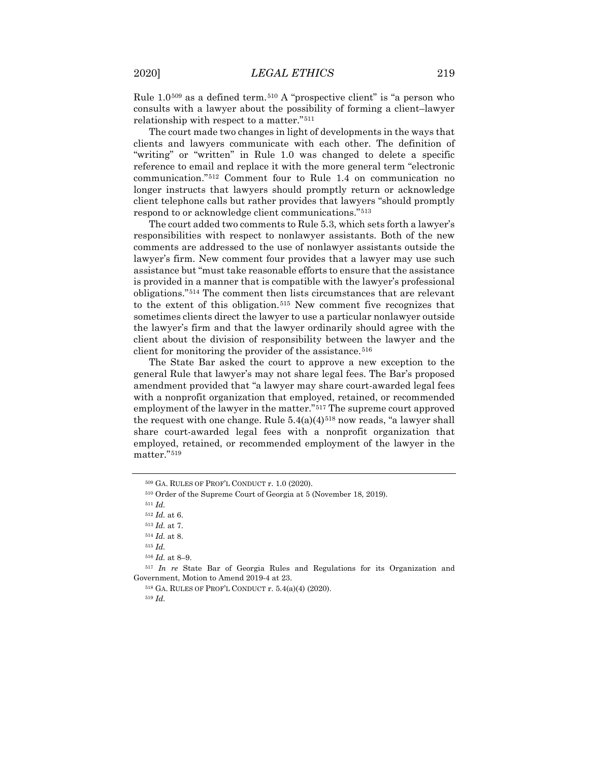Rule  $1.0^{509}$  $1.0^{509}$  $1.0^{509}$  as a defined term.<sup>[510](#page-55-1)</sup> A "prospective client" is "a person who consults with a lawyer about the possibility of forming a client–lawyer relationship with respect to a matter."[511](#page-55-2)

The court made two changes in light of developments in the ways that clients and lawyers communicate with each other. The definition of "writing" or "written" in Rule 1.0 was changed to delete a specific reference to email and replace it with the more general term "electronic communication."[512](#page-55-3) Comment four to Rule 1.4 on communication no longer instructs that lawyers should promptly return or acknowledge client telephone calls but rather provides that lawyers "should promptly respond to or acknowledge client communications."[513](#page-55-4)

The court added two comments to Rule 5.3, which sets forth a lawyer's responsibilities with respect to nonlawyer assistants. Both of the new comments are addressed to the use of nonlawyer assistants outside the lawyer's firm. New comment four provides that a lawyer may use such assistance but "must take reasonable efforts to ensure that the assistance is provided in a manner that is compatible with the lawyer's professional obligations."[514](#page-55-5) The comment then lists circumstances that are relevant to the extent of this obligation.[515](#page-55-6) New comment five recognizes that sometimes clients direct the lawyer to use a particular nonlawyer outside the lawyer's firm and that the lawyer ordinarily should agree with the client about the division of responsibility between the lawyer and the client for monitoring the provider of the assistance.<sup>[516](#page-55-7)</sup>

The State Bar asked the court to approve a new exception to the general Rule that lawyer's may not share legal fees. The Bar's proposed amendment provided that "a lawyer may share court-awarded legal fees with a nonprofit organization that employed, retained, or recommended employment of the lawyer in the matter."[517](#page-55-8) The supreme court approved the request with one change. Rule  $5.4(a)(4)^{518}$  $5.4(a)(4)^{518}$  $5.4(a)(4)^{518}$  now reads, "a lawyer shall share court-awarded legal fees with a nonprofit organization that employed, retained, or recommended employment of the lawyer in the matter."[519](#page-55-10)

<sup>516</sup> *Id.* at 8–9.

<span id="page-55-10"></span><span id="page-55-9"></span><span id="page-55-8"></span><span id="page-55-7"></span><span id="page-55-6"></span><span id="page-55-5"></span><span id="page-55-4"></span><span id="page-55-3"></span><sup>517</sup> *In re* State Bar of Georgia Rules and Regulations for its Organization and Government, Motion to Amend 2019-4 at 23.

<sup>518</sup> GA. RULES OF PROF'L CONDUCT r. 5.4(a)(4) (2020).

<span id="page-55-0"></span><sup>509</sup> GA. RULES OF PROF'L CONDUCT r. 1.0 (2020).

<span id="page-55-2"></span><span id="page-55-1"></span><sup>510</sup> Order of the Supreme Court of Georgia at 5 (November 18, 2019).

<sup>511</sup> *Id.*

<sup>512</sup> *Id.* at 6.

<sup>513</sup> *Id.* at 7.

<sup>514</sup> *Id.* at 8.

<sup>515</sup> *Id.*